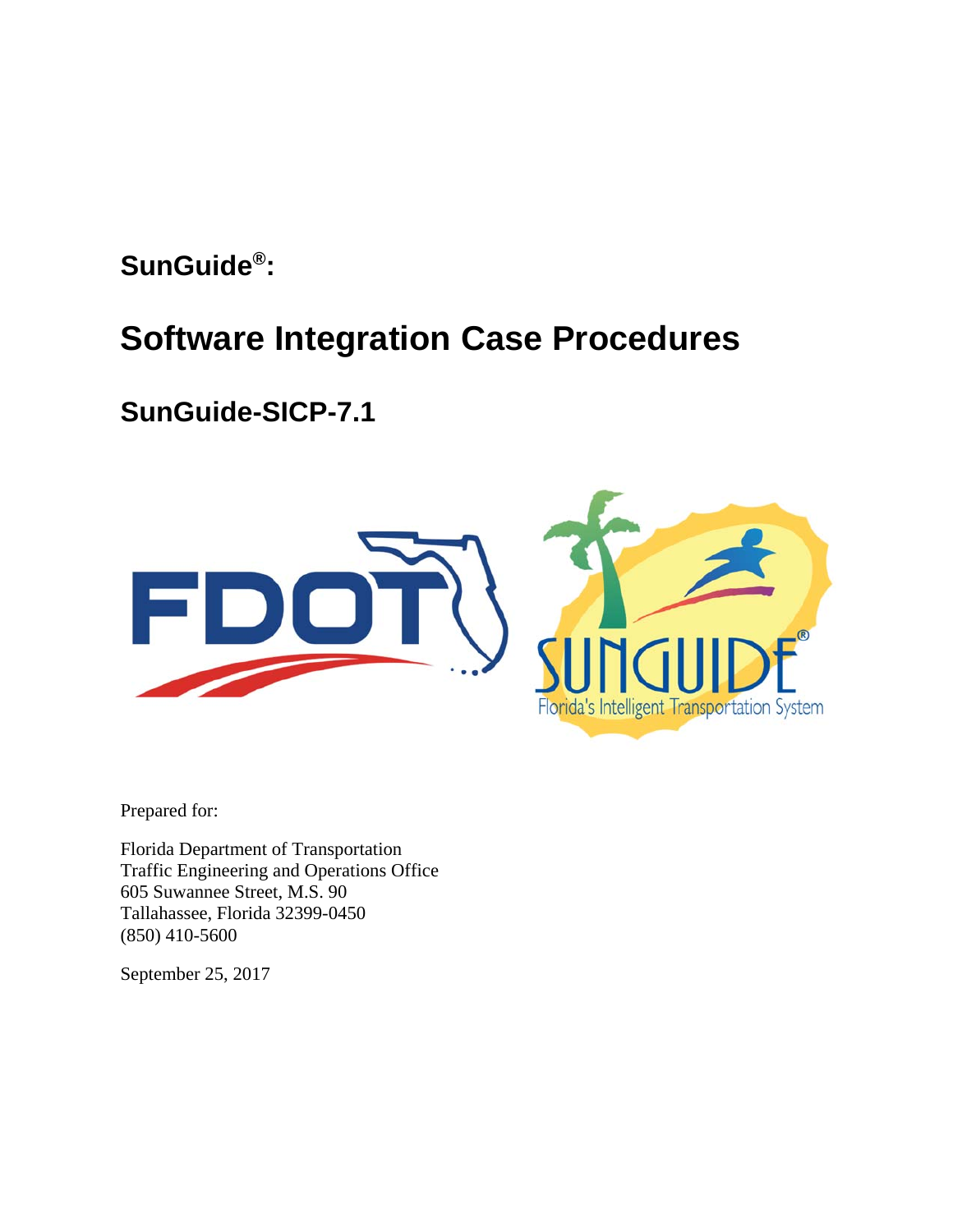**SunGuide®:** 

# **Software Integration Case Procedures**

**SunGuide-SICP-7.1** 



Prepared for:

Florida Department of Transportation Traffic Engineering and Operations Office 605 Suwannee Street, M.S. 90 Tallahassee, Florida 32399-0450 (850) 410-5600

September 25, 2017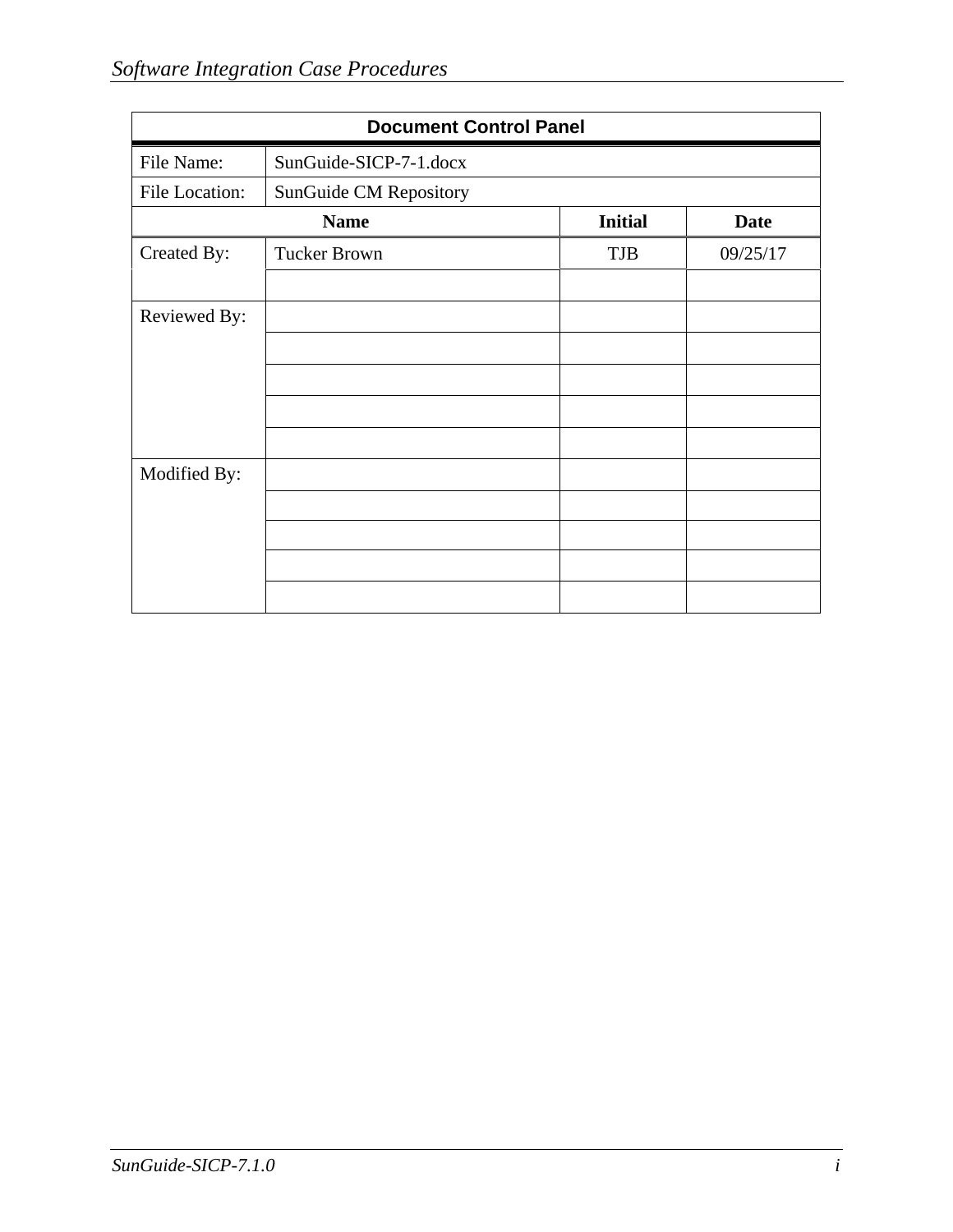|                | <b>Document Control Panel</b> |                |             |  |  |
|----------------|-------------------------------|----------------|-------------|--|--|
| File Name:     | SunGuide-SICP-7-1.docx        |                |             |  |  |
| File Location: | SunGuide CM Repository        |                |             |  |  |
|                | <b>Name</b>                   | <b>Initial</b> | <b>Date</b> |  |  |
| Created By:    | <b>Tucker Brown</b>           | <b>TJB</b>     | 09/25/17    |  |  |
|                |                               |                |             |  |  |
| Reviewed By:   |                               |                |             |  |  |
|                |                               |                |             |  |  |
|                |                               |                |             |  |  |
|                |                               |                |             |  |  |
|                |                               |                |             |  |  |
| Modified By:   |                               |                |             |  |  |
|                |                               |                |             |  |  |
|                |                               |                |             |  |  |
|                |                               |                |             |  |  |
|                |                               |                |             |  |  |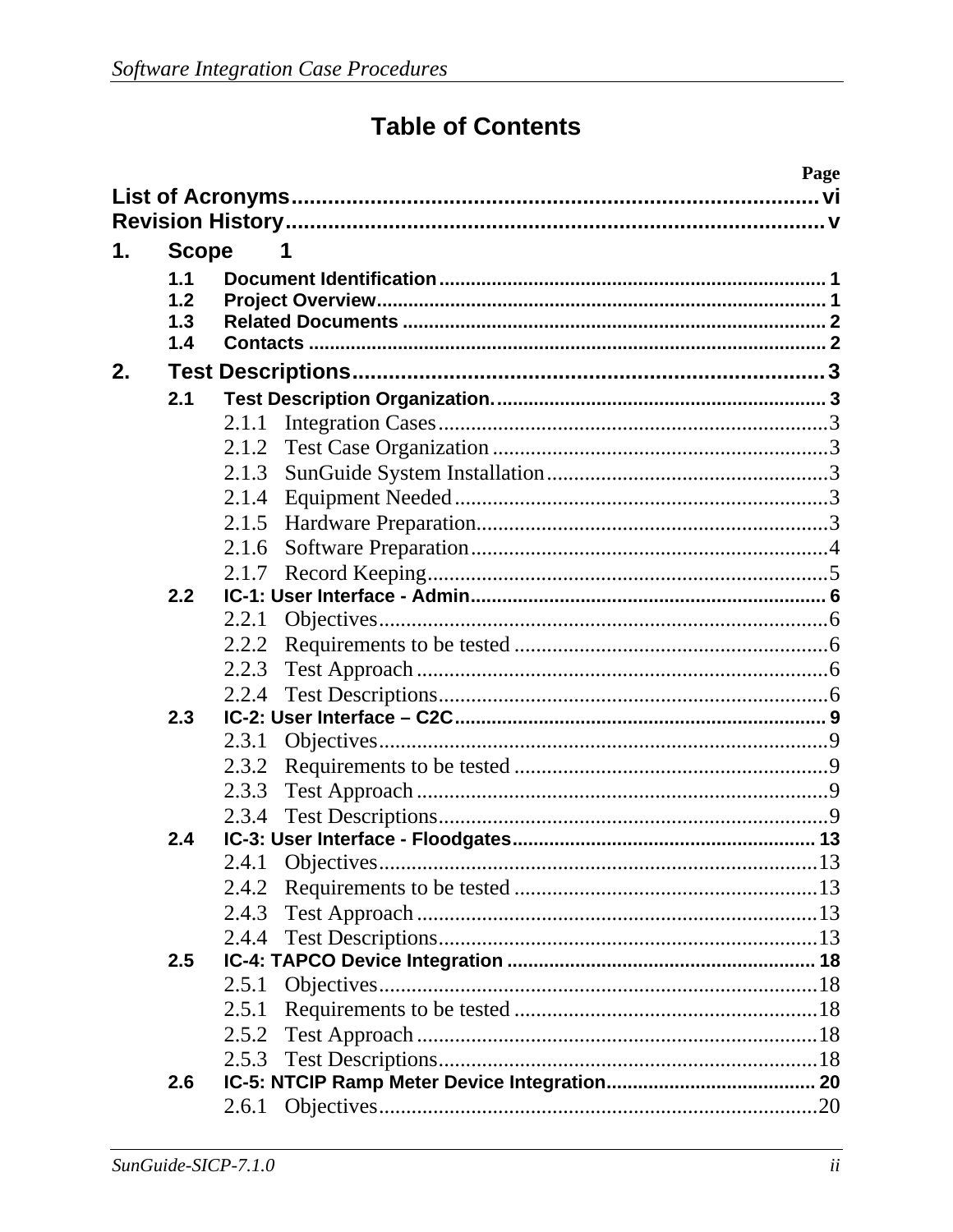# **Table of Contents**

|    |              |       | Page |
|----|--------------|-------|------|
|    |              |       |      |
|    |              |       |      |
| 1. | <b>Scope</b> | 1     |      |
|    | 1.1          |       |      |
|    | 1.2          |       |      |
|    | 1.3          |       |      |
|    | 1.4          |       |      |
| 2. |              |       |      |
|    | 2.1          |       |      |
|    |              | 2.1.1 |      |
|    |              | 2.1.2 |      |
|    |              | 2.1.3 |      |
|    |              | 2.1.4 |      |
|    |              | 2.1.5 |      |
|    |              | 2.1.6 |      |
|    |              | 2.1.7 |      |
|    | 2.2          |       |      |
|    |              | 2.2.1 |      |
|    |              | 2.2.2 |      |
|    |              | 2.2.3 |      |
|    |              | 2.2.4 |      |
|    | 2.3          |       |      |
|    |              | 2.3.1 |      |
|    |              | 2.3.2 |      |
|    |              | 2.3.3 |      |
|    |              | 2.3.4 |      |
|    | 2.4          |       |      |
|    |              |       |      |
|    |              | 2.4.2 |      |
|    |              | 2.4.3 |      |
|    |              |       |      |
|    | 2.5          |       |      |
|    |              | 2.5.1 |      |
|    |              | 2.5.1 |      |
|    |              | 2.5.2 |      |
|    |              |       |      |
|    | 2.6          |       |      |
|    |              | 2.6.1 |      |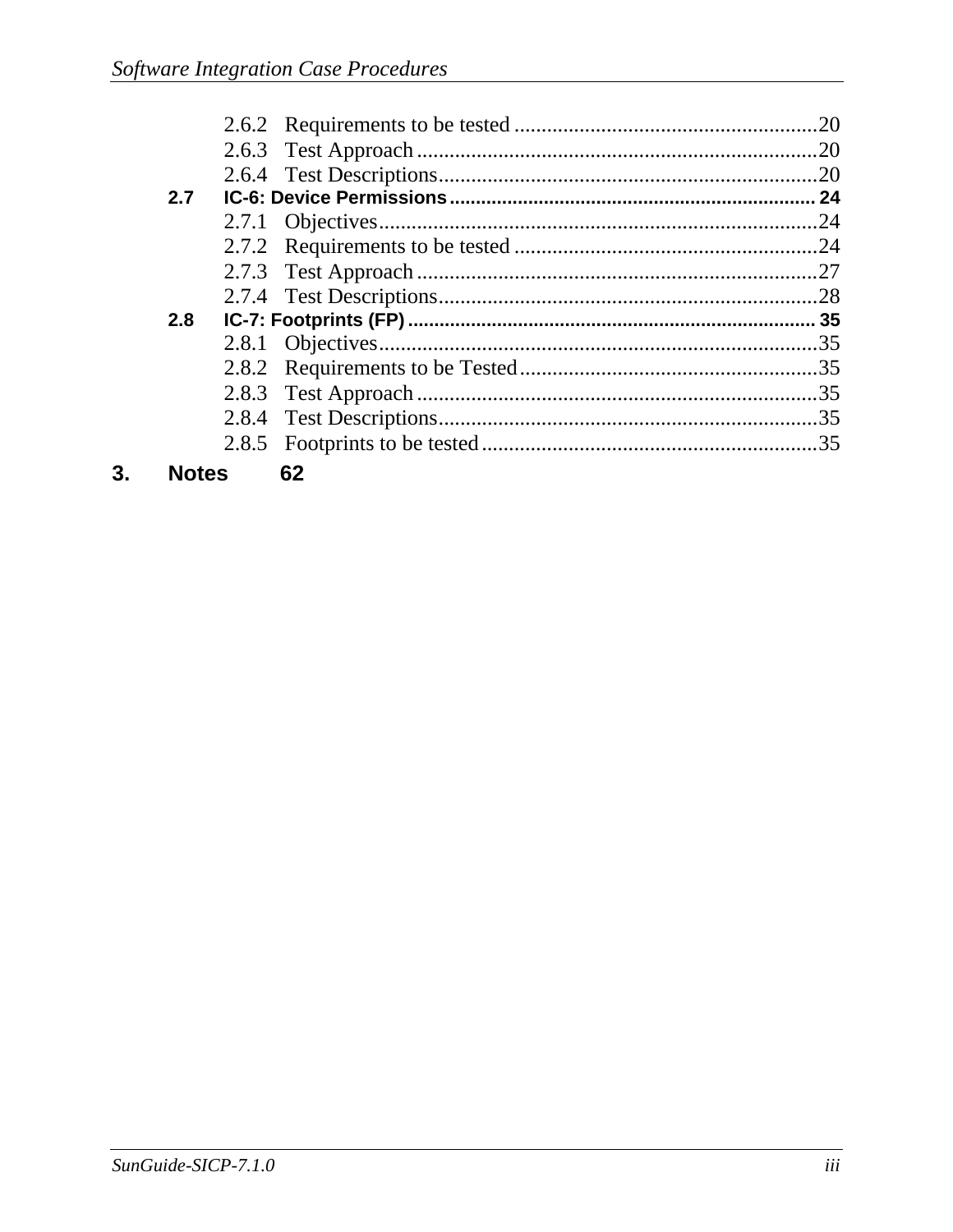| 2.7            |     |  |
|----------------|-----|--|
|                |     |  |
|                |     |  |
|                |     |  |
|                |     |  |
| 2.8            |     |  |
|                |     |  |
|                |     |  |
|                |     |  |
|                |     |  |
|                |     |  |
| <b>N</b> loton | c n |  |

 $3.$ **Notes** 62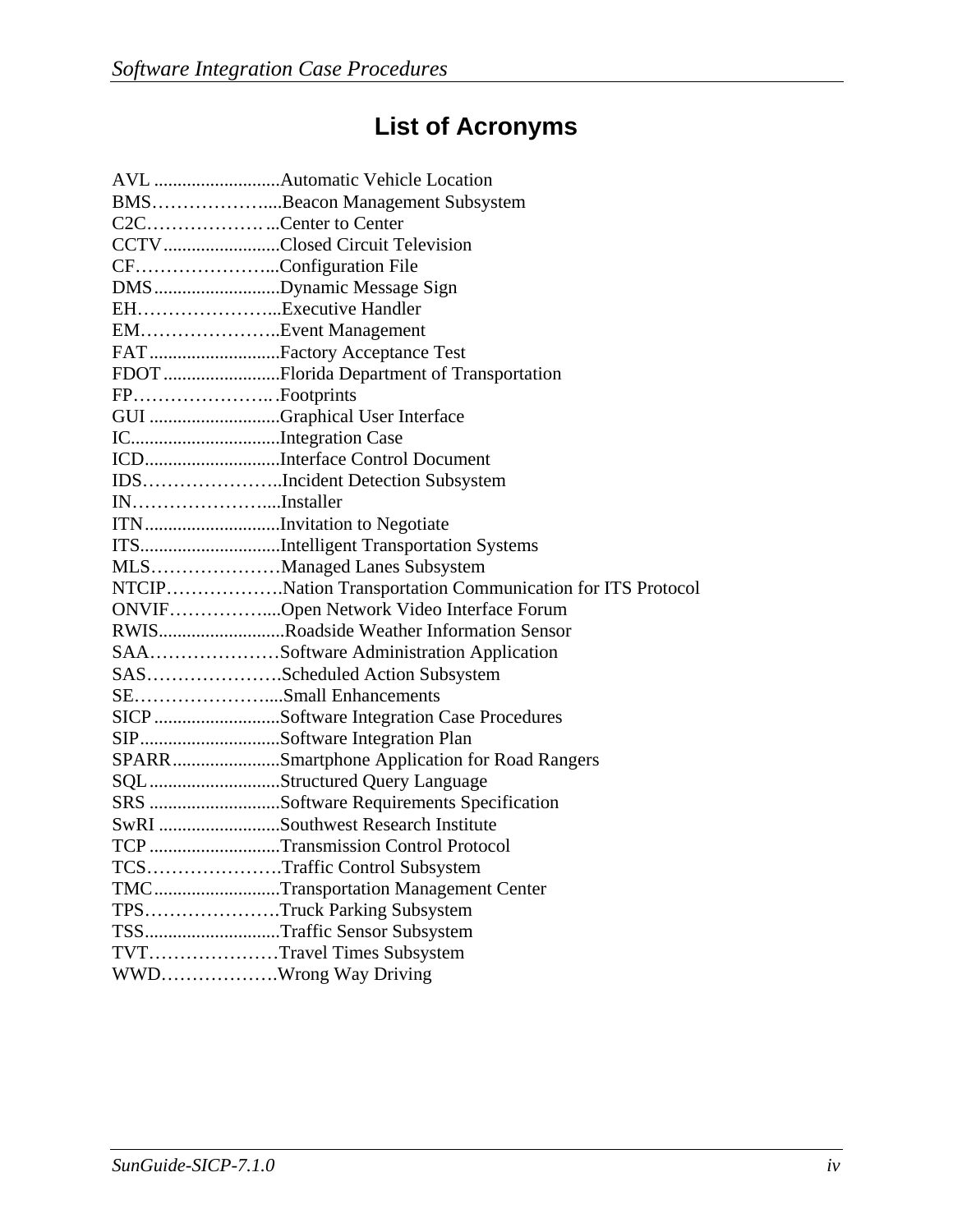# **List of Acronyms**

|                      | BMSBeacon Management Subsystem                            |
|----------------------|-----------------------------------------------------------|
| C2CCenter to Center  |                                                           |
|                      | CCTVClosed Circuit Television                             |
| CFConfiguration File |                                                           |
|                      | DMSDynamic Message Sign                                   |
| EHExecutive Handler  |                                                           |
| EMEvent Management   |                                                           |
|                      | FATFactory Acceptance Test                                |
|                      | FDOT Florida Department of Transportation                 |
|                      |                                                           |
|                      | GUI Graphical User Interface                              |
| ICIntegration Case   |                                                           |
|                      | ICDInterface Control Document                             |
|                      | IDSIncident Detection Subsystem                           |
| INInstaller          |                                                           |
|                      | ITNInvitation to Negotiate                                |
|                      | ITSIntelligent Transportation Systems                     |
|                      | MLSManaged Lanes Subsystem                                |
|                      | NTCIPNation Transportation Communication for ITS Protocol |
|                      | ONVIFOpen Network Video Interface Forum                   |
|                      | RWISRoadside Weather Information Sensor                   |
|                      | SAASoftware Administration Application                    |
|                      | SASScheduled Action Subsystem                             |
|                      | SESmall Enhancements                                      |
|                      | SICP Software Integration Case Procedures                 |
|                      | SIPSoftware Integration Plan                              |
|                      | SPARRSmartphone Application for Road Rangers              |
|                      | SQLStructured Query Language                              |
|                      | SRS Software Requirements Specification                   |
|                      | SwRI Southwest Research Institute                         |
|                      | TCPTransmission Control Protocol                          |
|                      | TCSTraffic Control Subsystem                              |
|                      | TMCTransportation Management Center                       |
|                      | TPSTruck Parking Subsystem                                |
|                      | TSSTraffic Sensor Subsystem                               |
|                      | TVTTravel Times Subsystem                                 |
|                      | WWDWrong Way Driving                                      |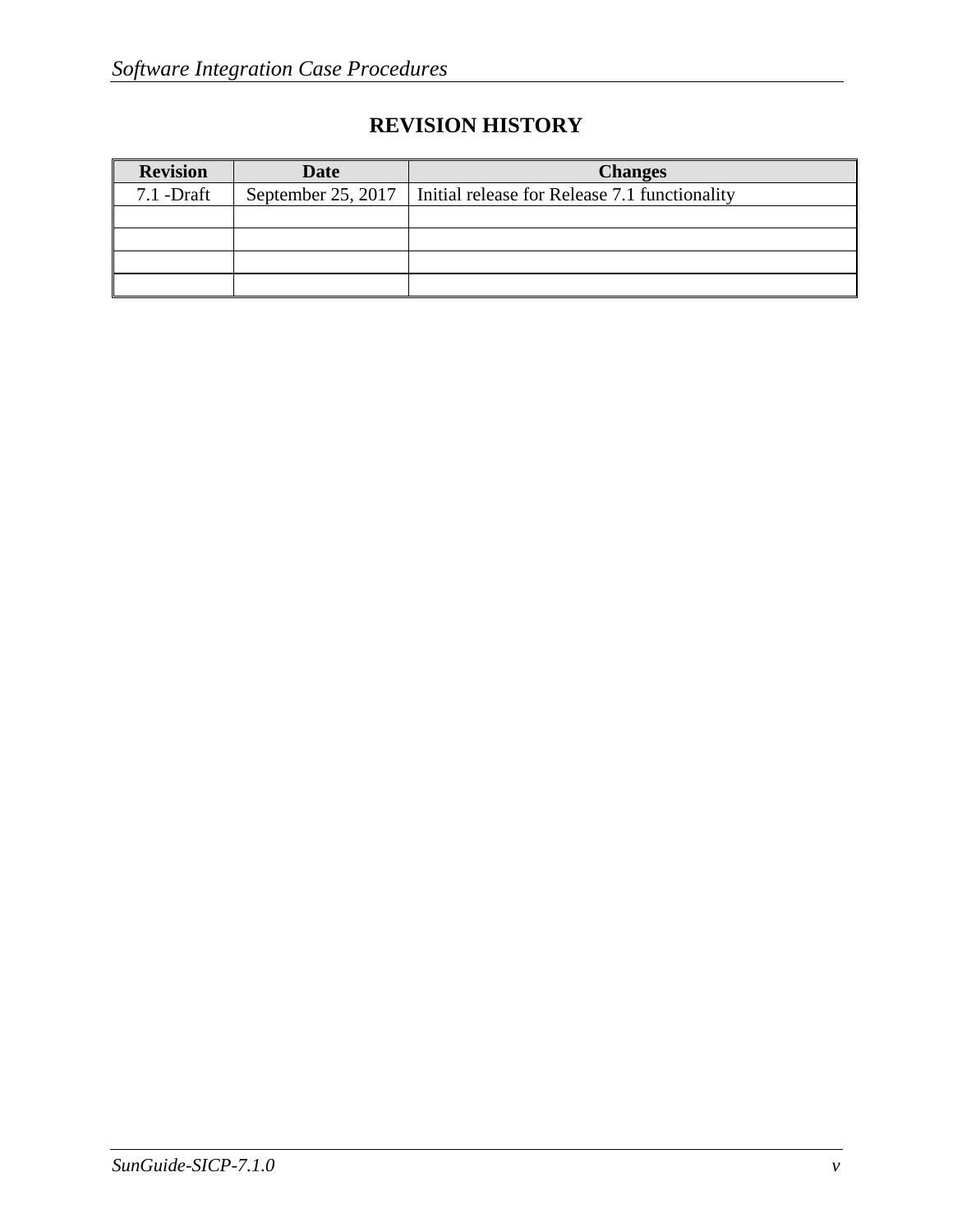# **REVISION HISTORY**

| <b>Revision</b> | <b>Date</b>        | <b>Changes</b>                                |
|-----------------|--------------------|-----------------------------------------------|
| $7.1$ -Draft    | September 25, 2017 | Initial release for Release 7.1 functionality |
|                 |                    |                                               |
|                 |                    |                                               |
|                 |                    |                                               |
|                 |                    |                                               |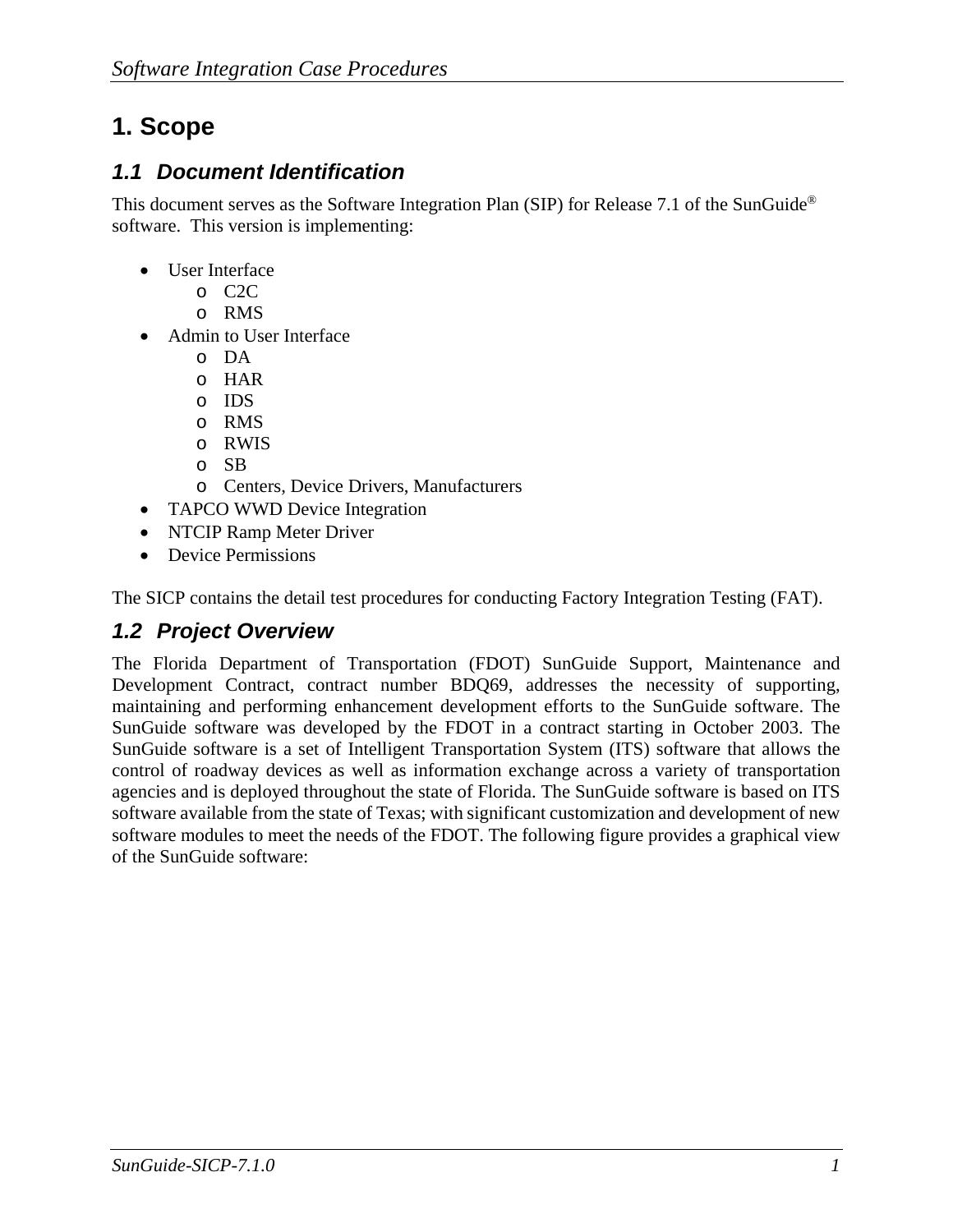# **1. Scope**

### *1.1 Document Identification*

This document serves as the Software Integration Plan (SIP) for Release 7.1 of the SunGuide® software. This version is implementing:

- User Interface
	- o C2C
	- o RMS
- Admin to User Interface
	- o DA
	- o HAR
	- o IDS
	- o RMS
	- o RWIS
	- o SB
	- o Centers, Device Drivers, Manufacturers
- TAPCO WWD Device Integration
- NTCIP Ramp Meter Driver
- Device Permissions

The SICP contains the detail test procedures for conducting Factory Integration Testing (FAT).

### *1.2 Project Overview*

The Florida Department of Transportation (FDOT) SunGuide Support, Maintenance and Development Contract, contract number BDQ69, addresses the necessity of supporting, maintaining and performing enhancement development efforts to the SunGuide software. The SunGuide software was developed by the FDOT in a contract starting in October 2003. The SunGuide software is a set of Intelligent Transportation System (ITS) software that allows the control of roadway devices as well as information exchange across a variety of transportation agencies and is deployed throughout the state of Florida. The SunGuide software is based on ITS software available from the state of Texas; with significant customization and development of new software modules to meet the needs of the FDOT. The following figure provides a graphical view of the SunGuide software: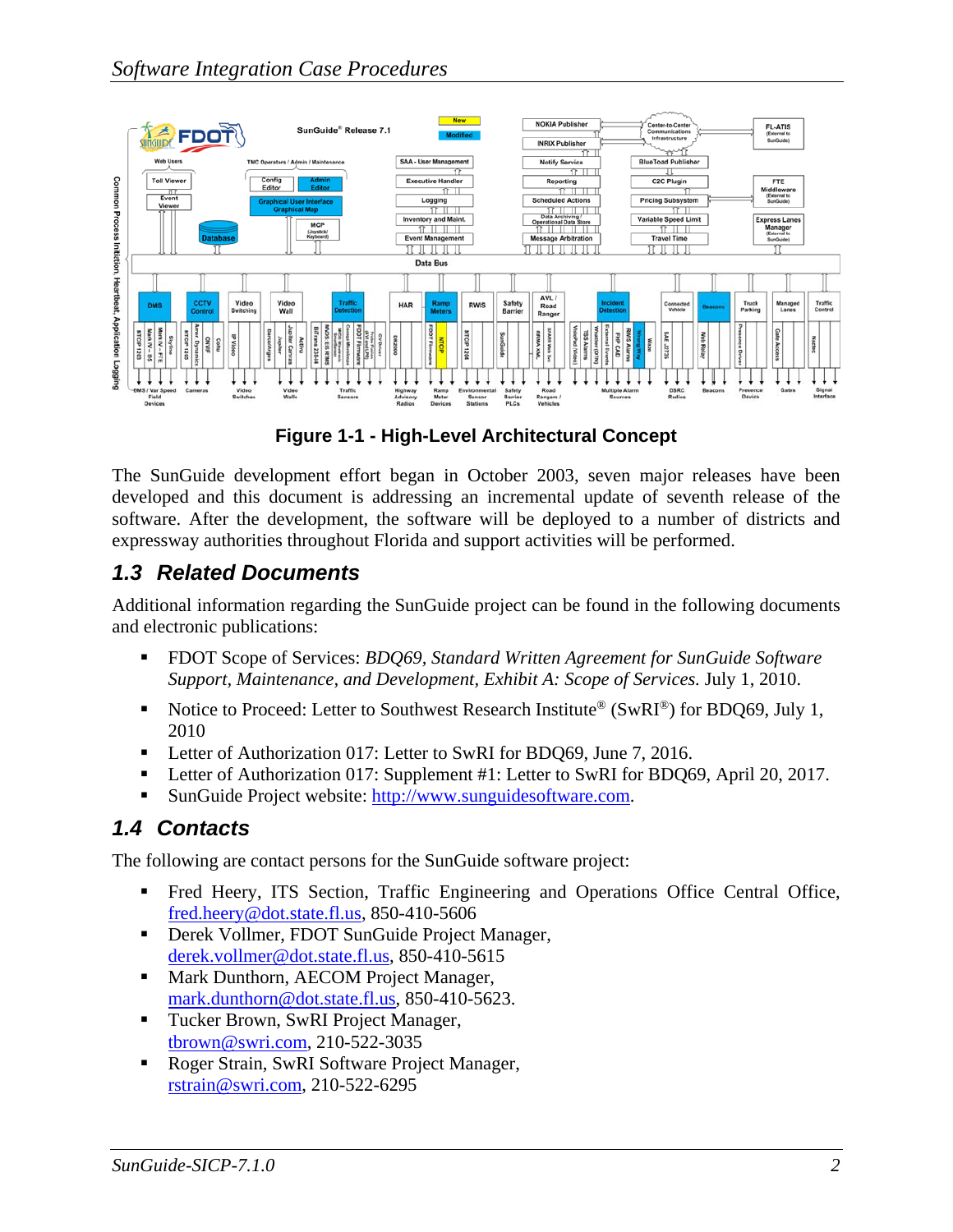

**Figure 1-1 - High-Level Architectural Concept** 

The SunGuide development effort began in October 2003, seven major releases have been developed and this document is addressing an incremental update of seventh release of the software. After the development, the software will be deployed to a number of districts and expressway authorities throughout Florida and support activities will be performed.

### *1.3 Related Documents*

Additional information regarding the SunGuide project can be found in the following documents and electronic publications:

- FDOT Scope of Services: *BDQ69, Standard Written Agreement for SunGuide Software Support, Maintenance, and Development, Exhibit A: Scope of Services.* July 1, 2010.
- Notice to Proceed: Letter to Southwest Research Institute<sup>®</sup> (SwRI<sup>®</sup>) for BDQ69, July 1, 2010
- Letter of Authorization 017: Letter to SwRI for BDQ69, June 7, 2016.
- Letter of Authorization 017: Supplement #1: Letter to SwRI for BDQ69, April 20, 2017.
- SunGuide Project website: http://www.sunguidesoftware.com.

### *1.4 Contacts*

The following are contact persons for the SunGuide software project:

- Fred Heery, ITS Section, Traffic Engineering and Operations Office Central Office, fred.heery@dot.state.fl.us, 850-410-5606
- Derek Vollmer, FDOT SunGuide Project Manager, derek.vollmer@dot.state.fl.us, 850-410-5615
- **Mark Dunthorn, AECOM Project Manager,** mark.dunthorn@dot.state.fl.us, 850-410-5623.
- Tucker Brown, SwRI Project Manager, tbrown@swri.com, 210-522-3035
- Roger Strain, SwRI Software Project Manager, rstrain@swri.com, 210-522-6295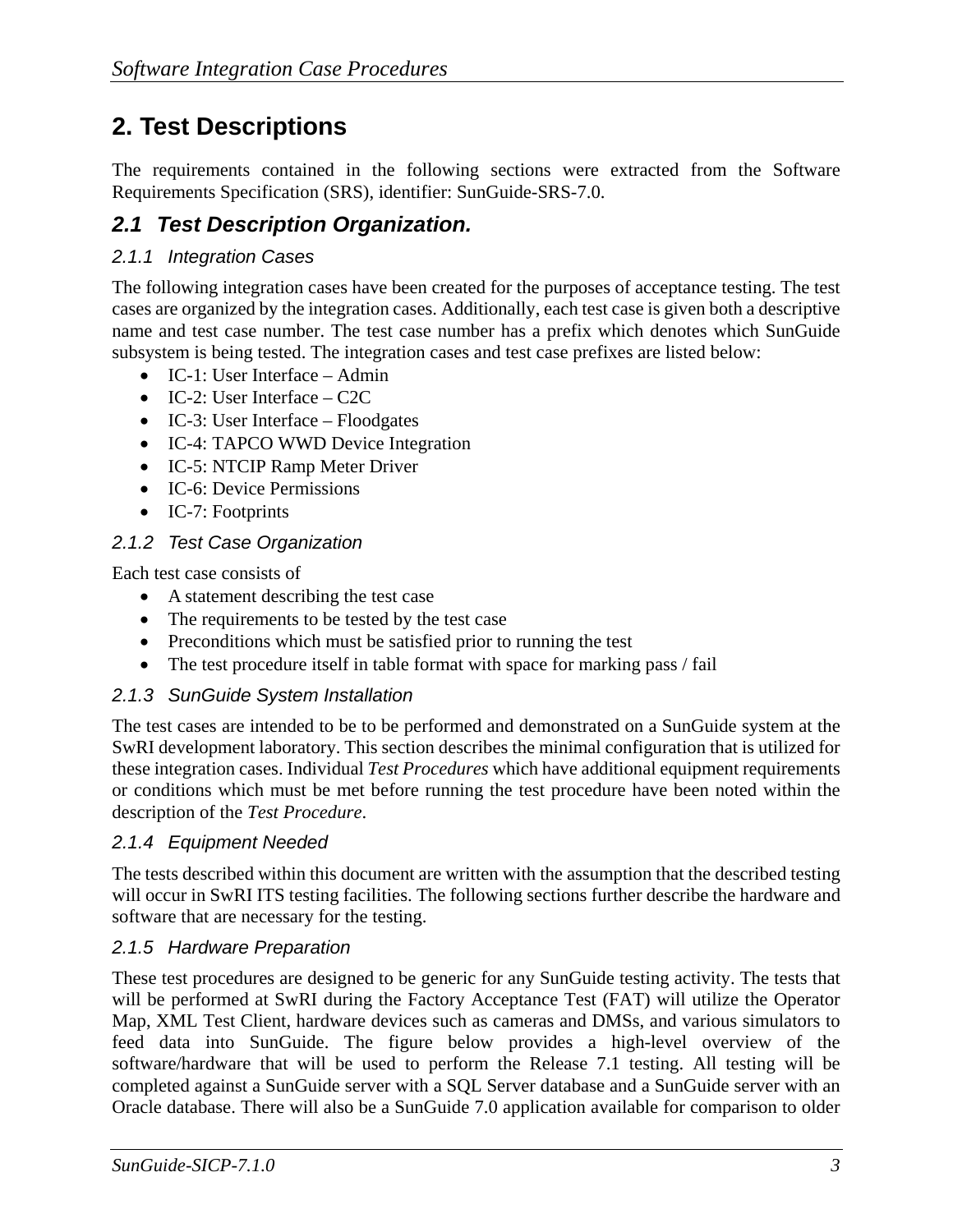# **2. Test Descriptions**

The requirements contained in the following sections were extracted from the Software Requirements Specification (SRS), identifier: SunGuide-SRS-7.0.

### *2.1 Test Description Organization.*

### *2.1.1 Integration Cases*

The following integration cases have been created for the purposes of acceptance testing. The test cases are organized by the integration cases. Additionally, each test case is given both a descriptive name and test case number. The test case number has a prefix which denotes which SunGuide subsystem is being tested. The integration cases and test case prefixes are listed below:

- IC-1: User Interface Admin
- $\bullet$  IC-2: User Interface C2C
- IC-3: User Interface Floodgates
- IC-4: TAPCO WWD Device Integration
- IC-5: NTCIP Ramp Meter Driver
- IC-6: Device Permissions
- IC-7: Footprints

### *2.1.2 Test Case Organization*

Each test case consists of

- A statement describing the test case
- The requirements to be tested by the test case
- Preconditions which must be satisfied prior to running the test
- The test procedure itself in table format with space for marking pass / fail

### *2.1.3 SunGuide System Installation*

The test cases are intended to be to be performed and demonstrated on a SunGuide system at the SwRI development laboratory. This section describes the minimal configuration that is utilized for these integration cases. Individual *Test Procedures* which have additional equipment requirements or conditions which must be met before running the test procedure have been noted within the description of the *Test Procedure*.

### *2.1.4 Equipment Needed*

The tests described within this document are written with the assumption that the described testing will occur in SwRI ITS testing facilities. The following sections further describe the hardware and software that are necessary for the testing.

### *2.1.5 Hardware Preparation*

These test procedures are designed to be generic for any SunGuide testing activity. The tests that will be performed at SwRI during the Factory Acceptance Test (FAT) will utilize the Operator Map, XML Test Client, hardware devices such as cameras and DMSs, and various simulators to feed data into SunGuide. The figure below provides a high-level overview of the software/hardware that will be used to perform the Release 7.1 testing. All testing will be completed against a SunGuide server with a SQL Server database and a SunGuide server with an Oracle database. There will also be a SunGuide 7.0 application available for comparison to older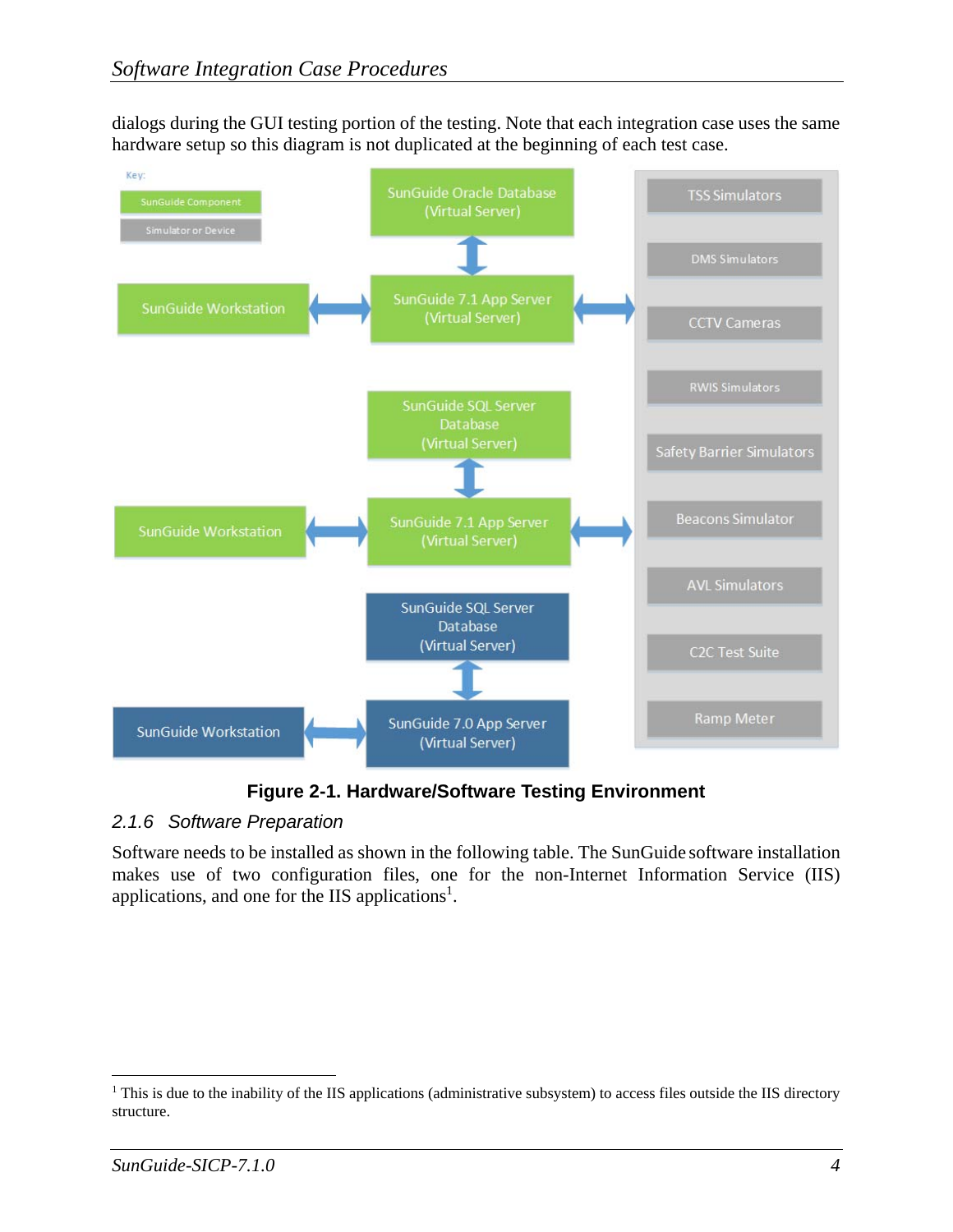dialogs during the GUI testing portion of the testing. Note that each integration case uses the same hardware setup so this diagram is not duplicated at the beginning of each test case.



**Figure 2-1. Hardware/Software Testing Environment** 

### *2.1.6 Software Preparation*

Software needs to be installed as shown in the following table. The SunGuide software installation makes use of two configuration files, one for the non-Internet Information Service (IIS) applications, and one for the IIS applications<sup>1</sup>.

 $\overline{a}$ 

<sup>&</sup>lt;sup>1</sup> This is due to the inability of the IIS applications (administrative subsystem) to access files outside the IIS directory structure.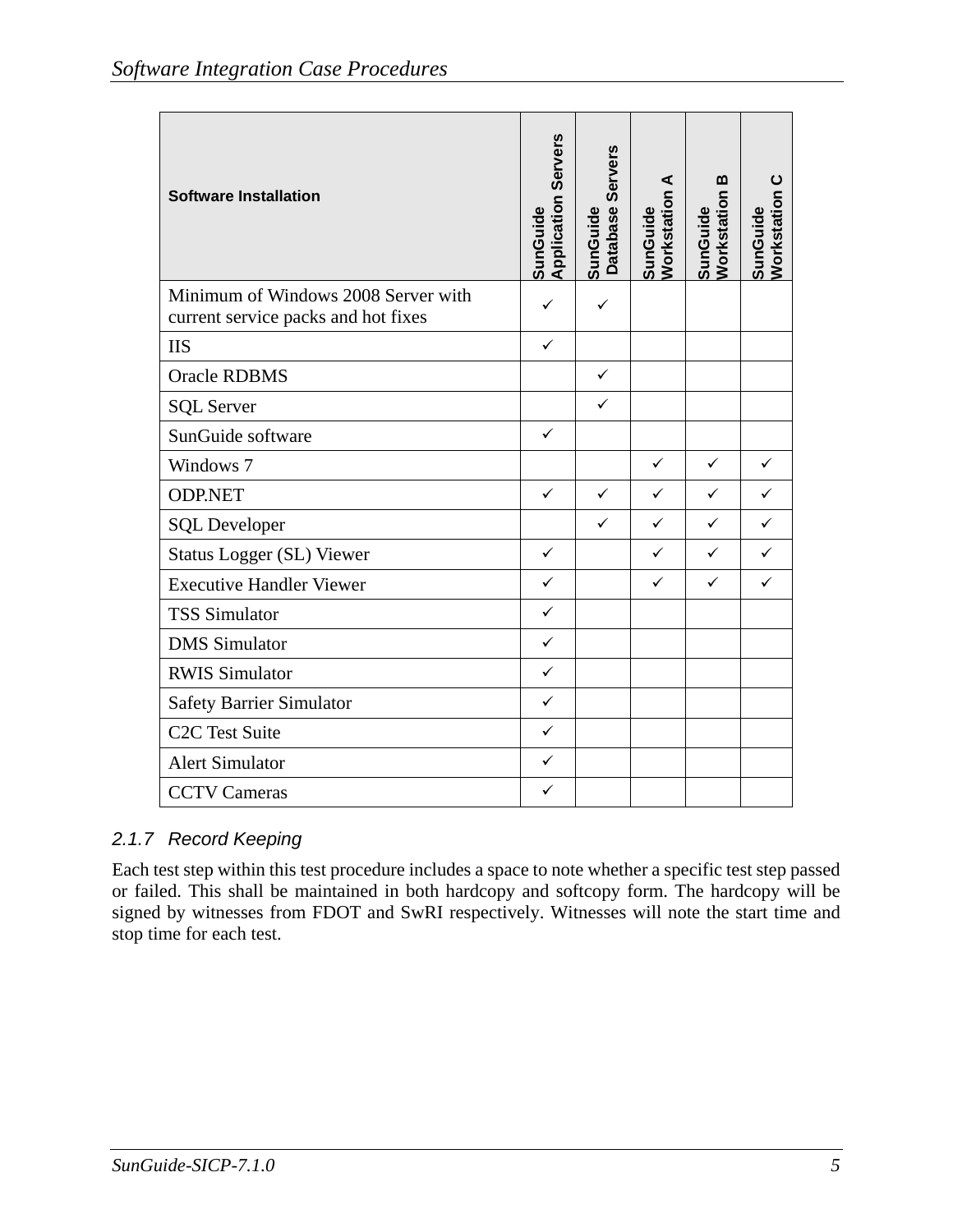| <b>Software Installation</b>                                               | <b>Application Servers</b><br>SunGuide | Database Servers<br>SunGuide | <b>Workstation A</b><br>SunGuide | m<br>Workstation<br>SunGuide | <b>Workstation</b><br>SunGuide |
|----------------------------------------------------------------------------|----------------------------------------|------------------------------|----------------------------------|------------------------------|--------------------------------|
| Minimum of Windows 2008 Server with<br>current service packs and hot fixes | ✓                                      | $\checkmark$                 |                                  |                              |                                |
| <b>IIS</b>                                                                 | ✓                                      |                              |                                  |                              |                                |
| <b>Oracle RDBMS</b>                                                        |                                        | ✓                            |                                  |                              |                                |
| <b>SQL Server</b>                                                          |                                        | $\checkmark$                 |                                  |                              |                                |
| SunGuide software                                                          | ✓                                      |                              |                                  |                              |                                |
| Windows 7                                                                  |                                        |                              | $\checkmark$                     | $\checkmark$                 | $\checkmark$                   |
| <b>ODP.NET</b>                                                             | $\checkmark$                           | $\checkmark$                 | ✓                                | $\checkmark$                 | ✓                              |
| <b>SQL</b> Developer                                                       |                                        | ✓                            | ✓                                | $\checkmark$                 | ✓                              |
| <b>Status Logger (SL) Viewer</b>                                           | $\checkmark$                           |                              | ✓                                | $\checkmark$                 | ✓                              |
| <b>Executive Handler Viewer</b>                                            | ✓                                      |                              | ✓                                | $\checkmark$                 | ✓                              |
| <b>TSS Simulator</b>                                                       | $\checkmark$                           |                              |                                  |                              |                                |
| <b>DMS</b> Simulator                                                       | ✓                                      |                              |                                  |                              |                                |
| <b>RWIS Simulator</b>                                                      | ✓                                      |                              |                                  |                              |                                |
| <b>Safety Barrier Simulator</b>                                            | $\checkmark$                           |                              |                                  |                              |                                |
| C <sub>2</sub> C Test Suite                                                | ✓                                      |                              |                                  |                              |                                |
| <b>Alert Simulator</b>                                                     | $\checkmark$                           |                              |                                  |                              |                                |
| <b>CCTV</b> Cameras                                                        | ✓                                      |                              |                                  |                              |                                |

### *2.1.7 Record Keeping*

Each test step within this test procedure includes a space to note whether a specific test step passed or failed. This shall be maintained in both hardcopy and softcopy form. The hardcopy will be signed by witnesses from FDOT and SwRI respectively. Witnesses will note the start time and stop time for each test.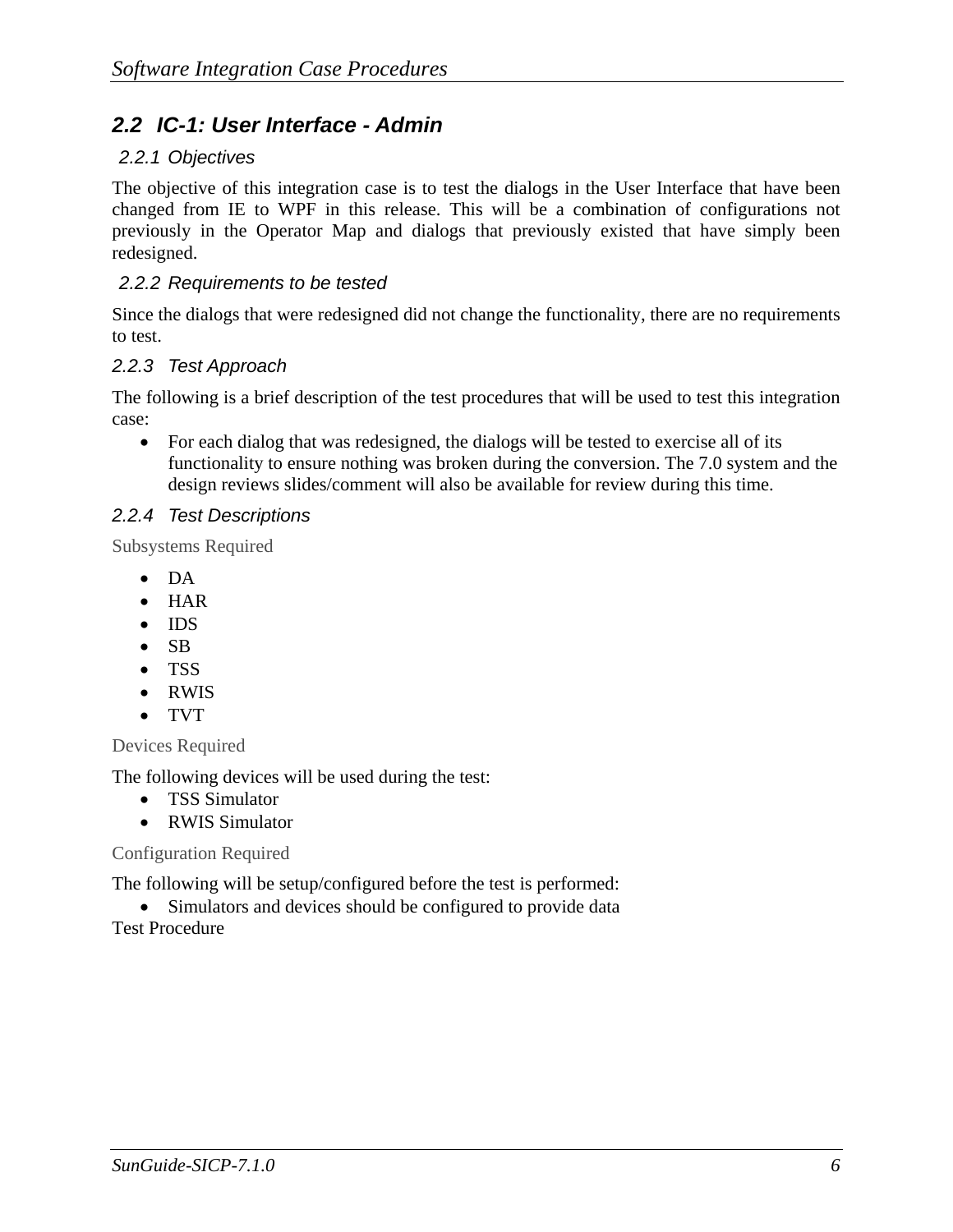### *2.2 IC-1: User Interface - Admin*

### *2.2.1 Objectives*

The objective of this integration case is to test the dialogs in the User Interface that have been changed from IE to WPF in this release. This will be a combination of configurations not previously in the Operator Map and dialogs that previously existed that have simply been redesigned.

### *2.2.2 Requirements to be tested*

Since the dialogs that were redesigned did not change the functionality, there are no requirements to test.

### *2.2.3 Test Approach*

The following is a brief description of the test procedures that will be used to test this integration case:

• For each dialog that was redesigned, the dialogs will be tested to exercise all of its functionality to ensure nothing was broken during the conversion. The 7.0 system and the design reviews slides/comment will also be available for review during this time.

### *2.2.4 Test Descriptions*

Subsystems Required

- $\bullet$  DA
- $\bullet$  HAR
- $\bullet$  IDS
- $\bullet$  SB
- TSS
- RWIS
- TVT

Devices Required

The following devices will be used during the test:

- TSS Simulator
- RWIS Simulator

### Configuration Required

The following will be setup/configured before the test is performed:

 Simulators and devices should be configured to provide data Test Procedure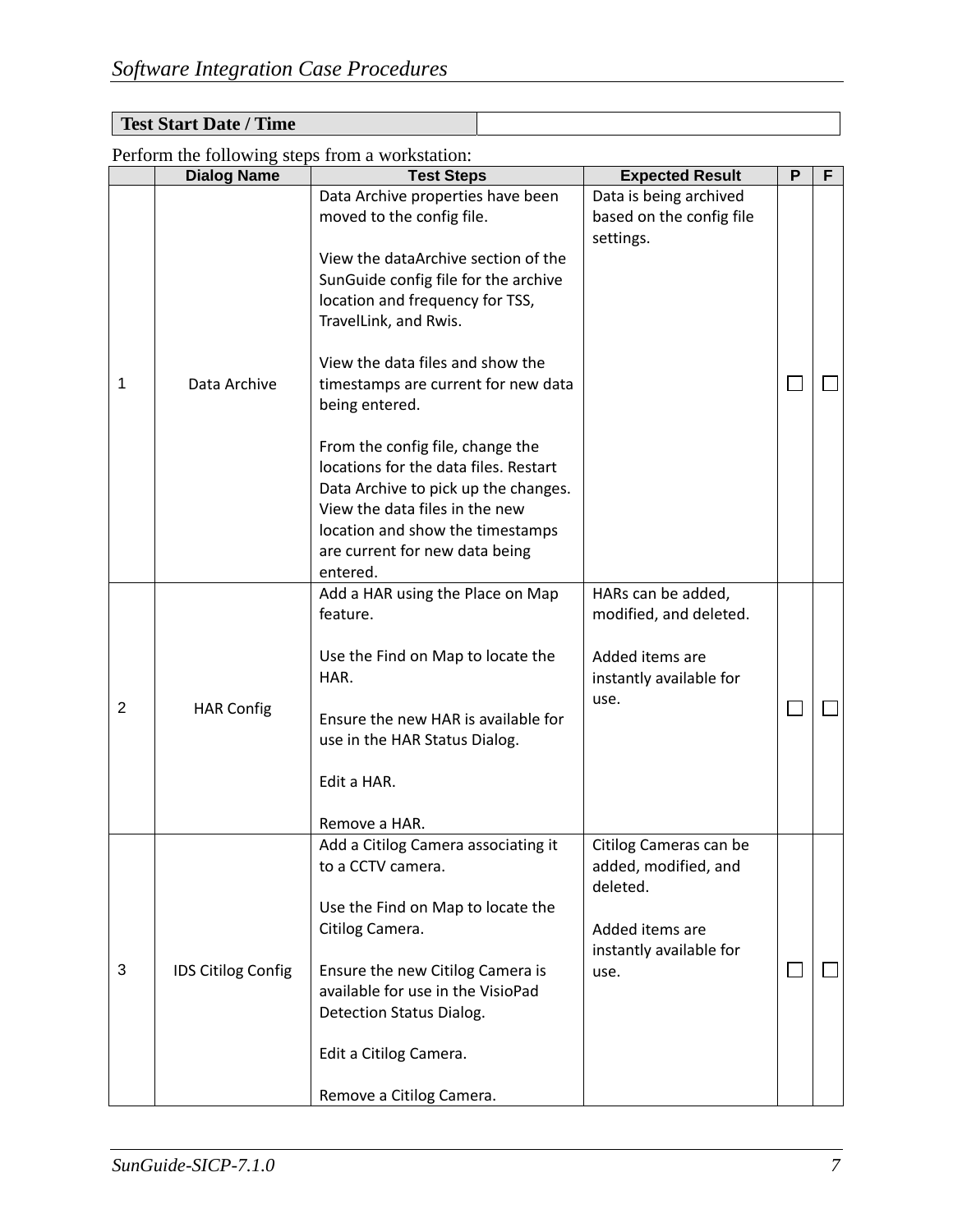### **Test Start Date / Time**

|                | <b>Dialog Name</b>        | Tonowing steps from a workst<br><b>Test Steps</b> | <b>Expected Result</b>   | P | F |
|----------------|---------------------------|---------------------------------------------------|--------------------------|---|---|
|                |                           | Data Archive properties have been                 | Data is being archived   |   |   |
|                |                           | moved to the config file.                         | based on the config file |   |   |
|                |                           |                                                   | settings.                |   |   |
|                |                           | View the dataArchive section of the               |                          |   |   |
|                |                           | SunGuide config file for the archive              |                          |   |   |
|                |                           | location and frequency for TSS,                   |                          |   |   |
|                |                           | TravelLink, and Rwis.                             |                          |   |   |
|                |                           |                                                   |                          |   |   |
|                |                           | View the data files and show the                  |                          |   |   |
| 1              | Data Archive              | timestamps are current for new data               |                          |   |   |
|                |                           | being entered.                                    |                          |   |   |
|                |                           |                                                   |                          |   |   |
|                |                           | From the config file, change the                  |                          |   |   |
|                |                           | locations for the data files. Restart             |                          |   |   |
|                |                           | Data Archive to pick up the changes.              |                          |   |   |
|                |                           | View the data files in the new                    |                          |   |   |
|                |                           | location and show the timestamps                  |                          |   |   |
|                |                           | are current for new data being                    |                          |   |   |
|                |                           | entered.                                          |                          |   |   |
|                |                           | Add a HAR using the Place on Map                  | HARs can be added,       |   |   |
|                |                           | feature.                                          | modified, and deleted.   |   |   |
|                |                           |                                                   |                          |   |   |
|                |                           | Use the Find on Map to locate the                 | Added items are          |   |   |
|                |                           | HAR.                                              | instantly available for  |   |   |
| $\overline{2}$ | <b>HAR Config</b>         |                                                   | use.                     |   |   |
|                |                           | Ensure the new HAR is available for               |                          |   |   |
|                |                           | use in the HAR Status Dialog.                     |                          |   |   |
|                |                           | Edit a HAR.                                       |                          |   |   |
|                |                           |                                                   |                          |   |   |
|                |                           | Remove a HAR.                                     |                          |   |   |
|                |                           | Add a Citilog Camera associating it               | Citilog Cameras can be   |   |   |
|                |                           | to a CCTV camera.                                 | added, modified, and     |   |   |
|                |                           |                                                   | deleted.                 |   |   |
|                |                           | Use the Find on Map to locate the                 |                          |   |   |
|                |                           | Citilog Camera.                                   | Added items are          |   |   |
|                |                           |                                                   | instantly available for  |   |   |
| 3              | <b>IDS Citilog Config</b> | Ensure the new Citilog Camera is                  | use.                     |   |   |
|                |                           | available for use in the VisioPad                 |                          |   |   |
|                |                           | Detection Status Dialog.                          |                          |   |   |
|                |                           |                                                   |                          |   |   |
|                |                           | Edit a Citilog Camera.                            |                          |   |   |
|                |                           |                                                   |                          |   |   |
|                |                           | Remove a Citilog Camera.                          |                          |   |   |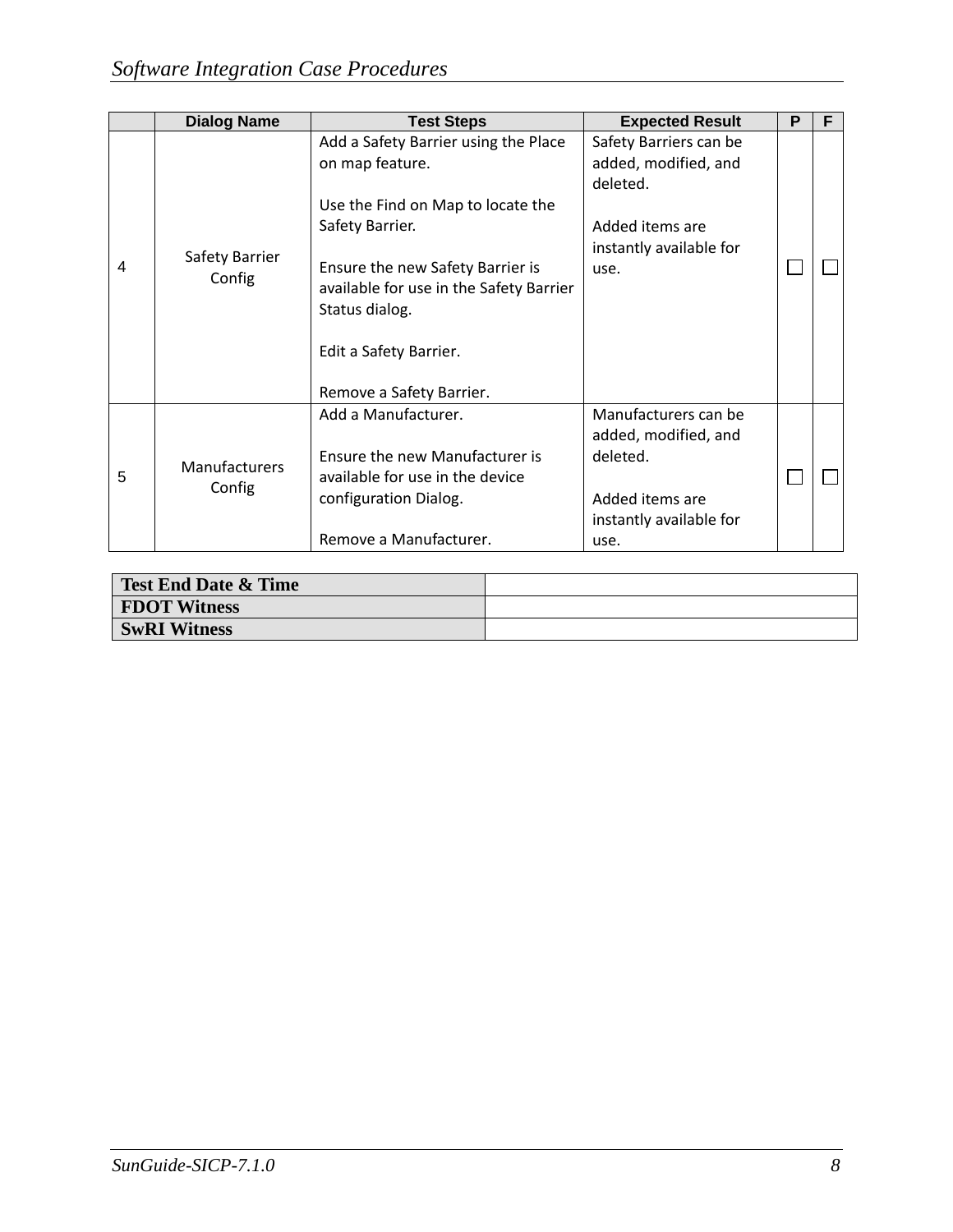|                | <b>Dialog Name</b>       | <b>Test Steps</b>                                                                                                                                                                                           | <b>Expected Result</b>                                                                                         | P | F |
|----------------|--------------------------|-------------------------------------------------------------------------------------------------------------------------------------------------------------------------------------------------------------|----------------------------------------------------------------------------------------------------------------|---|---|
|                |                          | Add a Safety Barrier using the Place<br>on map feature.                                                                                                                                                     | Safety Barriers can be<br>added, modified, and<br>deleted.                                                     |   |   |
| $\overline{4}$ | Safety Barrier<br>Config | Use the Find on Map to locate the<br>Safety Barrier.<br>Ensure the new Safety Barrier is<br>available for use in the Safety Barrier<br>Status dialog.<br>Edit a Safety Barrier.<br>Remove a Safety Barrier. | Added items are<br>instantly available for<br>use.                                                             |   |   |
| 5              | Manufacturers<br>Config  | Add a Manufacturer.<br>Ensure the new Manufacturer is<br>available for use in the device<br>configuration Dialog.<br>Remove a Manufacturer.                                                                 | Manufacturers can be<br>added, modified, and<br>deleted.<br>Added items are<br>instantly available for<br>use. |   |   |

| <b>Test End Date &amp; Time</b> |  |
|---------------------------------|--|
| <b>FDOT Witness</b>             |  |
| <b>SwRI Witness</b>             |  |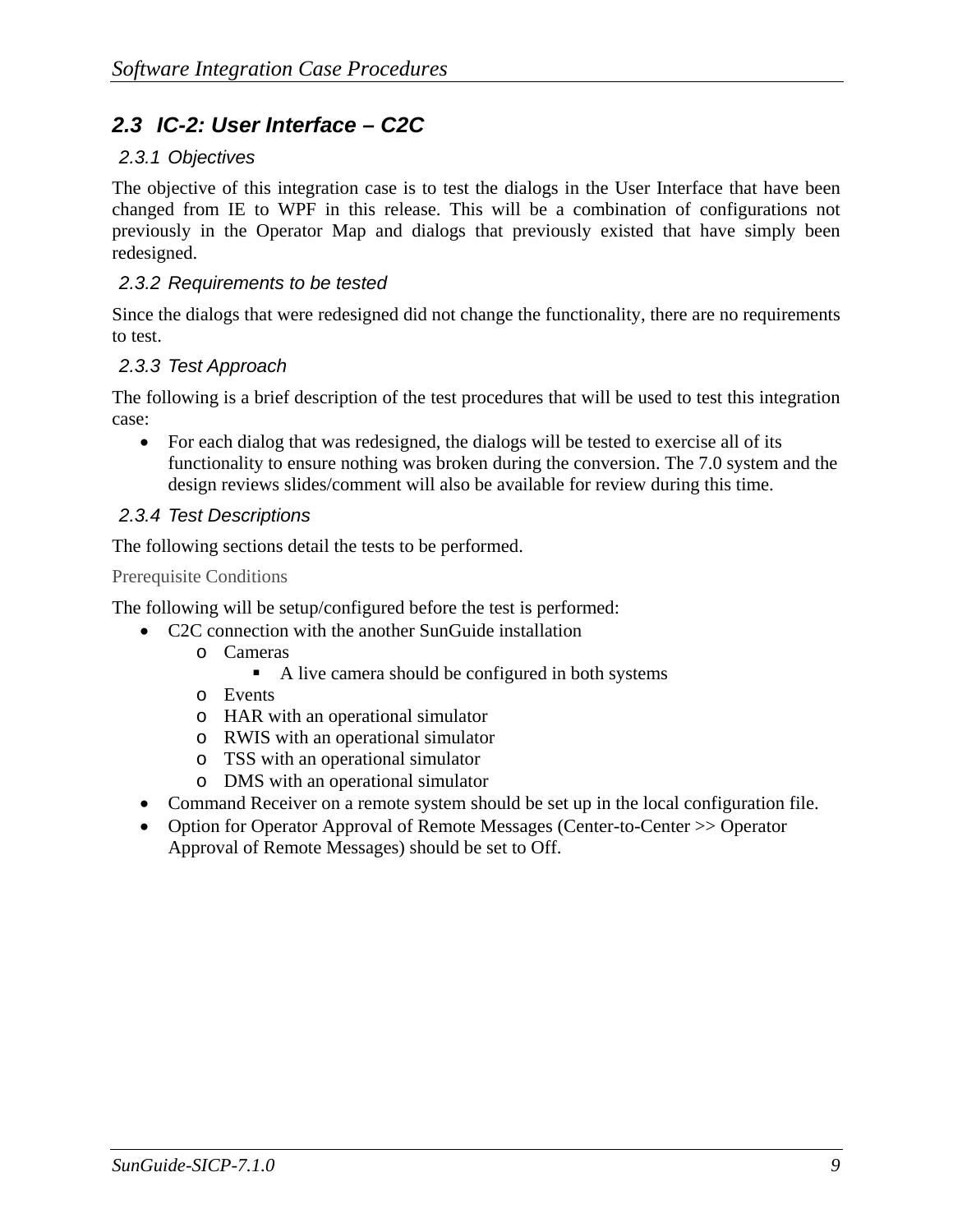### *2.3 IC-2: User Interface – C2C*

### *2.3.1 Objectives*

The objective of this integration case is to test the dialogs in the User Interface that have been changed from IE to WPF in this release. This will be a combination of configurations not previously in the Operator Map and dialogs that previously existed that have simply been redesigned.

### *2.3.2 Requirements to be tested*

Since the dialogs that were redesigned did not change the functionality, there are no requirements to test.

### *2.3.3 Test Approach*

The following is a brief description of the test procedures that will be used to test this integration case:

• For each dialog that was redesigned, the dialogs will be tested to exercise all of its functionality to ensure nothing was broken during the conversion. The 7.0 system and the design reviews slides/comment will also be available for review during this time.

### *2.3.4 Test Descriptions*

The following sections detail the tests to be performed.

#### Prerequisite Conditions

The following will be setup/configured before the test is performed:

- C2C connection with the another SunGuide installation
	- o Cameras
		- A live camera should be configured in both systems
	- o Events
	- o HAR with an operational simulator
	- o RWIS with an operational simulator
	- o TSS with an operational simulator
	- o DMS with an operational simulator
- Command Receiver on a remote system should be set up in the local configuration file.
- Option for Operator Approval of Remote Messages (Center-to-Center >> Operator Approval of Remote Messages) should be set to Off.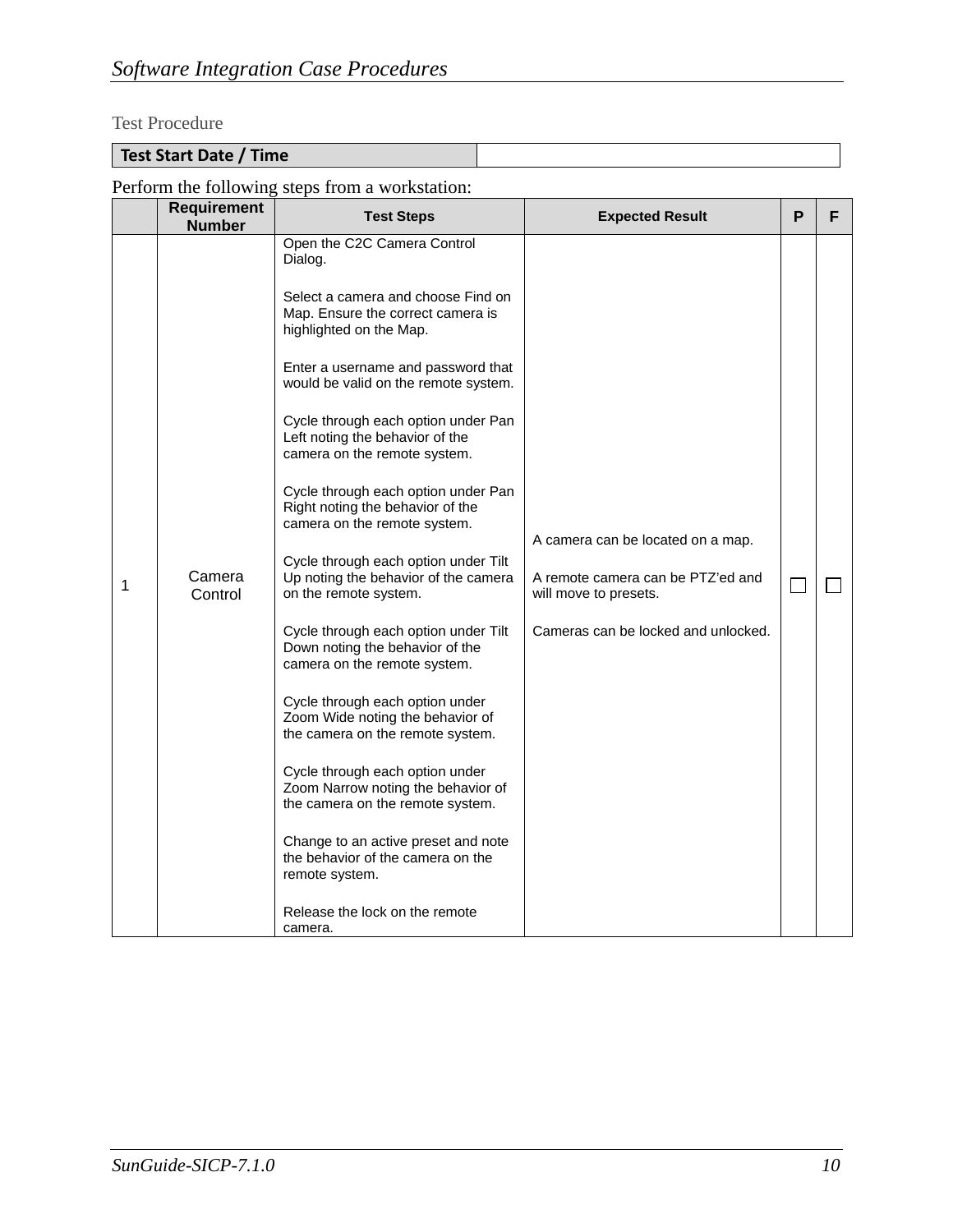### Test Procedure

### **Test Start Date / Time**

|   | <b>Requirement</b><br><b>Number</b> | <b>Test Steps</b>                                                                                                                                                                                                                                                                                                                                                                                                                                                                                                                                        | <b>Expected Result</b>                                                                          | P | F |
|---|-------------------------------------|----------------------------------------------------------------------------------------------------------------------------------------------------------------------------------------------------------------------------------------------------------------------------------------------------------------------------------------------------------------------------------------------------------------------------------------------------------------------------------------------------------------------------------------------------------|-------------------------------------------------------------------------------------------------|---|---|
| 1 | Camera<br>Control                   | Open the C2C Camera Control<br>Dialog.<br>Select a camera and choose Find on<br>Map. Ensure the correct camera is<br>highlighted on the Map.<br>Enter a username and password that<br>would be valid on the remote system.<br>Cycle through each option under Pan<br>Left noting the behavior of the<br>camera on the remote system.<br>Cycle through each option under Pan<br>Right noting the behavior of the<br>camera on the remote system.<br>Cycle through each option under Tilt<br>Up noting the behavior of the camera<br>on the remote system. | A camera can be located on a map.<br>A remote camera can be PTZ'ed and<br>will move to presets. |   |   |
|   |                                     | Cycle through each option under Tilt<br>Down noting the behavior of the<br>camera on the remote system.<br>Cycle through each option under<br>Zoom Wide noting the behavior of<br>the camera on the remote system.<br>Cycle through each option under<br>Zoom Narrow noting the behavior of<br>the camera on the remote system.<br>Change to an active preset and note<br>the behavior of the camera on the<br>remote system.<br>Release the lock on the remote<br>camera.                                                                               | Cameras can be locked and unlocked.                                                             |   |   |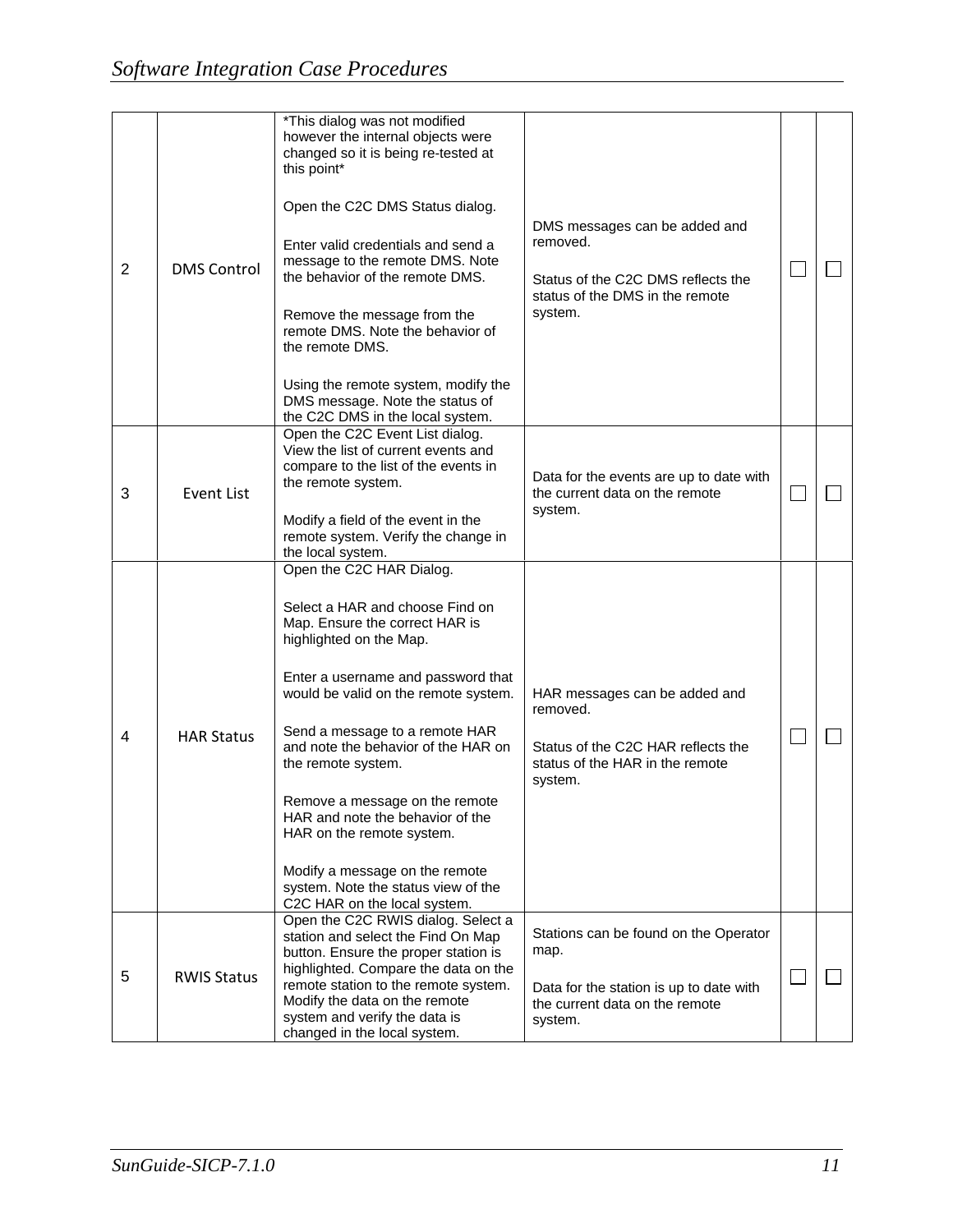| $\overline{2}$ |                    | *This dialog was not modified<br>however the internal objects were<br>changed so it is being re-tested at<br>this point*<br>Open the C2C DMS Status dialog.                                                                                                                                                                                                                                                                                                                                                       |                                                                                                                                       |        |  |
|----------------|--------------------|-------------------------------------------------------------------------------------------------------------------------------------------------------------------------------------------------------------------------------------------------------------------------------------------------------------------------------------------------------------------------------------------------------------------------------------------------------------------------------------------------------------------|---------------------------------------------------------------------------------------------------------------------------------------|--------|--|
|                | <b>DMS Control</b> | Enter valid credentials and send a<br>message to the remote DMS. Note<br>the behavior of the remote DMS.<br>Remove the message from the<br>remote DMS. Note the behavior of                                                                                                                                                                                                                                                                                                                                       | DMS messages can be added and<br>removed.<br>Status of the C2C DMS reflects the<br>status of the DMS in the remote<br>system.         |        |  |
|                |                    | the remote DMS.<br>Using the remote system, modify the<br>DMS message. Note the status of<br>the C2C DMS in the local system.                                                                                                                                                                                                                                                                                                                                                                                     |                                                                                                                                       |        |  |
| 3              | <b>Event List</b>  | Open the C2C Event List dialog.<br>View the list of current events and<br>compare to the list of the events in<br>the remote system.<br>Modify a field of the event in the<br>remote system. Verify the change in<br>the local system.                                                                                                                                                                                                                                                                            | Data for the events are up to date with<br>the current data on the remote<br>system.                                                  | $\Box$ |  |
| 4              | <b>HAR Status</b>  | Open the C2C HAR Dialog.<br>Select a HAR and choose Find on<br>Map. Ensure the correct HAR is<br>highlighted on the Map.<br>Enter a username and password that<br>would be valid on the remote system.<br>Send a message to a remote HAR<br>and note the behavior of the HAR on<br>the remote system.<br>Remove a message on the remote<br>HAR and note the behavior of the<br>HAR on the remote system.<br>Modify a message on the remote<br>system. Note the status view of the<br>C2C HAR on the local system. | HAR messages can be added and<br>removed.<br>Status of the C2C HAR reflects the<br>status of the HAR in the remote<br>system.         | $\Box$ |  |
| 5              | <b>RWIS Status</b> | Open the C2C RWIS dialog. Select a<br>station and select the Find On Map<br>button. Ensure the proper station is<br>highlighted. Compare the data on the<br>remote station to the remote system.<br>Modify the data on the remote<br>system and verify the data is<br>changed in the local system.                                                                                                                                                                                                                | Stations can be found on the Operator<br>map.<br>Data for the station is up to date with<br>the current data on the remote<br>system. |        |  |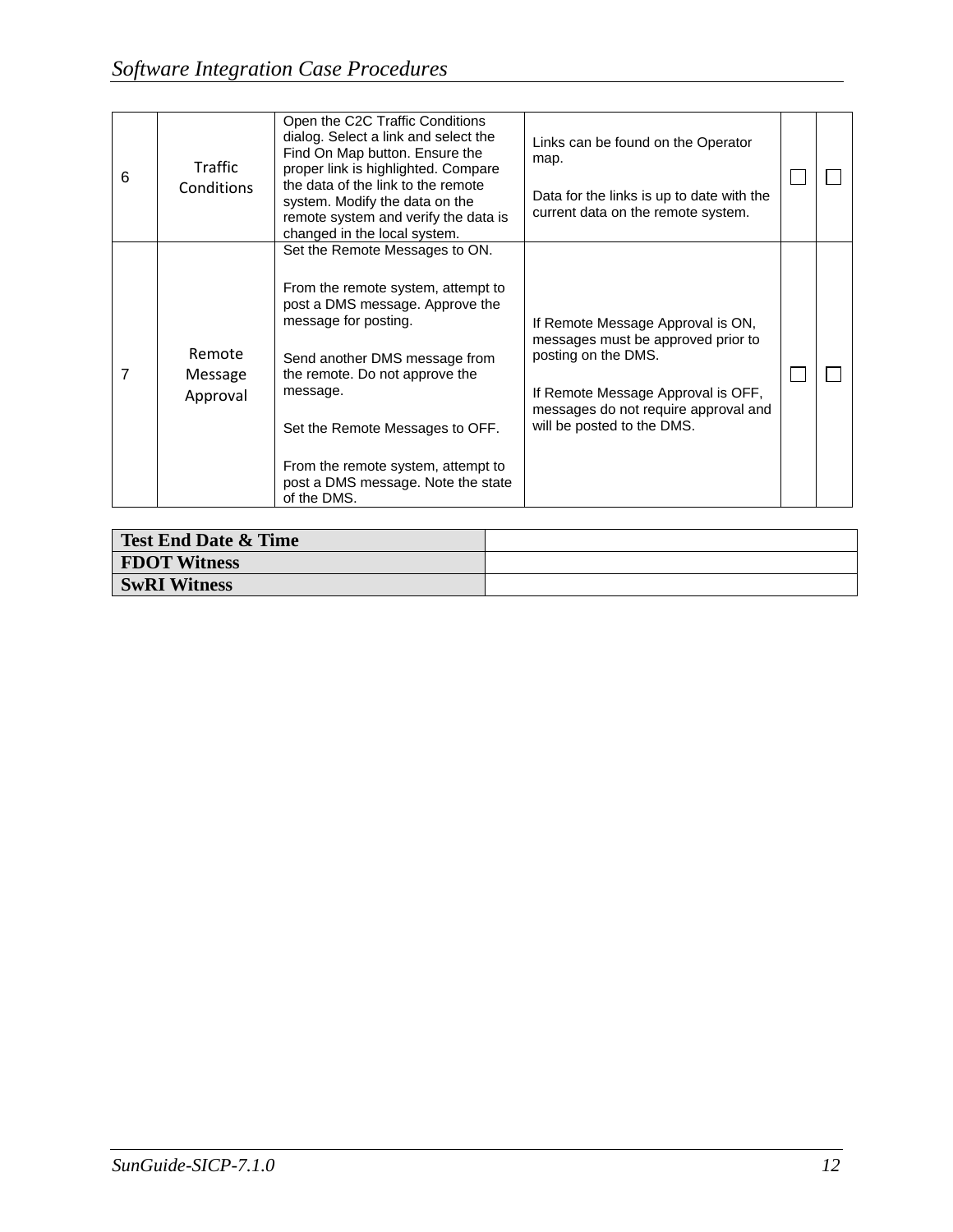| 6 | Traffic<br>Conditions         | Open the C2C Traffic Conditions<br>dialog. Select a link and select the<br>Find On Map button. Ensure the<br>proper link is highlighted. Compare<br>the data of the link to the remote<br>system. Modify the data on the<br>remote system and verify the data is<br>changed in the local system.                                             | Links can be found on the Operator<br>map.<br>Data for the links is up to date with the<br>current data on the remote system.                                                                              |  |
|---|-------------------------------|----------------------------------------------------------------------------------------------------------------------------------------------------------------------------------------------------------------------------------------------------------------------------------------------------------------------------------------------|------------------------------------------------------------------------------------------------------------------------------------------------------------------------------------------------------------|--|
|   | Remote<br>Message<br>Approval | Set the Remote Messages to ON.<br>From the remote system, attempt to<br>post a DMS message. Approve the<br>message for posting.<br>Send another DMS message from<br>the remote. Do not approve the<br>message.<br>Set the Remote Messages to OFF.<br>From the remote system, attempt to<br>post a DMS message. Note the state<br>of the DMS. | If Remote Message Approval is ON,<br>messages must be approved prior to<br>posting on the DMS.<br>If Remote Message Approval is OFF,<br>messages do not require approval and<br>will be posted to the DMS. |  |

| Test End Date & Time |  |
|----------------------|--|
| <b>FDOT Witness</b>  |  |
| <b>SwRI Witness</b>  |  |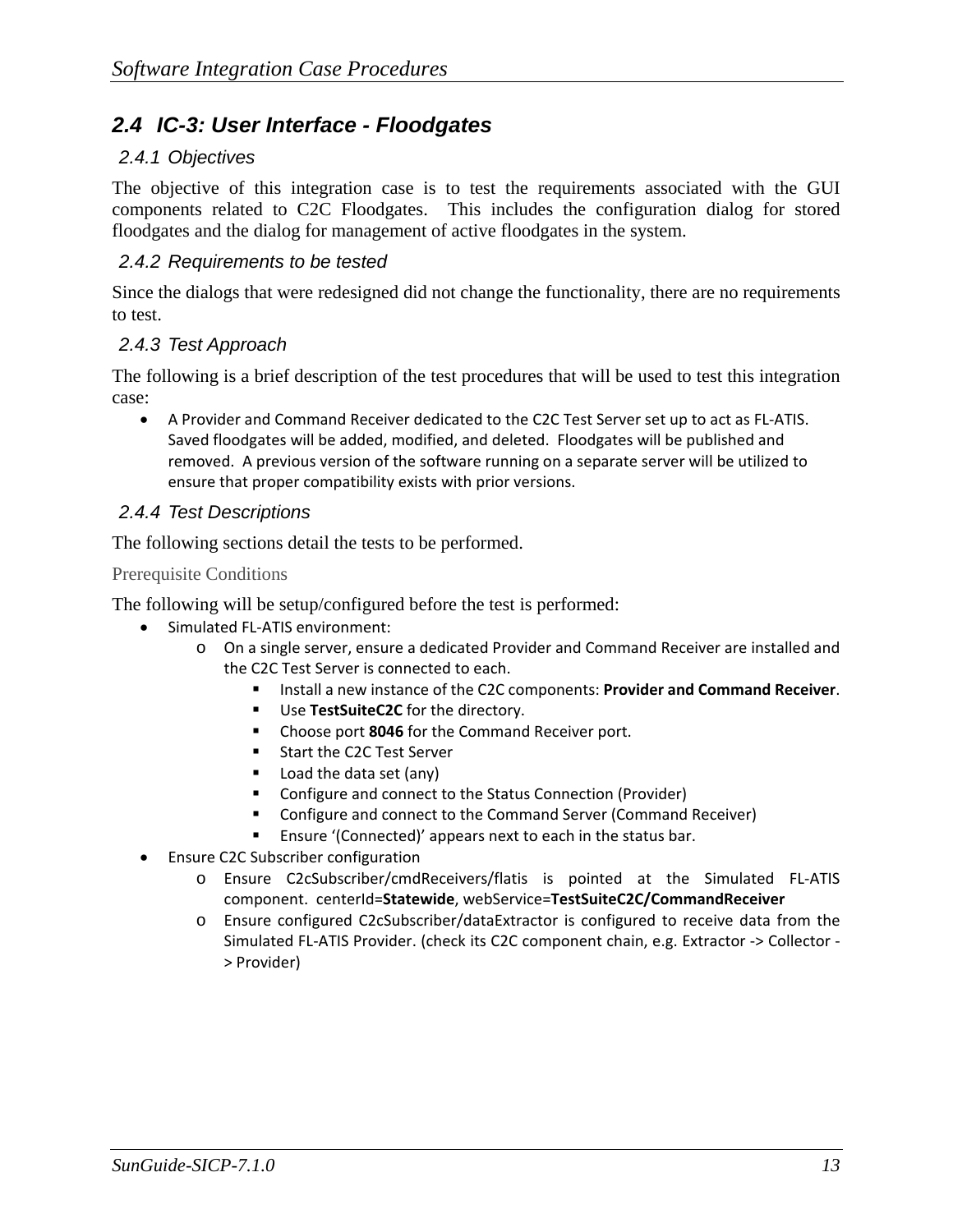### *2.4 IC-3: User Interface - Floodgates*

### *2.4.1 Objectives*

The objective of this integration case is to test the requirements associated with the GUI components related to C2C Floodgates. This includes the configuration dialog for stored floodgates and the dialog for management of active floodgates in the system.

### *2.4.2 Requirements to be tested*

Since the dialogs that were redesigned did not change the functionality, there are no requirements to test.

### *2.4.3 Test Approach*

The following is a brief description of the test procedures that will be used to test this integration case:

 A Provider and Command Receiver dedicated to the C2C Test Server set up to act as FL‐ATIS. Saved floodgates will be added, modified, and deleted. Floodgates will be published and removed. A previous version of the software running on a separate server will be utilized to ensure that proper compatibility exists with prior versions.

### *2.4.4 Test Descriptions*

The following sections detail the tests to be performed.

#### Prerequisite Conditions

The following will be setup/configured before the test is performed:

- Simulated FL-ATIS environment:
	- o On a single server, ensure a dedicated Provider and Command Receiver are installed and the C2C Test Server is connected to each.
		- Install a new instance of the C2C components: **Provider and Command Receiver**.
		- **Use TestSuiteC2C** for the directory.
		- Choose port **8046** for the Command Receiver port.
		- Start the C2C Test Server
		- Load the data set (any)
		- Configure and connect to the Status Connection (Provider)
		- Configure and connect to the Command Server (Command Receiver)
		- Ensure '(Connected)' appears next to each in the status bar.
- Ensure C2C Subscriber configuration
	- o Ensure C2cSubscriber/cmdReceivers/flatis is pointed at the Simulated FL‐ATIS component. centerId=**Statewide**, webService=**TestSuiteC2C/CommandReceiver**
	- o Ensure configured C2cSubscriber/dataExtractor is configured to receive data from the Simulated FL‐ATIS Provider. (check its C2C component chain, e.g. Extractor ‐> Collector ‐ > Provider)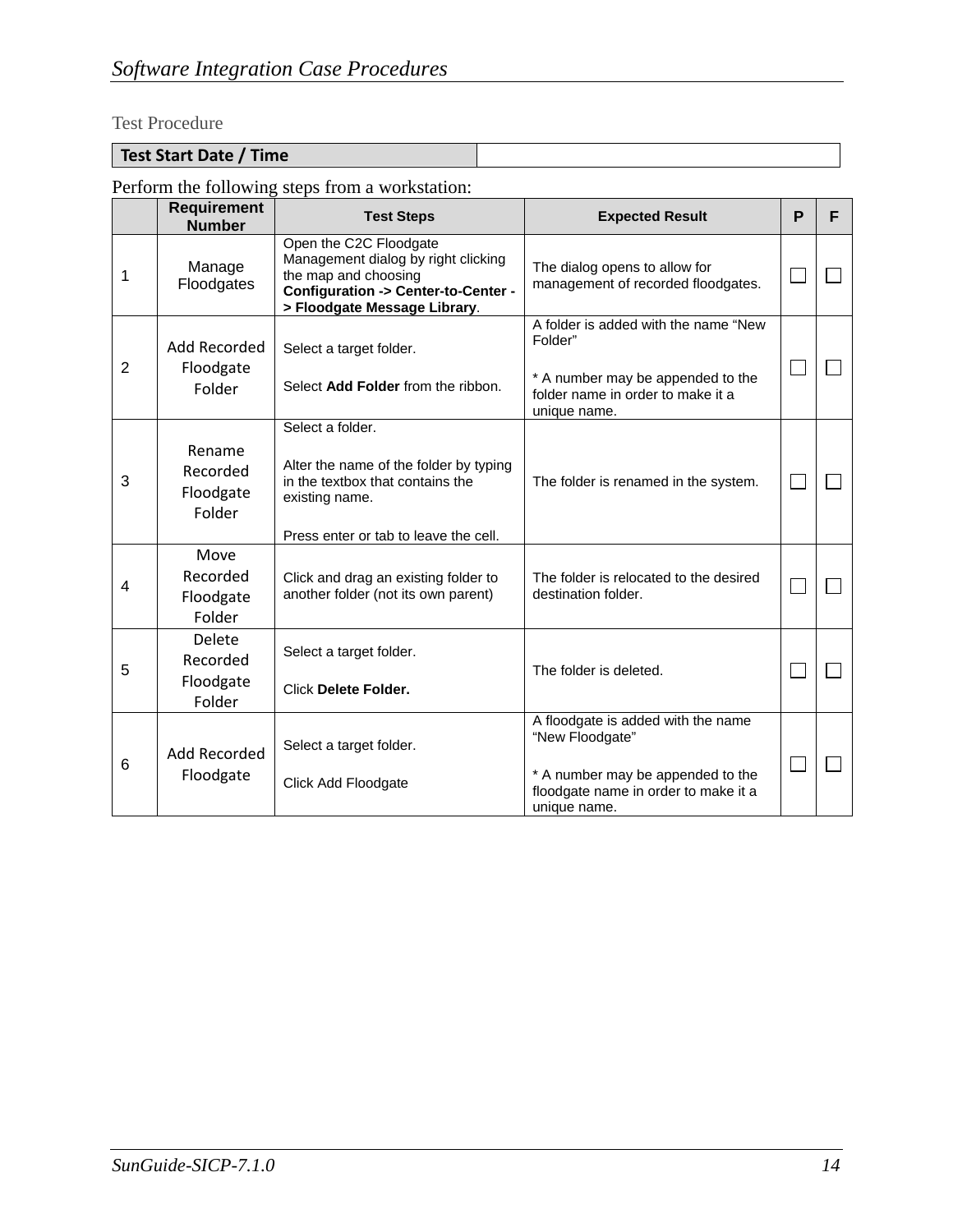Test Procedure

**Test Start Date / Time**

|                | <b>Requirement</b><br><b>Number</b>       | <b>Test Steps</b>                                                                                                                                            | <b>Expected Result</b>                                                                                                                             | P | F |
|----------------|-------------------------------------------|--------------------------------------------------------------------------------------------------------------------------------------------------------------|----------------------------------------------------------------------------------------------------------------------------------------------------|---|---|
| 1              | Manage<br>Floodgates                      | Open the C2C Floodgate<br>Management dialog by right clicking<br>the map and choosing<br>Configuration -> Center-to-Center -<br>> Floodgate Message Library. | The dialog opens to allow for<br>management of recorded floodgates.                                                                                |   |   |
| $\overline{2}$ | Add Recorded<br>Floodgate<br>Folder       | Select a target folder.<br>Select Add Folder from the ribbon.                                                                                                | A folder is added with the name "New<br>Folder"<br>* A number may be appended to the<br>folder name in order to make it a<br>unique name.          |   |   |
| 3              | Rename<br>Recorded<br>Floodgate<br>Folder | Select a folder.<br>Alter the name of the folder by typing<br>in the textbox that contains the<br>existing name.<br>Press enter or tab to leave the cell.    | The folder is renamed in the system.                                                                                                               |   |   |
| 4              | Move<br>Recorded<br>Floodgate<br>Folder   | Click and drag an existing folder to<br>another folder (not its own parent)                                                                                  | The folder is relocated to the desired<br>destination folder.                                                                                      |   |   |
| 5              | Delete<br>Recorded<br>Floodgate<br>Folder | Select a target folder.<br><b>Click Delete Folder.</b>                                                                                                       | The folder is deleted.                                                                                                                             |   |   |
| 6              | Add Recorded<br>Floodgate                 | Select a target folder.<br>Click Add Floodgate                                                                                                               | A floodgate is added with the name<br>"New Floodgate"<br>* A number may be appended to the<br>floodgate name in order to make it a<br>unique name. |   |   |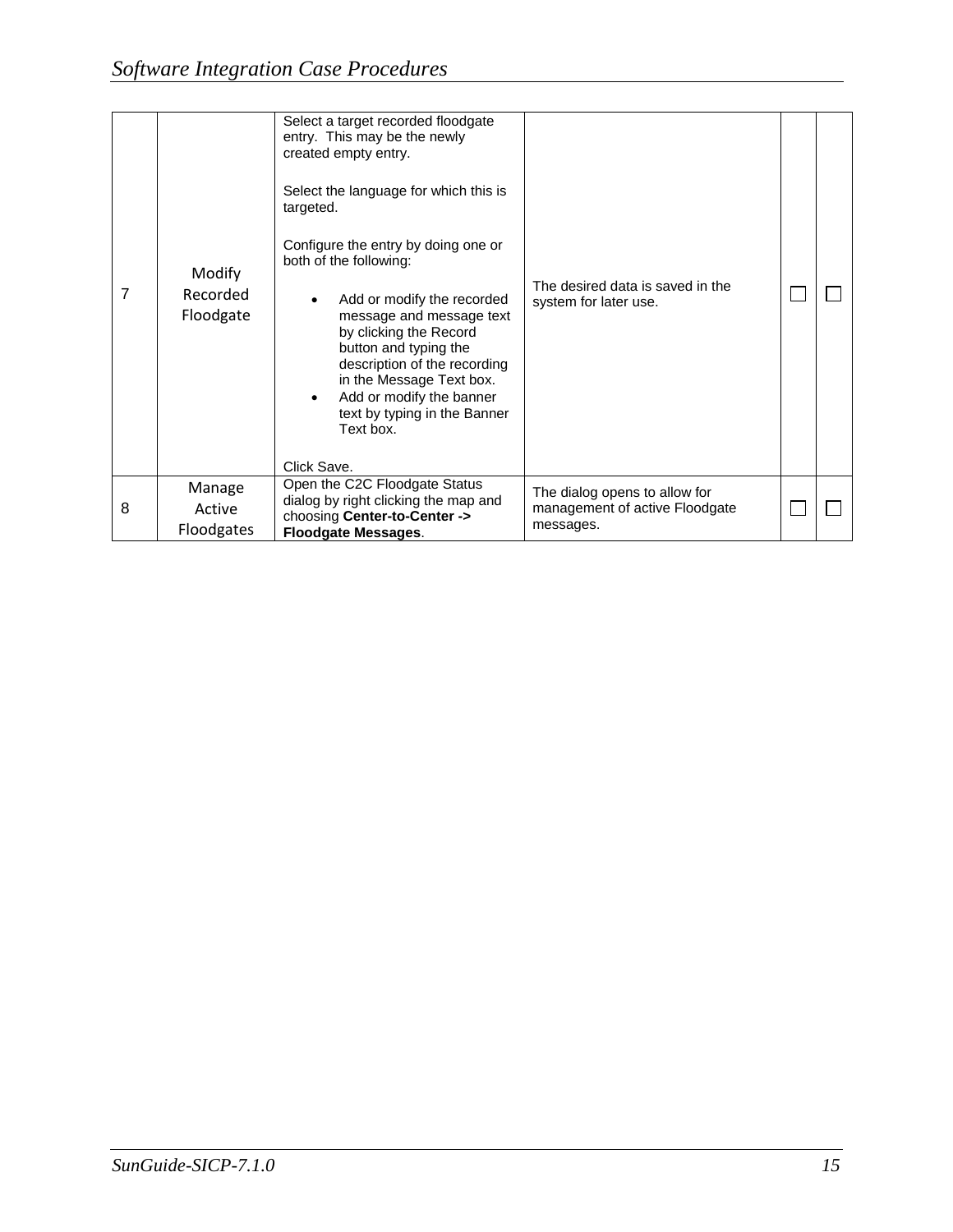| $\overline{7}$ | Modify<br>Recorded<br>Floodgate | Select a target recorded floodgate<br>entry. This may be the newly<br>created empty entry.<br>Select the language for which this is<br>targeted.<br>Configure the entry by doing one or<br>both of the following:<br>Add or modify the recorded<br>message and message text<br>by clicking the Record<br>button and typing the<br>description of the recording<br>in the Message Text box. | The desired data is saved in the<br>system for later use.                    |  |
|----------------|---------------------------------|--------------------------------------------------------------------------------------------------------------------------------------------------------------------------------------------------------------------------------------------------------------------------------------------------------------------------------------------------------------------------------------------|------------------------------------------------------------------------------|--|
|                |                                 | Add or modify the banner<br>$\bullet$<br>text by typing in the Banner<br>Text box.<br>Click Save.                                                                                                                                                                                                                                                                                          |                                                                              |  |
| 8              | Manage<br>Active<br>Floodgates  | Open the C2C Floodgate Status<br>dialog by right clicking the map and<br>choosing Center-to-Center -><br><b>Floodgate Messages.</b>                                                                                                                                                                                                                                                        | The dialog opens to allow for<br>management of active Floodgate<br>messages. |  |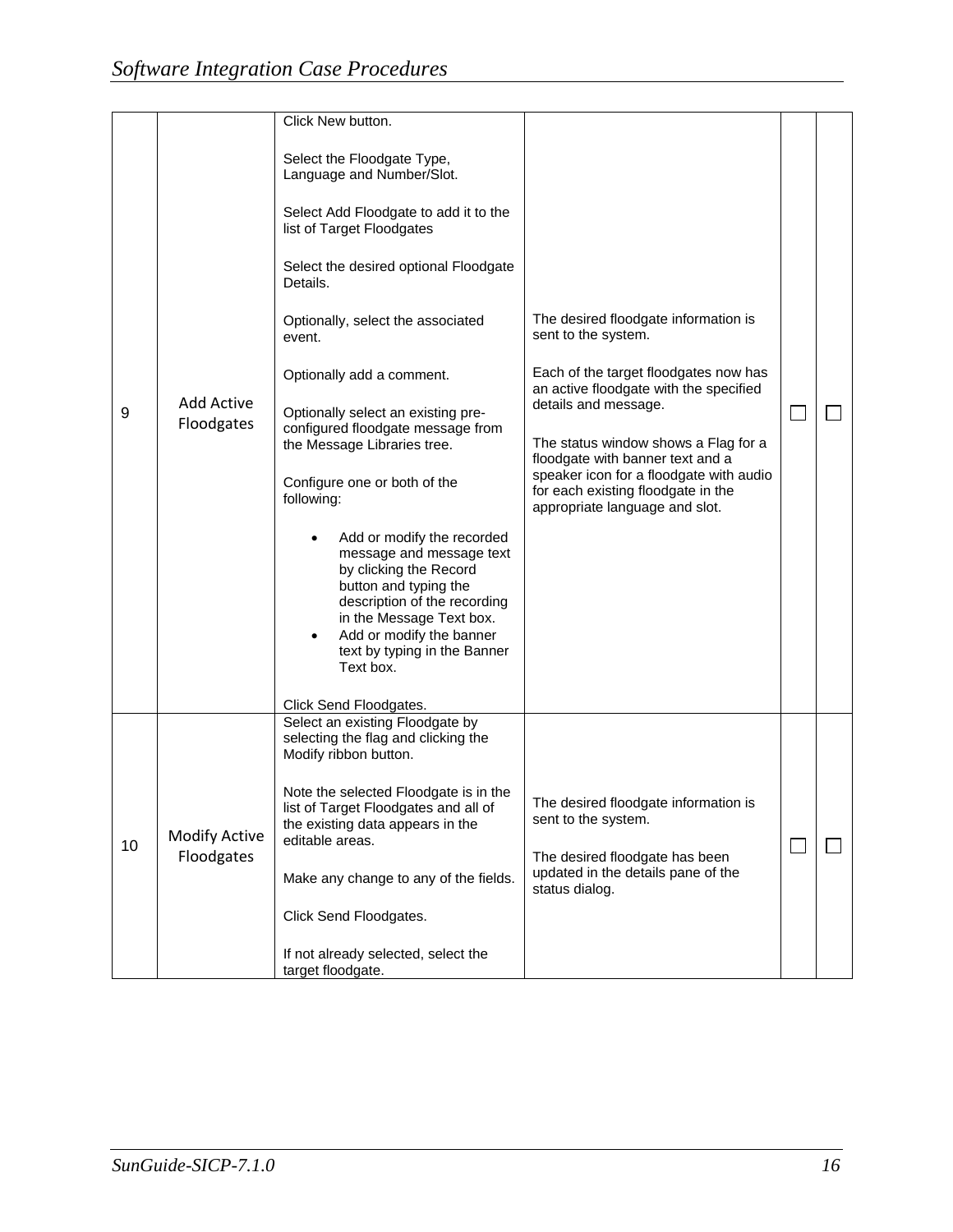|    |                                    | Click New button.                                                                                                                                                                                                                                                                                                                                                                                                                                                                                                                                                                                            |                                                                                                                                                                                                                                                                                                                                                                       |  |
|----|------------------------------------|--------------------------------------------------------------------------------------------------------------------------------------------------------------------------------------------------------------------------------------------------------------------------------------------------------------------------------------------------------------------------------------------------------------------------------------------------------------------------------------------------------------------------------------------------------------------------------------------------------------|-----------------------------------------------------------------------------------------------------------------------------------------------------------------------------------------------------------------------------------------------------------------------------------------------------------------------------------------------------------------------|--|
| 9  | Add Active<br>Floodgates           | Select the Floodgate Type,<br>Language and Number/Slot.<br>Select Add Floodgate to add it to the<br>list of Target Floodgates<br>Select the desired optional Floodgate<br>Details.<br>Optionally, select the associated<br>event.<br>Optionally add a comment.<br>Optionally select an existing pre-<br>configured floodgate message from<br>the Message Libraries tree.<br>Configure one or both of the<br>following:<br>Add or modify the recorded<br>$\bullet$<br>message and message text<br>by clicking the Record<br>button and typing the<br>description of the recording<br>in the Message Text box. | The desired floodgate information is<br>sent to the system.<br>Each of the target floodgates now has<br>an active floodgate with the specified<br>details and message.<br>The status window shows a Flag for a<br>floodgate with banner text and a<br>speaker icon for a floodgate with audio<br>for each existing floodgate in the<br>appropriate language and slot. |  |
|    |                                    | Add or modify the banner<br>text by typing in the Banner<br>Text box.                                                                                                                                                                                                                                                                                                                                                                                                                                                                                                                                        |                                                                                                                                                                                                                                                                                                                                                                       |  |
|    |                                    |                                                                                                                                                                                                                                                                                                                                                                                                                                                                                                                                                                                                              |                                                                                                                                                                                                                                                                                                                                                                       |  |
|    |                                    | Click Send Floodgates.<br>Select an existing Floodgate by                                                                                                                                                                                                                                                                                                                                                                                                                                                                                                                                                    |                                                                                                                                                                                                                                                                                                                                                                       |  |
| 10 | <b>Modify Active</b><br>Floodgates | selecting the flag and clicking the<br>Modify ribbon button.<br>Note the selected Floodgate is in the<br>list of Target Floodgates and all of<br>the existing data appears in the<br>editable areas.<br>Make any change to any of the fields.<br>Click Send Floodgates.<br>If not already selected, select the<br>target floodgate.                                                                                                                                                                                                                                                                          | The desired floodgate information is<br>sent to the system.<br>The desired floodgate has been<br>updated in the details pane of the<br>status dialog.                                                                                                                                                                                                                 |  |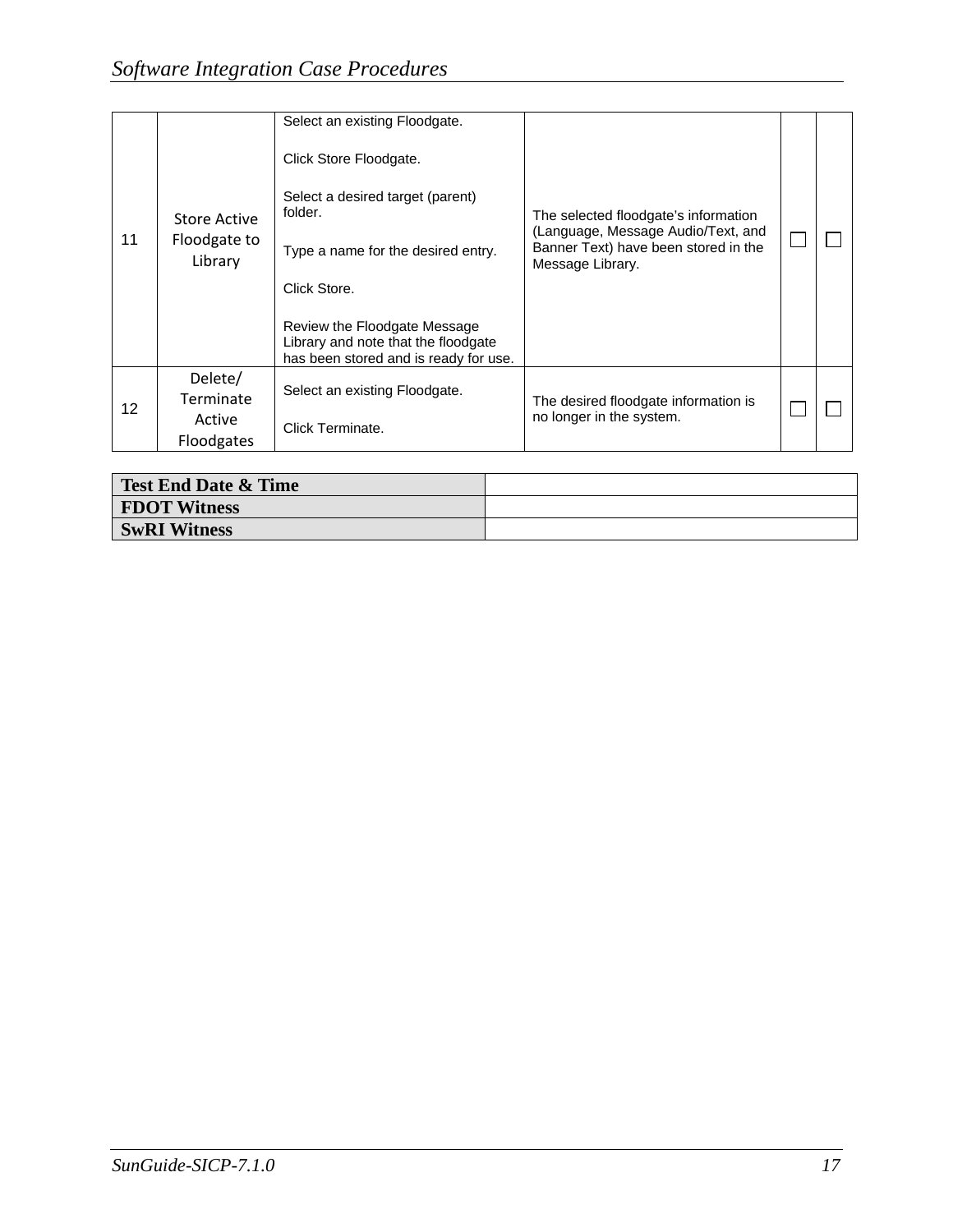| 11 | <b>Store Active</b><br>Floodgate to<br>Library | Select an existing Floodgate.<br>Click Store Floodgate.                                                      |                                                                            |  |
|----|------------------------------------------------|--------------------------------------------------------------------------------------------------------------|----------------------------------------------------------------------------|--|
|    |                                                | Select a desired target (parent)<br>folder.                                                                  | The selected floodgate's information<br>(Language, Message Audio/Text, and |  |
|    |                                                | Type a name for the desired entry.                                                                           | Banner Text) have been stored in the<br>Message Library.                   |  |
|    |                                                | Click Store.                                                                                                 |                                                                            |  |
|    |                                                | Review the Floodgate Message<br>Library and note that the floodgate<br>has been stored and is ready for use. |                                                                            |  |
|    | Delete/                                        | Select an existing Floodgate.                                                                                |                                                                            |  |
| 12 | Terminate                                      |                                                                                                              | The desired floodgate information is<br>no longer in the system.           |  |
|    | Active                                         | Click Terminate.                                                                                             |                                                                            |  |
|    | Floodgates                                     |                                                                                                              |                                                                            |  |

| <b>Test End Date &amp; Time</b> |  |
|---------------------------------|--|
| <b>FDOT Witness</b>             |  |
| <b>SwRI Witness</b>             |  |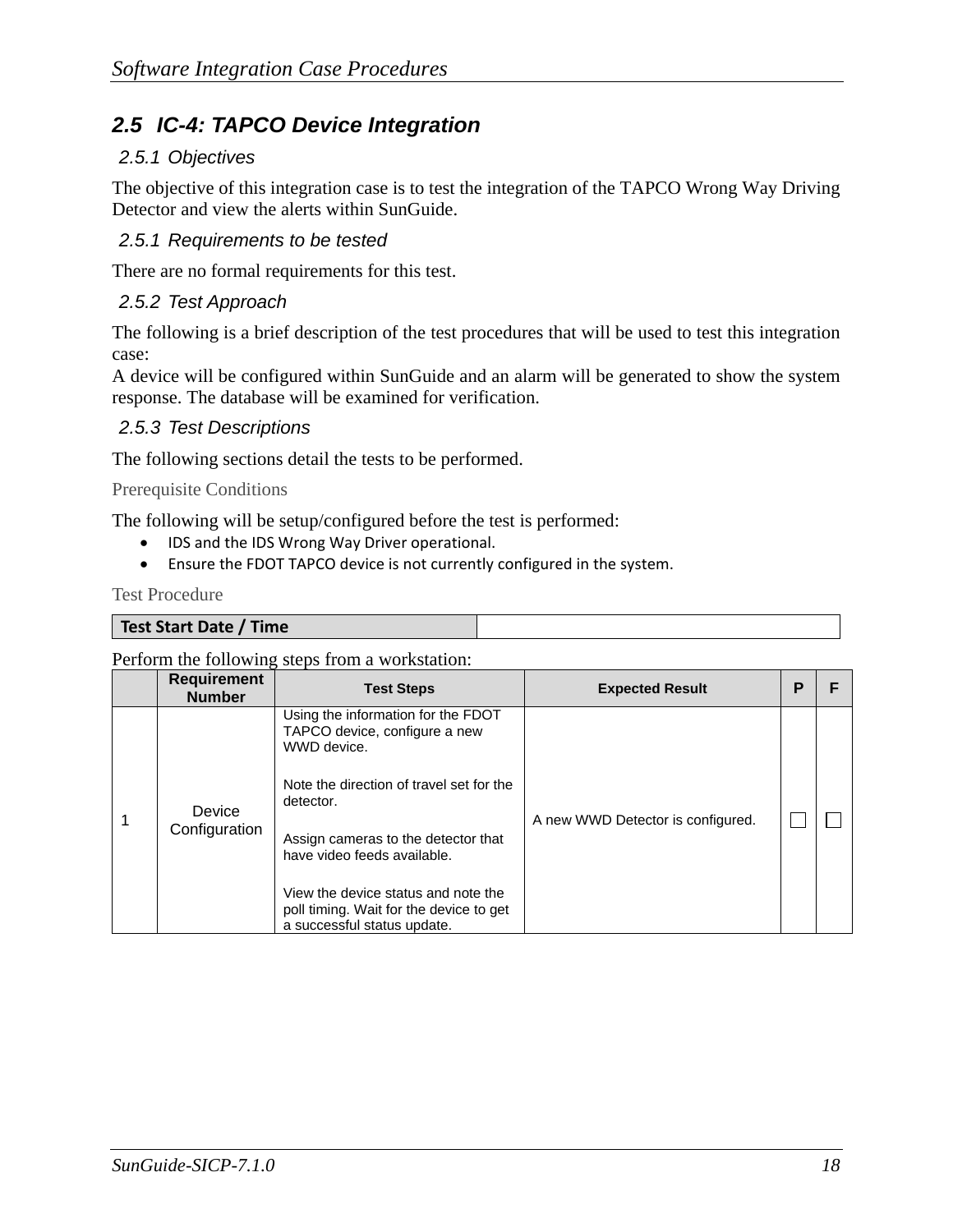### *2.5 IC-4: TAPCO Device Integration*

### *2.5.1 Objectives*

The objective of this integration case is to test the integration of the TAPCO Wrong Way Driving Detector and view the alerts within SunGuide.

### *2.5.1 Requirements to be tested*

There are no formal requirements for this test.

### *2.5.2 Test Approach*

The following is a brief description of the test procedures that will be used to test this integration case:

A device will be configured within SunGuide and an alarm will be generated to show the system response. The database will be examined for verification.

### *2.5.3 Test Descriptions*

The following sections detail the tests to be performed.

Prerequisite Conditions

The following will be setup/configured before the test is performed:

- IDS and the IDS Wrong Way Driver operational.
- Ensure the FDOT TAPCO device is not currently configured in the system.

Test Procedure

|  | <b>Requirement</b><br><b>Number</b> | <b>Test Steps</b>                                                                                             | <b>Expected Result</b>            | p |  |
|--|-------------------------------------|---------------------------------------------------------------------------------------------------------------|-----------------------------------|---|--|
|  | Device<br>Configuration             | Using the information for the FDOT<br>TAPCO device, configure a new<br>WWD device.                            |                                   |   |  |
|  |                                     | Note the direction of travel set for the<br>detector.                                                         |                                   |   |  |
|  |                                     | Assign cameras to the detector that<br>have video feeds available.                                            | A new WWD Detector is configured. |   |  |
|  |                                     | View the device status and note the<br>poll timing. Wait for the device to get<br>a successful status update. |                                   |   |  |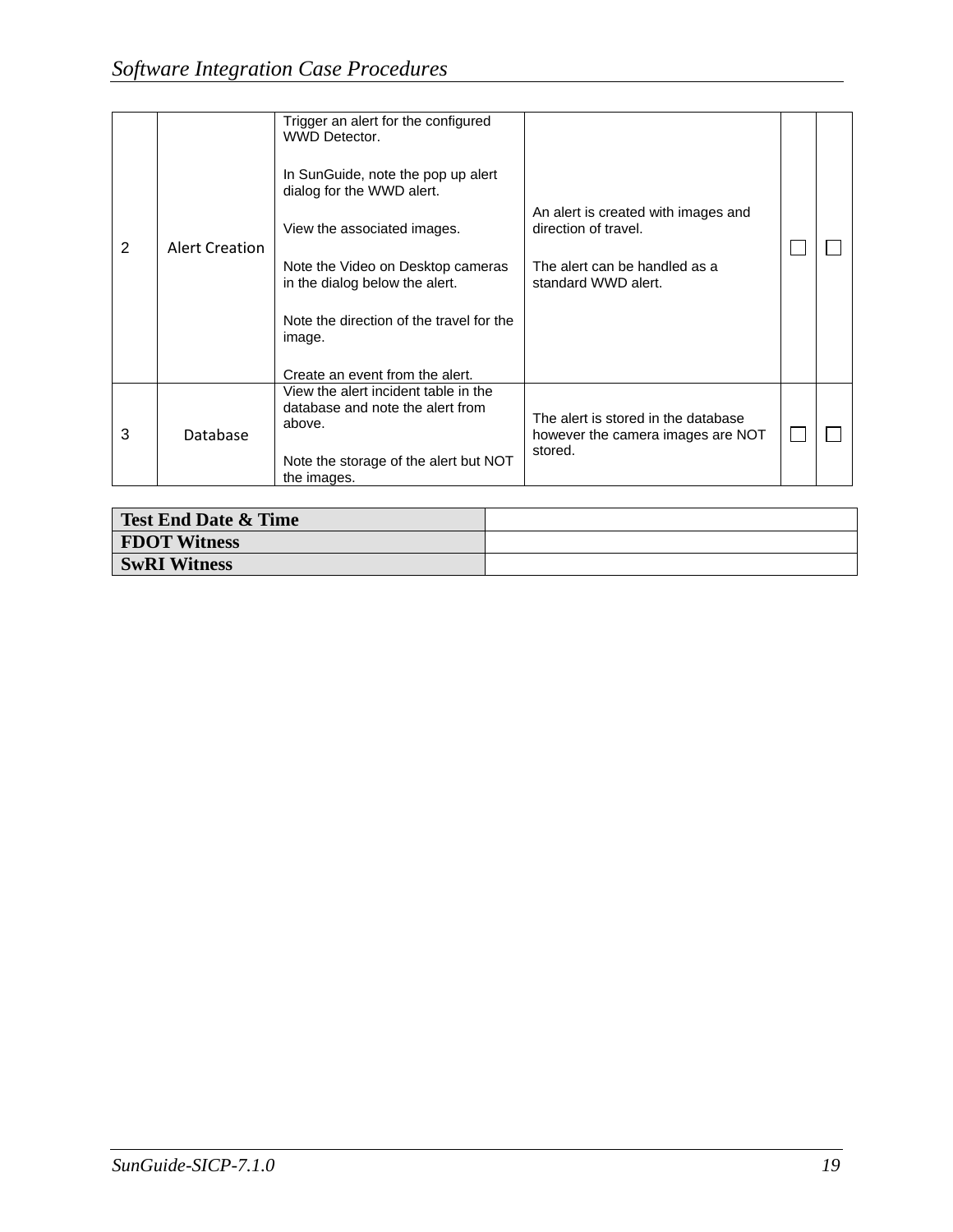| 2 | <b>Alert Creation</b> | Trigger an alert for the configured<br><b>WWD Detector.</b><br>In SunGuide, note the pop up alert<br>dialog for the WWD alert.<br>View the associated images.<br>Note the Video on Desktop cameras<br>in the dialog below the alert.<br>Note the direction of the travel for the<br>image.<br>Create an event from the alert. | An alert is created with images and<br>direction of travel.<br>The alert can be handled as a<br>standard WWD alert. |  |
|---|-----------------------|-------------------------------------------------------------------------------------------------------------------------------------------------------------------------------------------------------------------------------------------------------------------------------------------------------------------------------|---------------------------------------------------------------------------------------------------------------------|--|
| 3 | Database              | View the alert incident table in the<br>database and note the alert from<br>above.<br>Note the storage of the alert but NOT<br>the images.                                                                                                                                                                                    | The alert is stored in the database<br>however the camera images are NOT<br>stored.                                 |  |

| <b>Test End Date &amp; Time</b> |  |
|---------------------------------|--|
| <b>FDOT Witness</b>             |  |
| <b>SwRI Witness</b>             |  |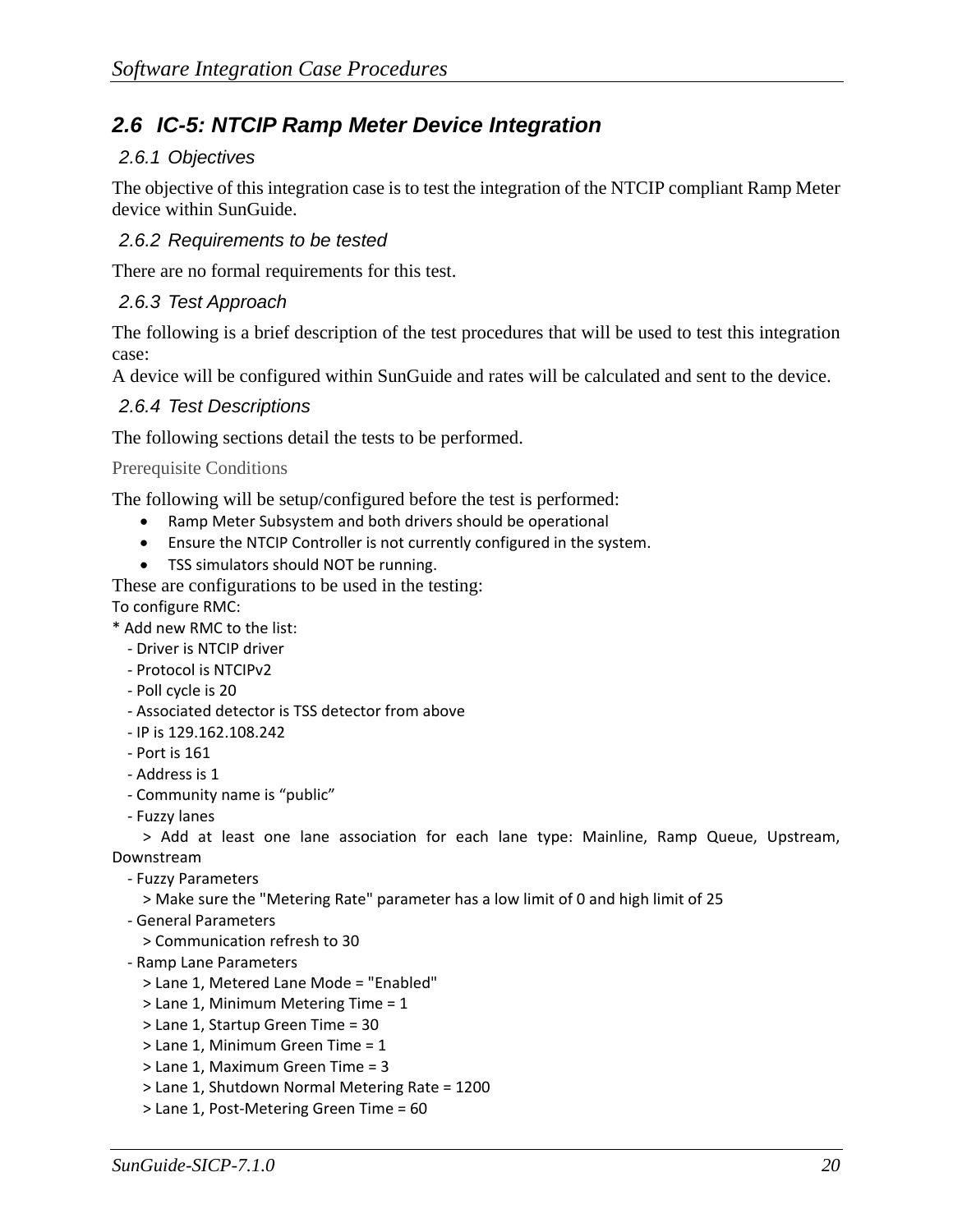### *2.6 IC-5: NTCIP Ramp Meter Device Integration*

### *2.6.1 Objectives*

The objective of this integration case is to test the integration of the NTCIP compliant Ramp Meter device within SunGuide.

### *2.6.2 Requirements to be tested*

There are no formal requirements for this test.

### *2.6.3 Test Approach*

The following is a brief description of the test procedures that will be used to test this integration case:

A device will be configured within SunGuide and rates will be calculated and sent to the device.

### *2.6.4 Test Descriptions*

The following sections detail the tests to be performed.

Prerequisite Conditions

The following will be setup/configured before the test is performed:

- Ramp Meter Subsystem and both drivers should be operational
- Ensure the NTCIP Controller is not currently configured in the system.
- TSS simulators should NOT be running.

These are configurations to be used in the testing:

To configure RMC:

- \* Add new RMC to the list:
	- ‐ Driver is NTCIP driver
	- ‐ Protocol is NTCIPv2
	- ‐ Poll cycle is 20
	- ‐ Associated detector is TSS detector from above
	- ‐ IP is 129.162.108.242
	- ‐ Port is 161
	- ‐ Address is 1
	- ‐ Community name is "public"
	- ‐ Fuzzy lanes

 > Add at least one lane association for each lane type: Mainline, Ramp Queue, Upstream, Downstream

‐ Fuzzy Parameters

> Make sure the "Metering Rate" parameter has a low limit of 0 and high limit of 25

- ‐ General Parameters
	- > Communication refresh to 30
- ‐ Ramp Lane Parameters
	- > Lane 1, Metered Lane Mode = "Enabled"
	- > Lane 1, Minimum Metering Time = 1
	- > Lane 1, Startup Green Time = 30
	- > Lane 1, Minimum Green Time = 1
	- > Lane 1, Maximum Green Time = 3
	- > Lane 1, Shutdown Normal Metering Rate = 1200
	- > Lane 1, Post‐Metering Green Time = 60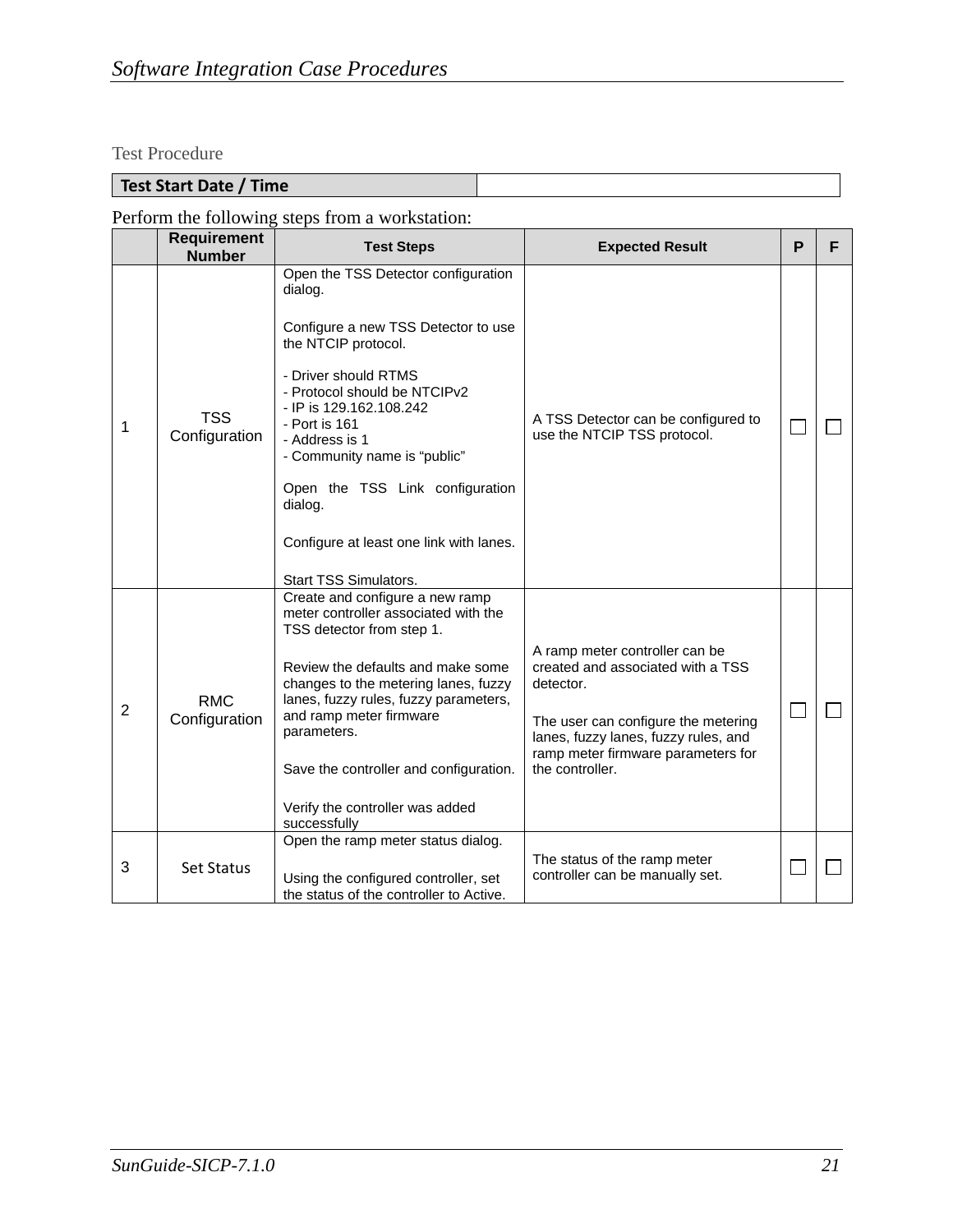Test Procedure

### **Test Start Date / Time**

|                | <b>Requirement</b><br><b>Number</b> | <b>Test Steps</b>                                                                                                                                                                                                                                                                                                                                                                    | <b>Expected Result</b>                                                                                                                                                                                                   | P | F |
|----------------|-------------------------------------|--------------------------------------------------------------------------------------------------------------------------------------------------------------------------------------------------------------------------------------------------------------------------------------------------------------------------------------------------------------------------------------|--------------------------------------------------------------------------------------------------------------------------------------------------------------------------------------------------------------------------|---|---|
| 1              | <b>TSS</b><br>Configuration         | Open the TSS Detector configuration<br>dialog.<br>Configure a new TSS Detector to use<br>the NTCIP protocol.<br>- Driver should RTMS<br>- Protocol should be NTCIPv2<br>- IP is 129.162.108.242<br>- Port is 161<br>- Address is 1<br>- Community name is "public"<br>Open the TSS Link configuration<br>dialog.<br>Configure at least one link with lanes.<br>Start TSS Simulators. | A TSS Detector can be configured to<br>use the NTCIP TSS protocol.                                                                                                                                                       |   |   |
| $\overline{2}$ | <b>RMC</b><br>Configuration         | Create and configure a new ramp<br>meter controller associated with the<br>TSS detector from step 1.<br>Review the defaults and make some<br>changes to the metering lanes, fuzzy<br>lanes, fuzzy rules, fuzzy parameters,<br>and ramp meter firmware<br>parameters.<br>Save the controller and configuration.<br>Verify the controller was added<br>successfully                    | A ramp meter controller can be<br>created and associated with a TSS<br>detector.<br>The user can configure the metering<br>lanes, fuzzy lanes, fuzzy rules, and<br>ramp meter firmware parameters for<br>the controller. |   |   |
| 3              | <b>Set Status</b>                   | Open the ramp meter status dialog.<br>Using the configured controller, set<br>the status of the controller to Active.                                                                                                                                                                                                                                                                | The status of the ramp meter<br>controller can be manually set.                                                                                                                                                          |   |   |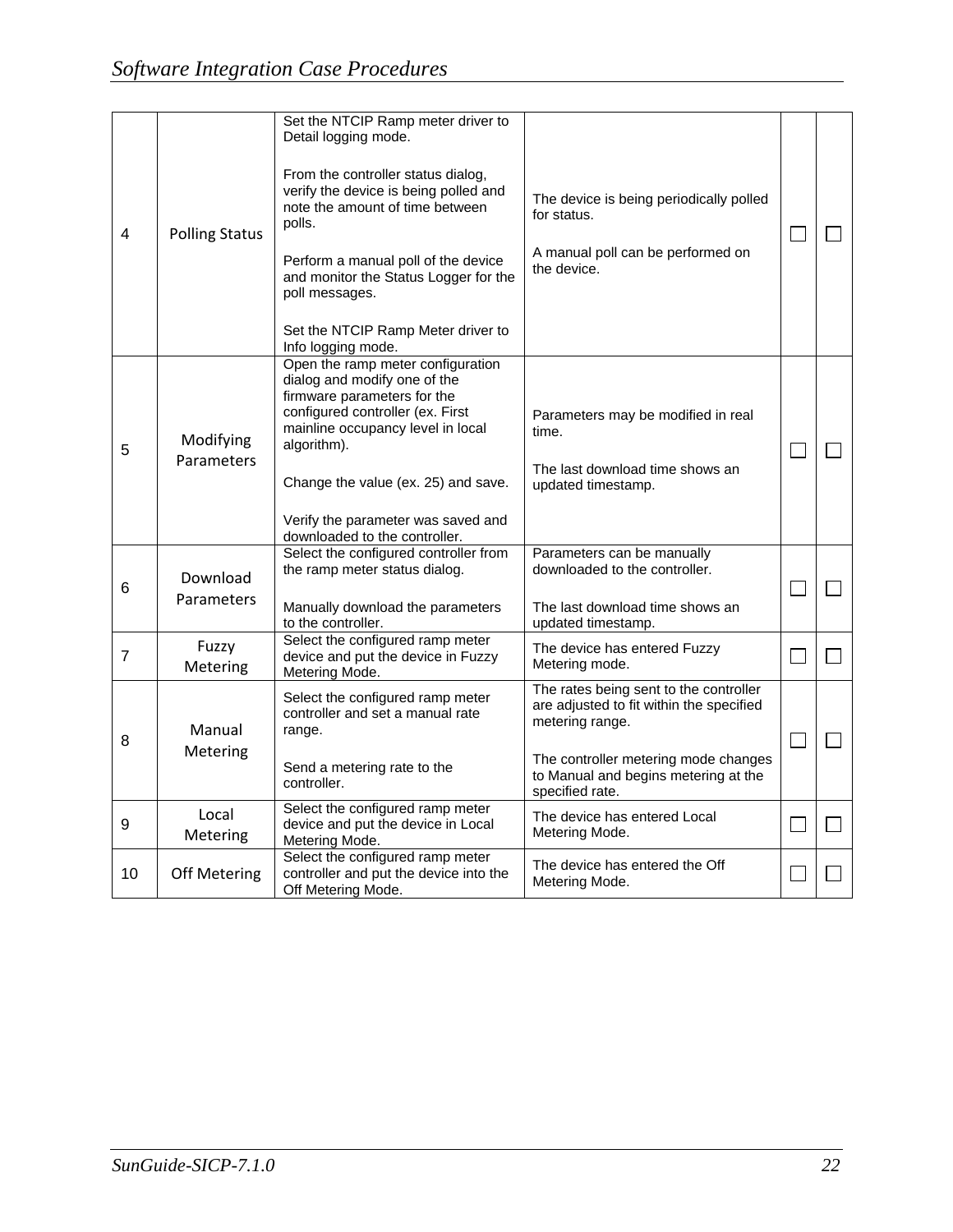|                |                       | Set the NTCIP Ramp meter driver to<br>Detail logging mode.                                                                                                                               |                                                                                                       |                |         |
|----------------|-----------------------|------------------------------------------------------------------------------------------------------------------------------------------------------------------------------------------|-------------------------------------------------------------------------------------------------------|----------------|---------|
| 4              | <b>Polling Status</b> | From the controller status dialog,<br>verify the device is being polled and<br>note the amount of time between<br>polls.                                                                 | The device is being periodically polled<br>for status.                                                |                |         |
|                |                       | Perform a manual poll of the device<br>and monitor the Status Logger for the<br>poll messages.                                                                                           | A manual poll can be performed on<br>the device.                                                      |                |         |
|                |                       | Set the NTCIP Ramp Meter driver to<br>Info logging mode.                                                                                                                                 |                                                                                                       |                |         |
| 5              | Modifying             | Open the ramp meter configuration<br>dialog and modify one of the<br>firmware parameters for the<br>configured controller (ex. First<br>mainline occupancy level in local<br>algorithm). | Parameters may be modified in real<br>time.                                                           |                |         |
|                | Parameters            | Change the value (ex. 25) and save.                                                                                                                                                      | The last download time shows an<br>updated timestamp.                                                 |                |         |
|                |                       | Verify the parameter was saved and<br>downloaded to the controller.                                                                                                                      |                                                                                                       |                |         |
| 6              | Download              | Select the configured controller from<br>the ramp meter status dialog.                                                                                                                   | Parameters can be manually<br>downloaded to the controller.                                           | $\blacksquare$ | $\perp$ |
|                | Parameters            | Manually download the parameters<br>to the controller.                                                                                                                                   | The last download time shows an<br>updated timestamp.                                                 |                |         |
| $\overline{7}$ | Fuzzy<br>Metering     | Select the configured ramp meter<br>device and put the device in Fuzzy<br>Metering Mode.                                                                                                 | The device has entered Fuzzy<br>Metering mode.                                                        |                | ┓       |
| 8              | Manual                | Select the configured ramp meter<br>controller and set a manual rate<br>range.                                                                                                           | The rates being sent to the controller<br>are adjusted to fit within the specified<br>metering range. |                |         |
|                | Metering              | Send a metering rate to the<br>controller.                                                                                                                                               | The controller metering mode changes<br>to Manual and begins metering at the<br>specified rate.       |                |         |
| 9              | Local<br>Metering     | Select the configured ramp meter<br>device and put the device in Local<br>Metering Mode.                                                                                                 | The device has entered Local<br>Metering Mode.                                                        |                | $\perp$ |
| 10             | <b>Off Metering</b>   | Select the configured ramp meter<br>controller and put the device into the<br>Off Metering Mode.                                                                                         | The device has entered the Off<br>Metering Mode.                                                      |                |         |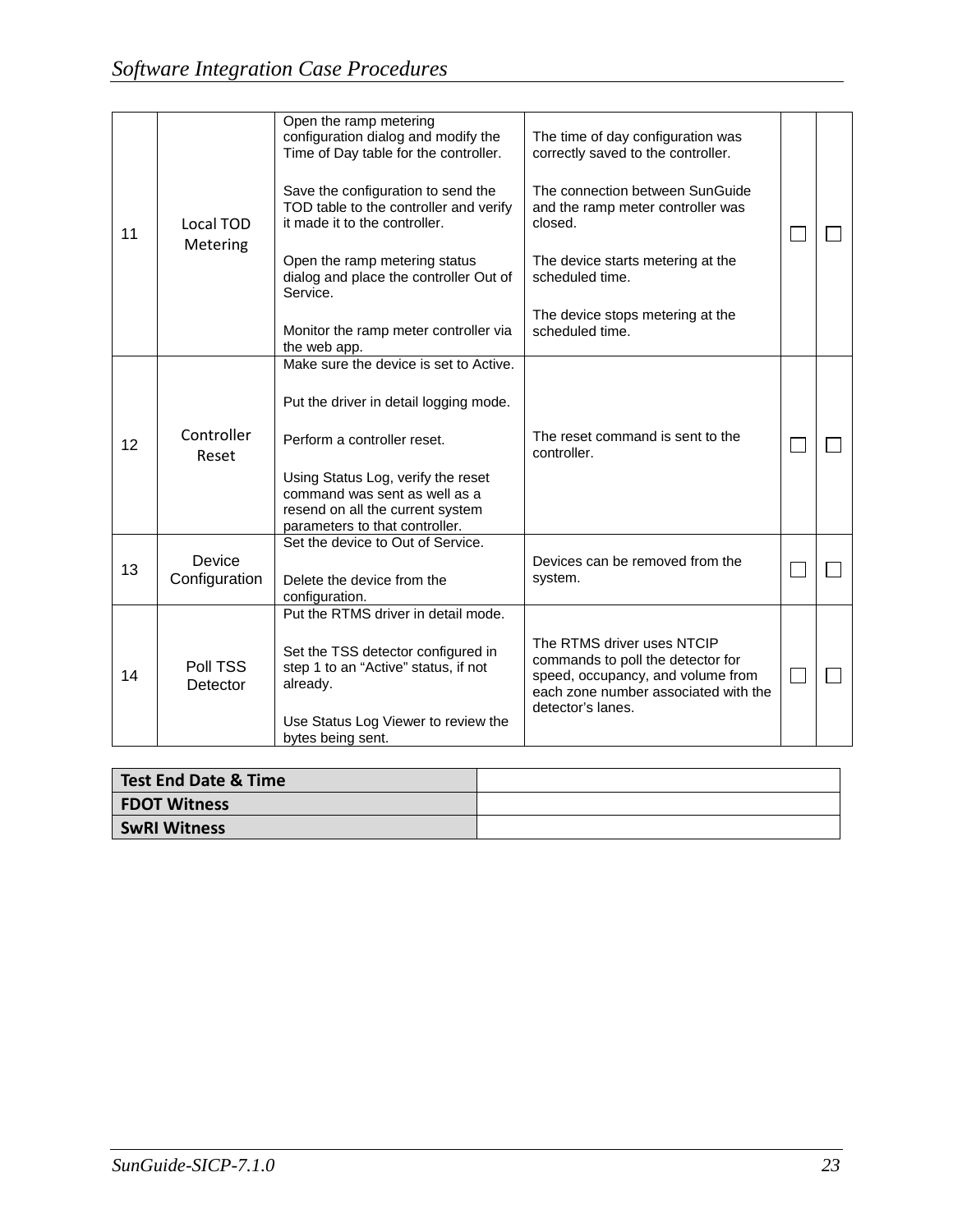|    |                         | Open the ramp metering<br>configuration dialog and modify the<br>Time of Day table for the controller.                                    | The time of day configuration was<br>correctly saved to the controller.                                                                                           |  |
|----|-------------------------|-------------------------------------------------------------------------------------------------------------------------------------------|-------------------------------------------------------------------------------------------------------------------------------------------------------------------|--|
| 11 | Local TOD<br>Metering   | Save the configuration to send the<br>TOD table to the controller and verify<br>it made it to the controller.                             | The connection between SunGuide<br>and the ramp meter controller was<br>closed.                                                                                   |  |
|    |                         | Open the ramp metering status<br>dialog and place the controller Out of<br>Service.                                                       | The device starts metering at the<br>scheduled time.                                                                                                              |  |
|    |                         | Monitor the ramp meter controller via<br>the web app.                                                                                     | The device stops metering at the<br>scheduled time.                                                                                                               |  |
|    |                         | Make sure the device is set to Active.                                                                                                    |                                                                                                                                                                   |  |
|    |                         | Put the driver in detail logging mode.                                                                                                    |                                                                                                                                                                   |  |
| 12 | Controller<br>Reset     | Perform a controller reset.                                                                                                               | The reset command is sent to the<br>controller.                                                                                                                   |  |
|    |                         | Using Status Log, verify the reset<br>command was sent as well as a<br>resend on all the current system<br>parameters to that controller. |                                                                                                                                                                   |  |
| 13 | Device<br>Configuration | Set the device to Out of Service.<br>Delete the device from the                                                                           | Devices can be removed from the<br>system.                                                                                                                        |  |
|    |                         | configuration.                                                                                                                            |                                                                                                                                                                   |  |
| 14 | Poll TSS<br>Detector    | Put the RTMS driver in detail mode.<br>Set the TSS detector configured in<br>step 1 to an "Active" status, if not<br>already.             | The RTMS driver uses NTCIP<br>commands to poll the detector for<br>speed, occupancy, and volume from<br>each zone number associated with the<br>detector's lanes. |  |
|    |                         | Use Status Log Viewer to review the<br>bytes being sent.                                                                                  |                                                                                                                                                                   |  |

| Test End Date & Time |  |
|----------------------|--|
| <b>FDOT Witness</b>  |  |
| <b>SwRI Witness</b>  |  |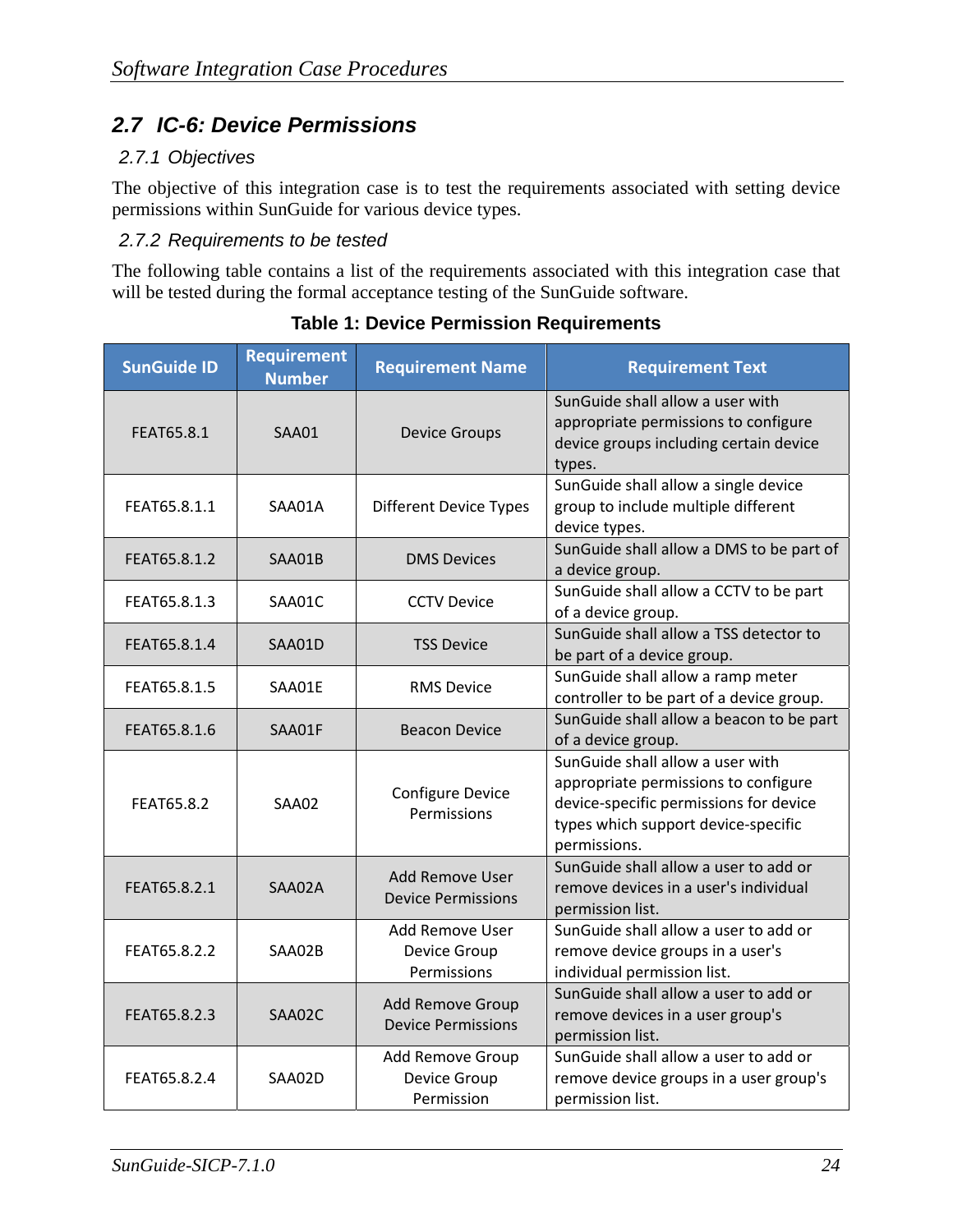### *2.7 IC-6: Device Permissions*

### *2.7.1 Objectives*

The objective of this integration case is to test the requirements associated with setting device permissions within SunGuide for various device types.

### *2.7.2 Requirements to be tested*

The following table contains a list of the requirements associated with this integration case that will be tested during the formal acceptance testing of the SunGuide software.

| <b>SunGuide ID</b> | <b>Requirement</b><br><b>Number</b> | <b>Requirement Name</b>                              | <b>Requirement Text</b>                                                                                                                                                   |
|--------------------|-------------------------------------|------------------------------------------------------|---------------------------------------------------------------------------------------------------------------------------------------------------------------------------|
| FEAT65.8.1         | SAA01                               | <b>Device Groups</b>                                 | SunGuide shall allow a user with<br>appropriate permissions to configure<br>device groups including certain device<br>types.                                              |
| FEAT65.8.1.1       | SAA01A                              | <b>Different Device Types</b>                        | SunGuide shall allow a single device<br>group to include multiple different<br>device types.                                                                              |
| FEAT65.8.1.2       | SAA01B                              | <b>DMS Devices</b>                                   | SunGuide shall allow a DMS to be part of<br>a device group.                                                                                                               |
| FEAT65.8.1.3       | SAA01C                              | <b>CCTV Device</b>                                   | SunGuide shall allow a CCTV to be part<br>of a device group.                                                                                                              |
| FEAT65.8.1.4       | SAA01D                              | <b>TSS Device</b>                                    | SunGuide shall allow a TSS detector to<br>be part of a device group.                                                                                                      |
| FEAT65.8.1.5       | SAA01E                              | <b>RMS Device</b>                                    | SunGuide shall allow a ramp meter<br>controller to be part of a device group.                                                                                             |
| FEAT65.8.1.6       | SAA01F                              | <b>Beacon Device</b>                                 | SunGuide shall allow a beacon to be part<br>of a device group.                                                                                                            |
| FEAT65.8.2         | SAA02                               | <b>Configure Device</b><br>Permissions               | SunGuide shall allow a user with<br>appropriate permissions to configure<br>device-specific permissions for device<br>types which support device-specific<br>permissions. |
| FEAT65.8.2.1       | SAA02A                              | <b>Add Remove User</b><br><b>Device Permissions</b>  | SunGuide shall allow a user to add or<br>remove devices in a user's individual<br>permission list.                                                                        |
| FEAT65.8.2.2       | SAA02B                              | Add Remove User<br>Device Group<br>Permissions       | SunGuide shall allow a user to add or<br>remove device groups in a user's<br>individual permission list.                                                                  |
| FEAT65.8.2.3       | SAA02C                              | <b>Add Remove Group</b><br><b>Device Permissions</b> | SunGuide shall allow a user to add or<br>remove devices in a user group's<br>permission list.                                                                             |
| FEAT65.8.2.4       | SAA02D                              | Add Remove Group<br>Device Group<br>Permission       | SunGuide shall allow a user to add or<br>remove device groups in a user group's<br>permission list.                                                                       |

**Table 1: Device Permission Requirements**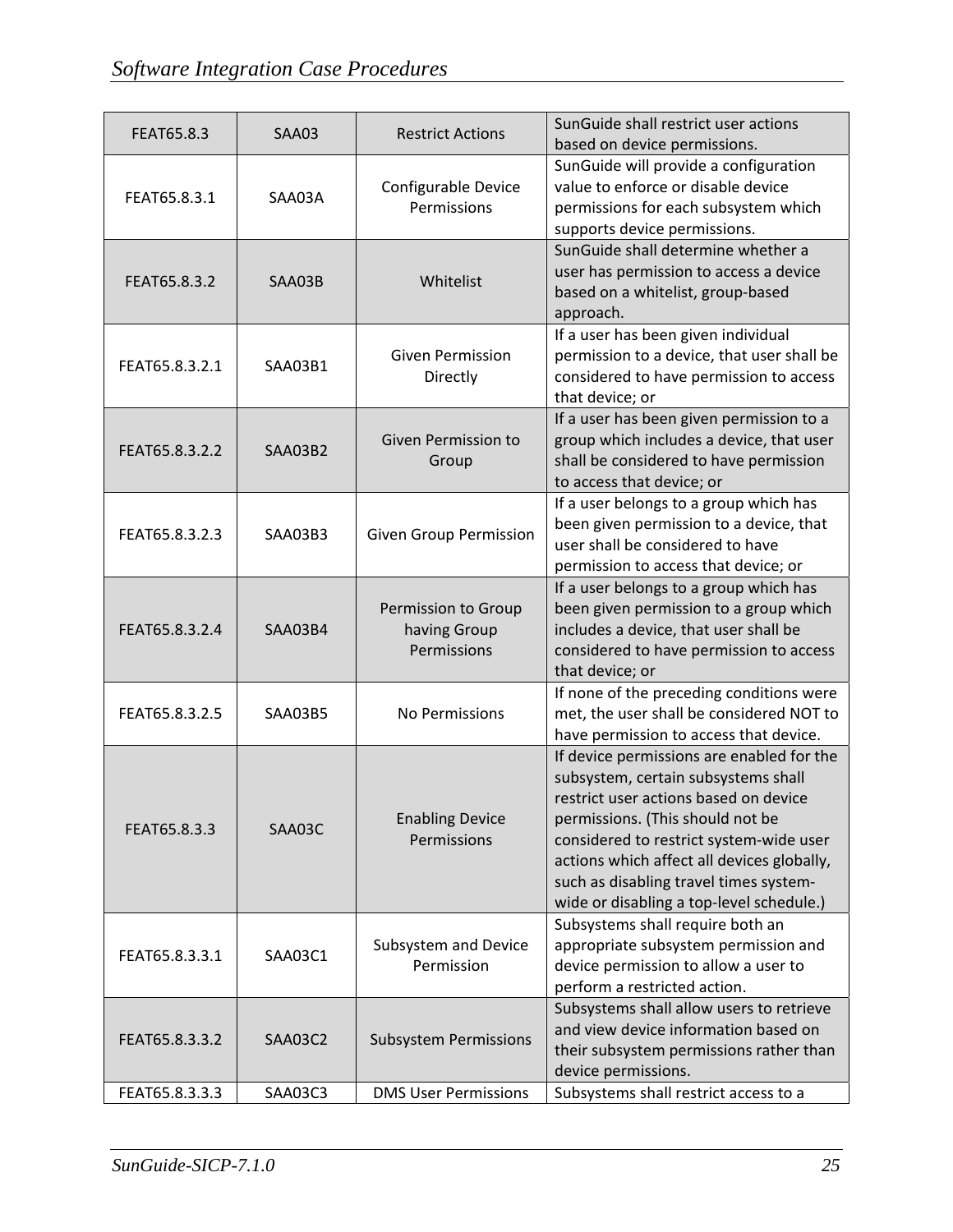| FEAT65.8.3     | <b>SAA03</b>   | <b>Restrict Actions</b>                            | SunGuide shall restrict user actions<br>based on device permissions.                                                                                                                                                                                                                                                                         |
|----------------|----------------|----------------------------------------------------|----------------------------------------------------------------------------------------------------------------------------------------------------------------------------------------------------------------------------------------------------------------------------------------------------------------------------------------------|
| FEAT65.8.3.1   | SAA03A         | Configurable Device<br>Permissions                 | SunGuide will provide a configuration<br>value to enforce or disable device<br>permissions for each subsystem which<br>supports device permissions.                                                                                                                                                                                          |
| FEAT65.8.3.2   | SAA03B         | Whitelist                                          | SunGuide shall determine whether a<br>user has permission to access a device<br>based on a whitelist, group-based<br>approach.                                                                                                                                                                                                               |
| FEAT65.8.3.2.1 | SAA03B1        | <b>Given Permission</b><br>Directly                | If a user has been given individual<br>permission to a device, that user shall be<br>considered to have permission to access<br>that device; or                                                                                                                                                                                              |
| FEAT65.8.3.2.2 | <b>SAA03B2</b> | Given Permission to<br>Group                       | If a user has been given permission to a<br>group which includes a device, that user<br>shall be considered to have permission<br>to access that device; or                                                                                                                                                                                  |
| FEAT65.8.3.2.3 | <b>SAA03B3</b> | <b>Given Group Permission</b>                      | If a user belongs to a group which has<br>been given permission to a device, that<br>user shall be considered to have<br>permission to access that device; or                                                                                                                                                                                |
| FEAT65.8.3.2.4 | <b>SAA03B4</b> | Permission to Group<br>having Group<br>Permissions | If a user belongs to a group which has<br>been given permission to a group which<br>includes a device, that user shall be<br>considered to have permission to access<br>that device; or                                                                                                                                                      |
| FEAT65.8.3.2.5 | <b>SAA03B5</b> | No Permissions                                     | If none of the preceding conditions were<br>met, the user shall be considered NOT to<br>have permission to access that device.                                                                                                                                                                                                               |
| FEAT65.8.3.3   | SAA03C         | <b>Enabling Device</b><br>Permissions              | If device permissions are enabled for the<br>subsystem, certain subsystems shall<br>restrict user actions based on device<br>permissions. (This should not be<br>considered to restrict system-wide user<br>actions which affect all devices globally,<br>such as disabling travel times system-<br>wide or disabling a top-level schedule.) |
| FEAT65.8.3.3.1 | SAA03C1        | Subsystem and Device<br>Permission                 | Subsystems shall require both an<br>appropriate subsystem permission and<br>device permission to allow a user to<br>perform a restricted action.                                                                                                                                                                                             |
| FEAT65.8.3.3.2 | <b>SAA03C2</b> | <b>Subsystem Permissions</b>                       | Subsystems shall allow users to retrieve<br>and view device information based on<br>their subsystem permissions rather than<br>device permissions.                                                                                                                                                                                           |
| FEAT65.8.3.3.3 | SAA03C3        | <b>DMS User Permissions</b>                        | Subsystems shall restrict access to a                                                                                                                                                                                                                                                                                                        |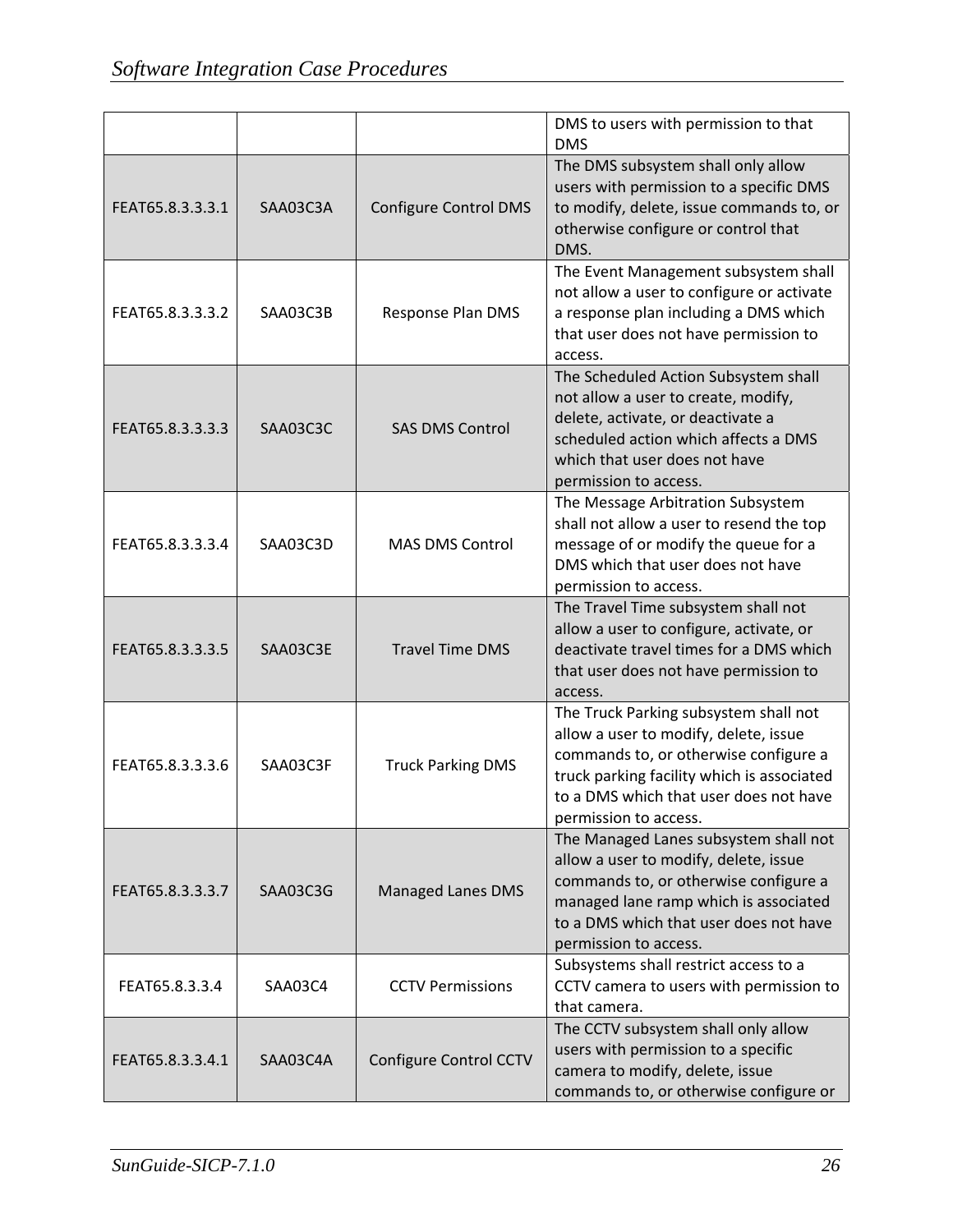|                  |          |                              | DMS to users with permission to that<br><b>DMS</b>                                                                                                                                                                                       |
|------------------|----------|------------------------------|------------------------------------------------------------------------------------------------------------------------------------------------------------------------------------------------------------------------------------------|
| FEAT65.8.3.3.3.1 | SAA03C3A | <b>Configure Control DMS</b> | The DMS subsystem shall only allow<br>users with permission to a specific DMS<br>to modify, delete, issue commands to, or<br>otherwise configure or control that<br>DMS.                                                                 |
| FEAT65.8.3.3.3.2 | SAA03C3B | Response Plan DMS            | The Event Management subsystem shall<br>not allow a user to configure or activate<br>a response plan including a DMS which<br>that user does not have permission to<br>access.                                                           |
| FEAT65.8.3.3.3.3 | SAA03C3C | <b>SAS DMS Control</b>       | The Scheduled Action Subsystem shall<br>not allow a user to create, modify,<br>delete, activate, or deactivate a<br>scheduled action which affects a DMS<br>which that user does not have<br>permission to access.                       |
| FEAT65.8.3.3.3.4 | SAA03C3D | <b>MAS DMS Control</b>       | The Message Arbitration Subsystem<br>shall not allow a user to resend the top<br>message of or modify the queue for a<br>DMS which that user does not have<br>permission to access.                                                      |
| FEAT65.8.3.3.3.5 | SAA03C3E | <b>Travel Time DMS</b>       | The Travel Time subsystem shall not<br>allow a user to configure, activate, or<br>deactivate travel times for a DMS which<br>that user does not have permission to<br>access.                                                            |
| FEAT65.8.3.3.3.6 | SAA03C3F | <b>Truck Parking DMS</b>     | The Truck Parking subsystem shall not<br>allow a user to modify, delete, issue<br>commands to, or otherwise configure a<br>truck parking facility which is associated<br>to a DMS which that user does not have<br>permission to access. |
| FEAT65.8.3.3.3.7 | SAA03C3G | <b>Managed Lanes DMS</b>     | The Managed Lanes subsystem shall not<br>allow a user to modify, delete, issue<br>commands to, or otherwise configure a<br>managed lane ramp which is associated<br>to a DMS which that user does not have<br>permission to access.      |
| FEAT65.8.3.3.4   | SAA03C4  | <b>CCTV Permissions</b>      | Subsystems shall restrict access to a<br>CCTV camera to users with permission to<br>that camera.                                                                                                                                         |
| FEAT65.8.3.3.4.1 | SAA03C4A | Configure Control CCTV       | The CCTV subsystem shall only allow<br>users with permission to a specific<br>camera to modify, delete, issue<br>commands to, or otherwise configure or                                                                                  |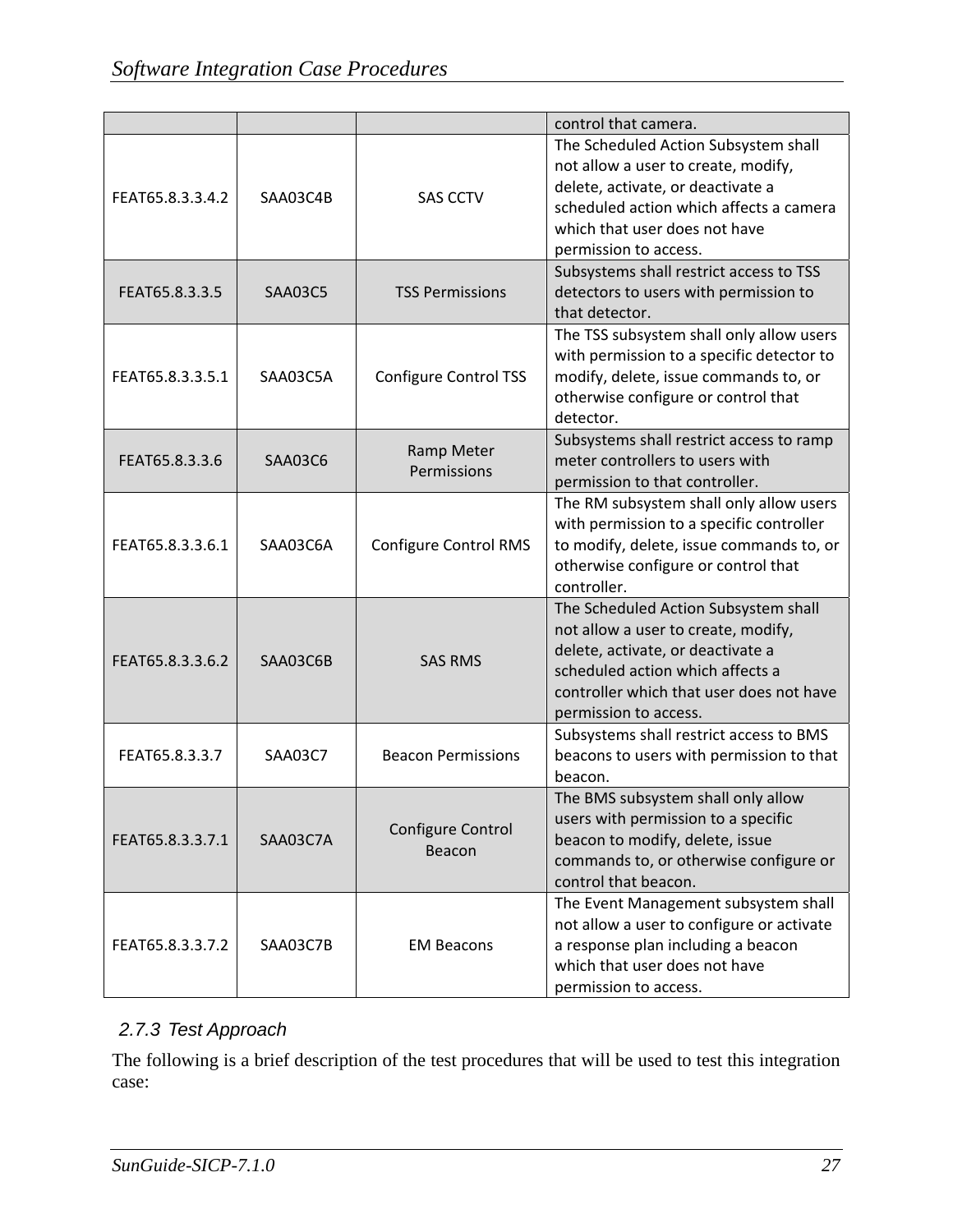|                  |                |                              | control that camera.                                                                                                                                                                                                      |
|------------------|----------------|------------------------------|---------------------------------------------------------------------------------------------------------------------------------------------------------------------------------------------------------------------------|
| FEAT65.8.3.3.4.2 | SAA03C4B       | <b>SAS CCTV</b>              | The Scheduled Action Subsystem shall<br>not allow a user to create, modify,<br>delete, activate, or deactivate a<br>scheduled action which affects a camera<br>which that user does not have<br>permission to access.     |
| FEAT65.8.3.3.5   | <b>SAA03C5</b> | <b>TSS Permissions</b>       | Subsystems shall restrict access to TSS<br>detectors to users with permission to<br>that detector.                                                                                                                        |
| FEAT65.8.3.3.5.1 | SAA03C5A       | <b>Configure Control TSS</b> | The TSS subsystem shall only allow users<br>with permission to a specific detector to<br>modify, delete, issue commands to, or<br>otherwise configure or control that<br>detector.                                        |
| FEAT65.8.3.3.6   | SAA03C6        | Ramp Meter<br>Permissions    | Subsystems shall restrict access to ramp<br>meter controllers to users with<br>permission to that controller.                                                                                                             |
| FEAT65.8.3.3.6.1 | SAA03C6A       | <b>Configure Control RMS</b> | The RM subsystem shall only allow users<br>with permission to a specific controller<br>to modify, delete, issue commands to, or<br>otherwise configure or control that<br>controller.                                     |
| FEAT65.8.3.3.6.2 | SAA03C6B       | <b>SAS RMS</b>               | The Scheduled Action Subsystem shall<br>not allow a user to create, modify,<br>delete, activate, or deactivate a<br>scheduled action which affects a<br>controller which that user does not have<br>permission to access. |
| FEAT65.8.3.3.7   | <b>SAA03C7</b> | <b>Beacon Permissions</b>    | Subsystems shall restrict access to BMS<br>beacons to users with permission to that<br>beacon.                                                                                                                            |
| FEAT65.8.3.3.7.1 | SAA03C7A       | Configure Control<br>Beacon  | The BMS subsystem shall only allow<br>users with permission to a specific<br>beacon to modify, delete, issue<br>commands to, or otherwise configure or<br>control that beacon.                                            |
| FEAT65.8.3.3.7.2 | SAA03C7B       | <b>EM Beacons</b>            | The Event Management subsystem shall<br>not allow a user to configure or activate<br>a response plan including a beacon<br>which that user does not have<br>permission to access.                                         |

### *2.7.3 Test Approach*

The following is a brief description of the test procedures that will be used to test this integration case: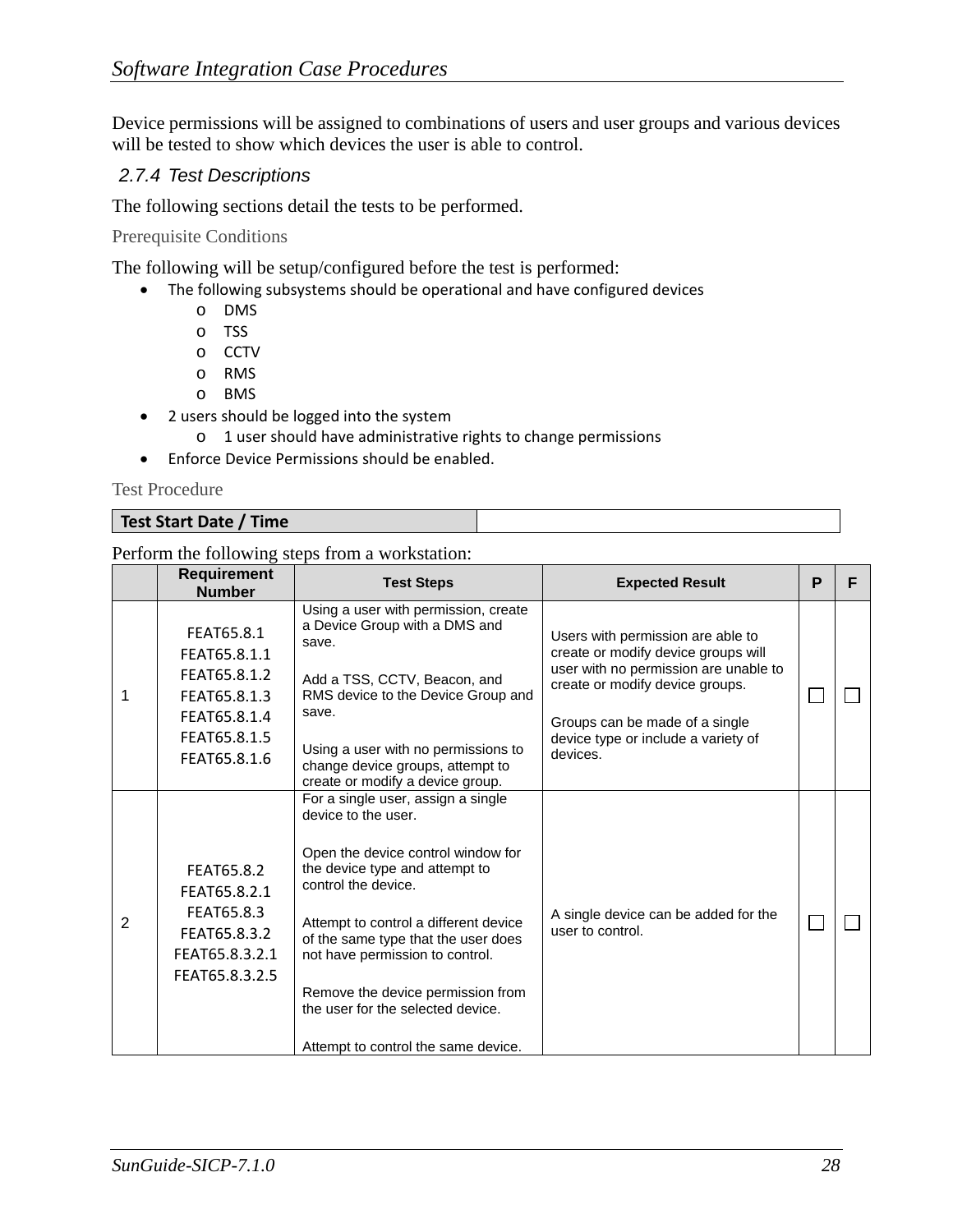Device permissions will be assigned to combinations of users and user groups and various devices will be tested to show which devices the user is able to control.

### *2.7.4 Test Descriptions*

The following sections detail the tests to be performed.

Prerequisite Conditions

The following will be setup/configured before the test is performed:

- The following subsystems should be operational and have configured devices
	- o DMS
	- o TSS
	- o CCTV
	- o RMS
	- o BMS
- 2 users should be logged into the system
	- o 1 user should have administrative rights to change permissions
- Enforce Device Permissions should be enabled.

Test Procedure

#### **Test Start Date / Time**

|                | <b>Requirement</b><br><b>Number</b>                                                                        | <b>Test Steps</b>                                                                                                                                                                                                                                                                                                                                                                            | <b>Expected Result</b>                                                                                                                                                                                                                    | P | F |
|----------------|------------------------------------------------------------------------------------------------------------|----------------------------------------------------------------------------------------------------------------------------------------------------------------------------------------------------------------------------------------------------------------------------------------------------------------------------------------------------------------------------------------------|-------------------------------------------------------------------------------------------------------------------------------------------------------------------------------------------------------------------------------------------|---|---|
| 1              | FEAT65.8.1<br>FEAT65.8.1.1<br>FEAT65.8.1.2<br>FEAT65.8.1.3<br>FEAT65.8.1.4<br>FEAT65.8.1.5<br>FEAT65.8.1.6 | Using a user with permission, create<br>a Device Group with a DMS and<br>save.<br>Add a TSS, CCTV, Beacon, and<br>RMS device to the Device Group and<br>save.<br>Using a user with no permissions to<br>change device groups, attempt to<br>create or modify a device group.                                                                                                                 | Users with permission are able to<br>create or modify device groups will<br>user with no permission are unable to<br>create or modify device groups.<br>Groups can be made of a single<br>device type or include a variety of<br>devices. |   |   |
| $\overline{2}$ | FEAT65.8.2<br>FEAT65.8.2.1<br>FEAT65.8.3<br>FEAT65.8.3.2<br>FEAT65.8.3.2.1<br>FEAT65.8.3.2.5               | For a single user, assign a single<br>device to the user.<br>Open the device control window for<br>the device type and attempt to<br>control the device.<br>Attempt to control a different device<br>of the same type that the user does<br>not have permission to control.<br>Remove the device permission from<br>the user for the selected device.<br>Attempt to control the same device. | A single device can be added for the<br>user to control.                                                                                                                                                                                  |   |   |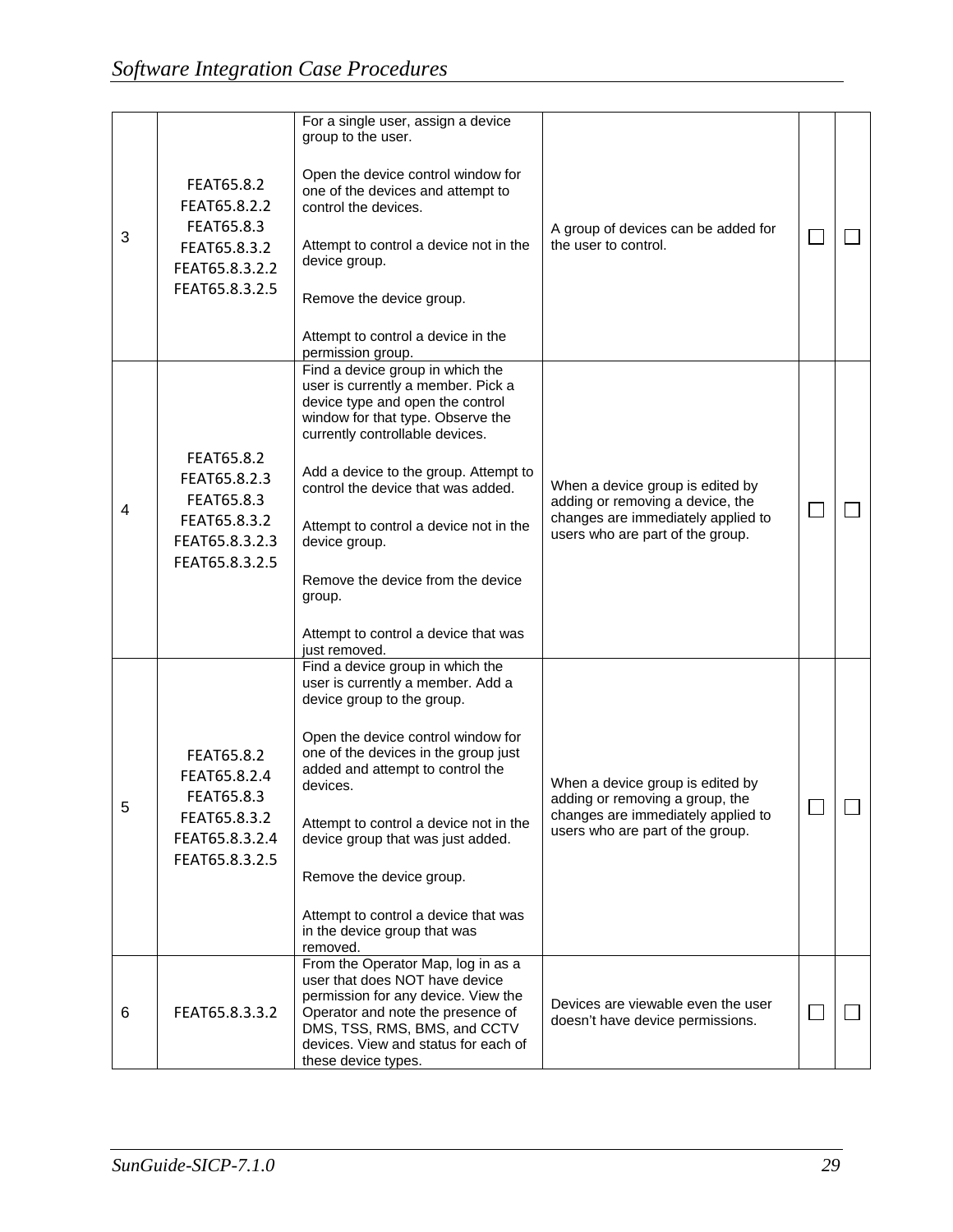| 3 | FEAT65.8.2<br>FEAT65.8.2.2<br>FEAT65.8.3<br>FEAT65.8.3.2<br>FEAT65.8.3.2.2<br>FEAT65.8.3.2.5 | For a single user, assign a device<br>group to the user.<br>Open the device control window for<br>one of the devices and attempt to<br>control the devices.<br>Attempt to control a device not in the<br>device group.<br>Remove the device group.<br>Attempt to control a device in the<br>permission group.                                                                                                                        | A group of devices can be added for<br>the user to control.                                                                                    |  |
|---|----------------------------------------------------------------------------------------------|--------------------------------------------------------------------------------------------------------------------------------------------------------------------------------------------------------------------------------------------------------------------------------------------------------------------------------------------------------------------------------------------------------------------------------------|------------------------------------------------------------------------------------------------------------------------------------------------|--|
| 4 | FEAT65.8.2<br>FEAT65.8.2.3<br>FEAT65.8.3<br>FEAT65.8.3.2<br>FEAT65.8.3.2.3<br>FEAT65.8.3.2.5 | Find a device group in which the<br>user is currently a member. Pick a<br>device type and open the control<br>window for that type. Observe the<br>currently controllable devices.<br>Add a device to the group. Attempt to<br>control the device that was added.<br>Attempt to control a device not in the<br>device group.<br>Remove the device from the device<br>group.<br>Attempt to control a device that was<br>just removed. | When a device group is edited by<br>adding or removing a device, the<br>changes are immediately applied to<br>users who are part of the group. |  |
| 5 | FEAT65.8.2<br>FEAT65.8.2.4<br>FEAT65.8.3<br>FEAT65.8.3.2<br>FEAT65.8.3.2.4<br>FEAT65.8.3.2.5 | Find a device group in which the<br>user is currently a member. Add a<br>device group to the group.<br>Open the device control window for<br>one of the devices in the group just<br>added and attempt to control the<br>devices.<br>Attempt to control a device not in the<br>device group that was just added.<br>Remove the device group.<br>Attempt to control a device that was<br>in the device group that was<br>removed.     | When a device group is edited by<br>adding or removing a group, the<br>changes are immediately applied to<br>users who are part of the group.  |  |
| 6 | FEAT65.8.3.3.2                                                                               | From the Operator Map, log in as a<br>user that does NOT have device<br>permission for any device. View the<br>Operator and note the presence of<br>DMS, TSS, RMS, BMS, and CCTV<br>devices. View and status for each of<br>these device types.                                                                                                                                                                                      | Devices are viewable even the user<br>doesn't have device permissions.                                                                         |  |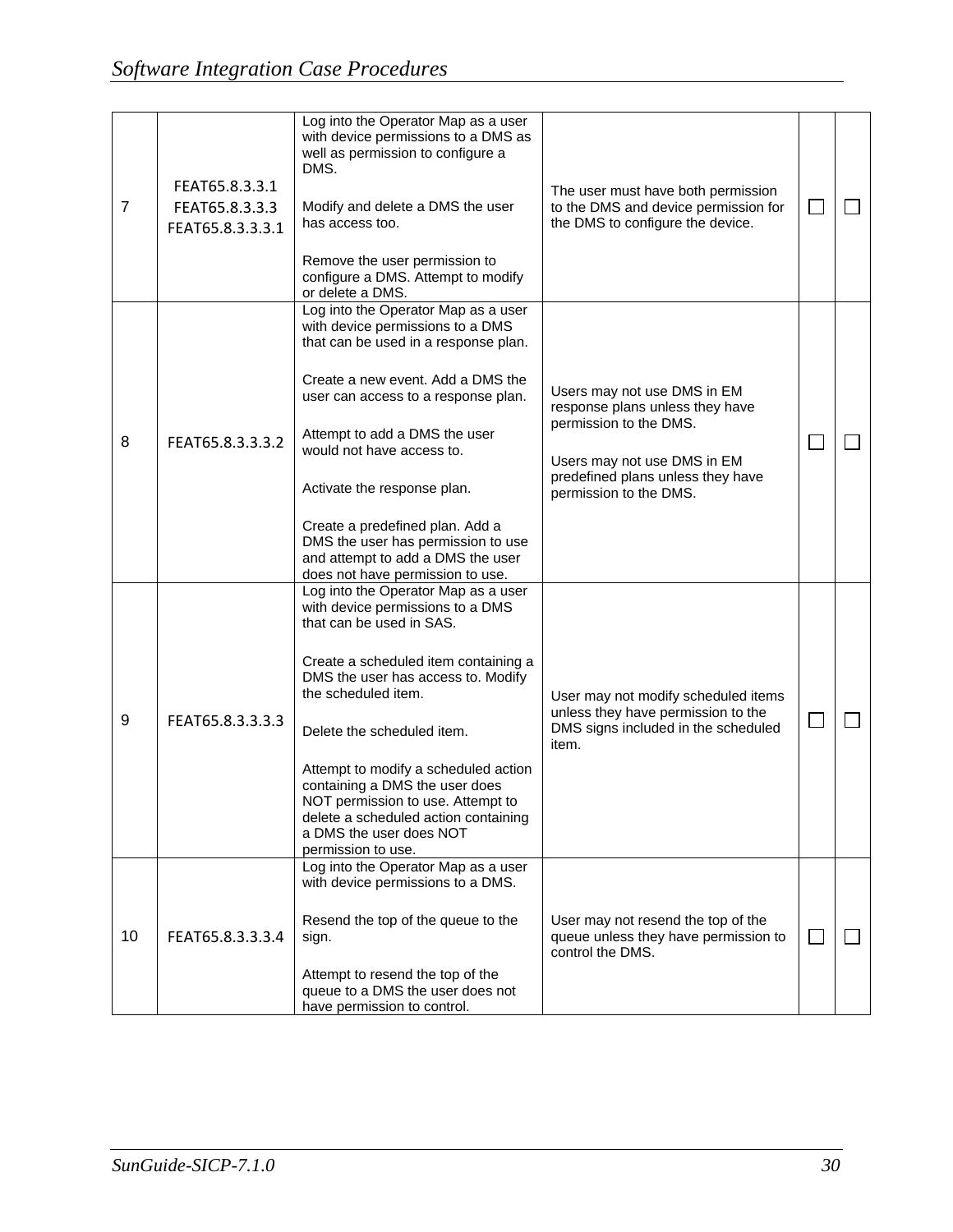| $\overline{7}$ | FEAT65.8.3.3.1<br>FEAT65.8.3.3.3<br>FEAT65.8.3.3.3.1 | Log into the Operator Map as a user<br>with device permissions to a DMS as<br>well as permission to configure a<br>DMS.<br>Modify and delete a DMS the user<br>has access too.<br>Remove the user permission to<br>configure a DMS. Attempt to modify                                                                                                                                                                                                          | The user must have both permission<br>to the DMS and device permission for<br>the DMS to configure the device.                                                                         |  |
|----------------|------------------------------------------------------|----------------------------------------------------------------------------------------------------------------------------------------------------------------------------------------------------------------------------------------------------------------------------------------------------------------------------------------------------------------------------------------------------------------------------------------------------------------|----------------------------------------------------------------------------------------------------------------------------------------------------------------------------------------|--|
| 8              | FEAT65.8.3.3.3.2                                     | or delete a DMS.<br>Log into the Operator Map as a user<br>with device permissions to a DMS<br>that can be used in a response plan.<br>Create a new event. Add a DMS the<br>user can access to a response plan.<br>Attempt to add a DMS the user<br>would not have access to.<br>Activate the response plan.<br>Create a predefined plan. Add a<br>DMS the user has permission to use<br>and attempt to add a DMS the user<br>does not have permission to use. | Users may not use DMS in EM<br>response plans unless they have<br>permission to the DMS.<br>Users may not use DMS in EM<br>predefined plans unless they have<br>permission to the DMS. |  |
| 9              | FEAT65.8.3.3.3.3                                     | Log into the Operator Map as a user<br>with device permissions to a DMS<br>that can be used in SAS.<br>Create a scheduled item containing a<br>DMS the user has access to. Modify<br>the scheduled item.<br>Delete the scheduled item.<br>Attempt to modify a scheduled action<br>containing a DMS the user does<br>NOT permission to use. Attempt to<br>delete a scheduled action containing<br>a DMS the user does NOT<br>permission to use.                 | User may not modify scheduled items<br>unless they have permission to the<br>DMS signs included in the scheduled<br>item.                                                              |  |
| 10             | FEAT65.8.3.3.3.4                                     | Log into the Operator Map as a user<br>with device permissions to a DMS.<br>Resend the top of the queue to the<br>sign.<br>Attempt to resend the top of the<br>queue to a DMS the user does not<br>have permission to control.                                                                                                                                                                                                                                 | User may not resend the top of the<br>queue unless they have permission to<br>control the DMS.                                                                                         |  |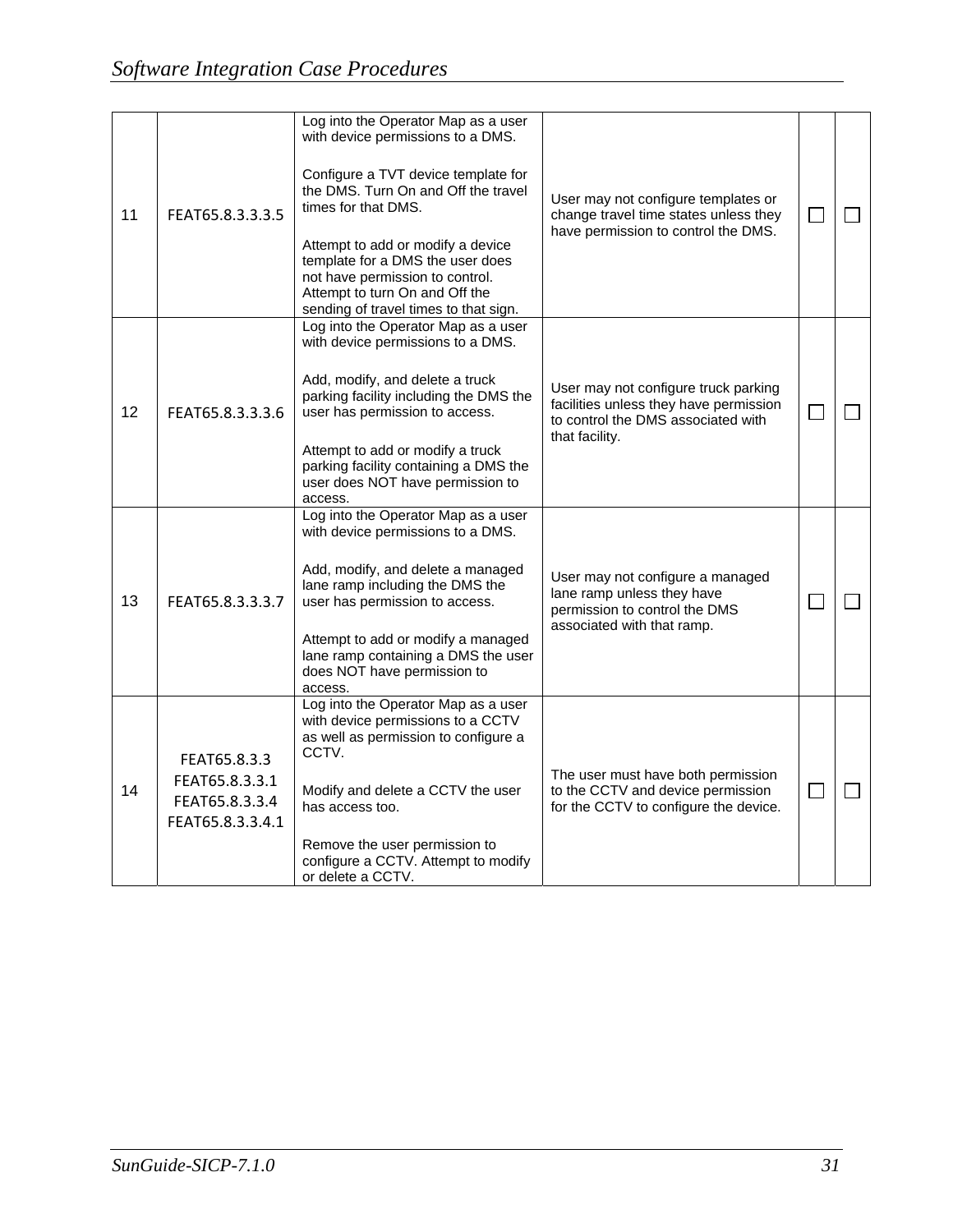| 11 | FEAT65.8.3.3.3.5                                     | Log into the Operator Map as a user<br>with device permissions to a DMS.<br>Configure a TVT device template for<br>the DMS. Turn On and Off the travel<br>times for that DMS.<br>Attempt to add or modify a device | User may not configure templates or<br>change travel time states unless they<br>have permission to control the DMS.                    |  |
|----|------------------------------------------------------|--------------------------------------------------------------------------------------------------------------------------------------------------------------------------------------------------------------------|----------------------------------------------------------------------------------------------------------------------------------------|--|
|    |                                                      | template for a DMS the user does<br>not have permission to control.<br>Attempt to turn On and Off the<br>sending of travel times to that sign.                                                                     |                                                                                                                                        |  |
|    |                                                      | Log into the Operator Map as a user<br>with device permissions to a DMS.                                                                                                                                           |                                                                                                                                        |  |
| 12 | FEAT65.8.3.3.3.6                                     | Add, modify, and delete a truck<br>parking facility including the DMS the<br>user has permission to access.                                                                                                        | User may not configure truck parking<br>facilities unless they have permission<br>to control the DMS associated with<br>that facility. |  |
|    |                                                      | Attempt to add or modify a truck<br>parking facility containing a DMS the<br>user does NOT have permission to<br>access.                                                                                           |                                                                                                                                        |  |
|    |                                                      | Log into the Operator Map as a user<br>with device permissions to a DMS.                                                                                                                                           |                                                                                                                                        |  |
| 13 | FEAT65.8.3.3.3.7                                     | Add, modify, and delete a managed<br>lane ramp including the DMS the<br>user has permission to access.                                                                                                             | User may not configure a managed<br>lane ramp unless they have<br>permission to control the DMS<br>associated with that ramp.          |  |
|    |                                                      | Attempt to add or modify a managed<br>lane ramp containing a DMS the user<br>does NOT have permission to<br>access.                                                                                                |                                                                                                                                        |  |
|    | FEAT65.8.3.3                                         | Log into the Operator Map as a user<br>with device permissions to a CCTV<br>as well as permission to configure a<br>CCTV.                                                                                          |                                                                                                                                        |  |
| 14 | FEAT65.8.3.3.1<br>FEAT65.8.3.3.4<br>FEAT65.8.3.3.4.1 | Modify and delete a CCTV the user<br>has access too.                                                                                                                                                               | The user must have both permission<br>to the CCTV and device permission<br>for the CCTV to configure the device.                       |  |
|    |                                                      | Remove the user permission to<br>configure a CCTV. Attempt to modify<br>or delete a CCTV.                                                                                                                          |                                                                                                                                        |  |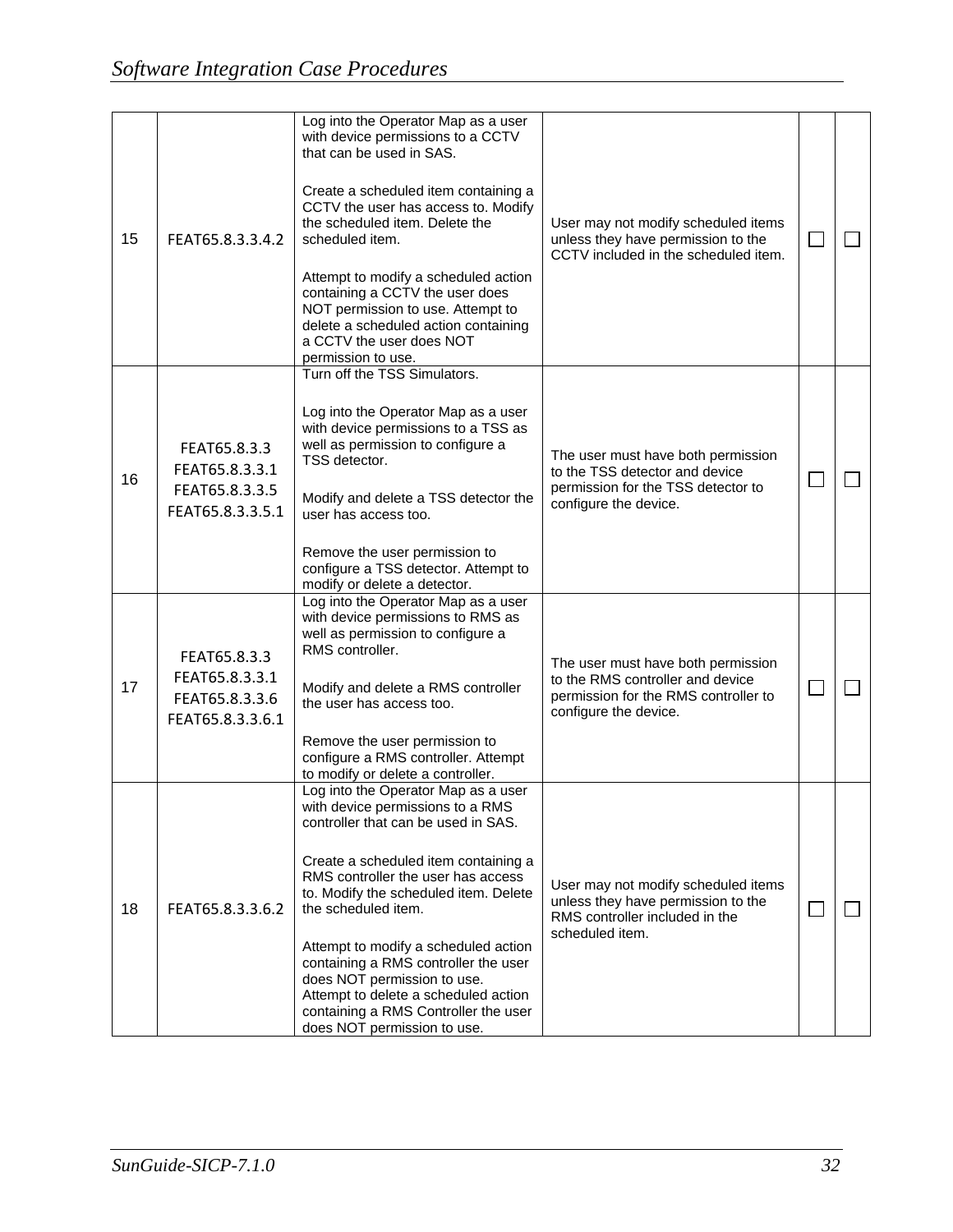| 15 | FEAT65.8.3.3.4.2                                     | Log into the Operator Map as a user<br>with device permissions to a CCTV<br>that can be used in SAS.<br>Create a scheduled item containing a<br>CCTV the user has access to. Modify<br>the scheduled item. Delete the<br>scheduled item.<br>Attempt to modify a scheduled action<br>containing a CCTV the user does<br>NOT permission to use. Attempt to<br>delete a scheduled action containing<br>a CCTV the user does NOT<br>permission to use. | User may not modify scheduled items<br>unless they have permission to the<br>CCTV included in the scheduled item.                       |  |
|----|------------------------------------------------------|----------------------------------------------------------------------------------------------------------------------------------------------------------------------------------------------------------------------------------------------------------------------------------------------------------------------------------------------------------------------------------------------------------------------------------------------------|-----------------------------------------------------------------------------------------------------------------------------------------|--|
|    |                                                      | Turn off the TSS Simulators.                                                                                                                                                                                                                                                                                                                                                                                                                       |                                                                                                                                         |  |
| 16 | FEAT65.8.3.3<br>FEAT65.8.3.3.1                       | Log into the Operator Map as a user<br>with device permissions to a TSS as<br>well as permission to configure a<br>TSS detector.                                                                                                                                                                                                                                                                                                                   | The user must have both permission<br>to the TSS detector and device                                                                    |  |
|    | FEAT65.8.3.3.5<br>FEAT65.8.3.3.5.1                   | Modify and delete a TSS detector the<br>user has access too.                                                                                                                                                                                                                                                                                                                                                                                       | permission for the TSS detector to<br>configure the device.                                                                             |  |
|    |                                                      | Remove the user permission to<br>configure a TSS detector. Attempt to<br>modify or delete a detector.                                                                                                                                                                                                                                                                                                                                              |                                                                                                                                         |  |
|    | FEAT65.8.3.3                                         | Log into the Operator Map as a user<br>with device permissions to RMS as<br>well as permission to configure a<br>RMS controller.                                                                                                                                                                                                                                                                                                                   |                                                                                                                                         |  |
| 17 | FEAT65.8.3.3.1<br>FEAT65.8.3.3.6<br>FEAT65.8.3.3.6.1 | Modify and delete a RMS controller<br>the user has access too.                                                                                                                                                                                                                                                                                                                                                                                     | The user must have both permission<br>to the RMS controller and device<br>permission for the RMS controller to<br>configure the device. |  |
|    |                                                      | Remove the user permission to<br>configure a RMS controller. Attempt<br>to modify or delete a controller.                                                                                                                                                                                                                                                                                                                                          |                                                                                                                                         |  |
|    |                                                      | Log into the Operator Map as a user<br>with device permissions to a RMS<br>controller that can be used in SAS.                                                                                                                                                                                                                                                                                                                                     |                                                                                                                                         |  |
| 18 | FEAT65.8.3.3.6.2                                     | Create a scheduled item containing a<br>RMS controller the user has access<br>to. Modify the scheduled item. Delete<br>the scheduled item.                                                                                                                                                                                                                                                                                                         | User may not modify scheduled items<br>unless they have permission to the<br>RMS controller included in the<br>scheduled item.          |  |
|    |                                                      | Attempt to modify a scheduled action<br>containing a RMS controller the user<br>does NOT permission to use.<br>Attempt to delete a scheduled action<br>containing a RMS Controller the user<br>does NOT permission to use.                                                                                                                                                                                                                         |                                                                                                                                         |  |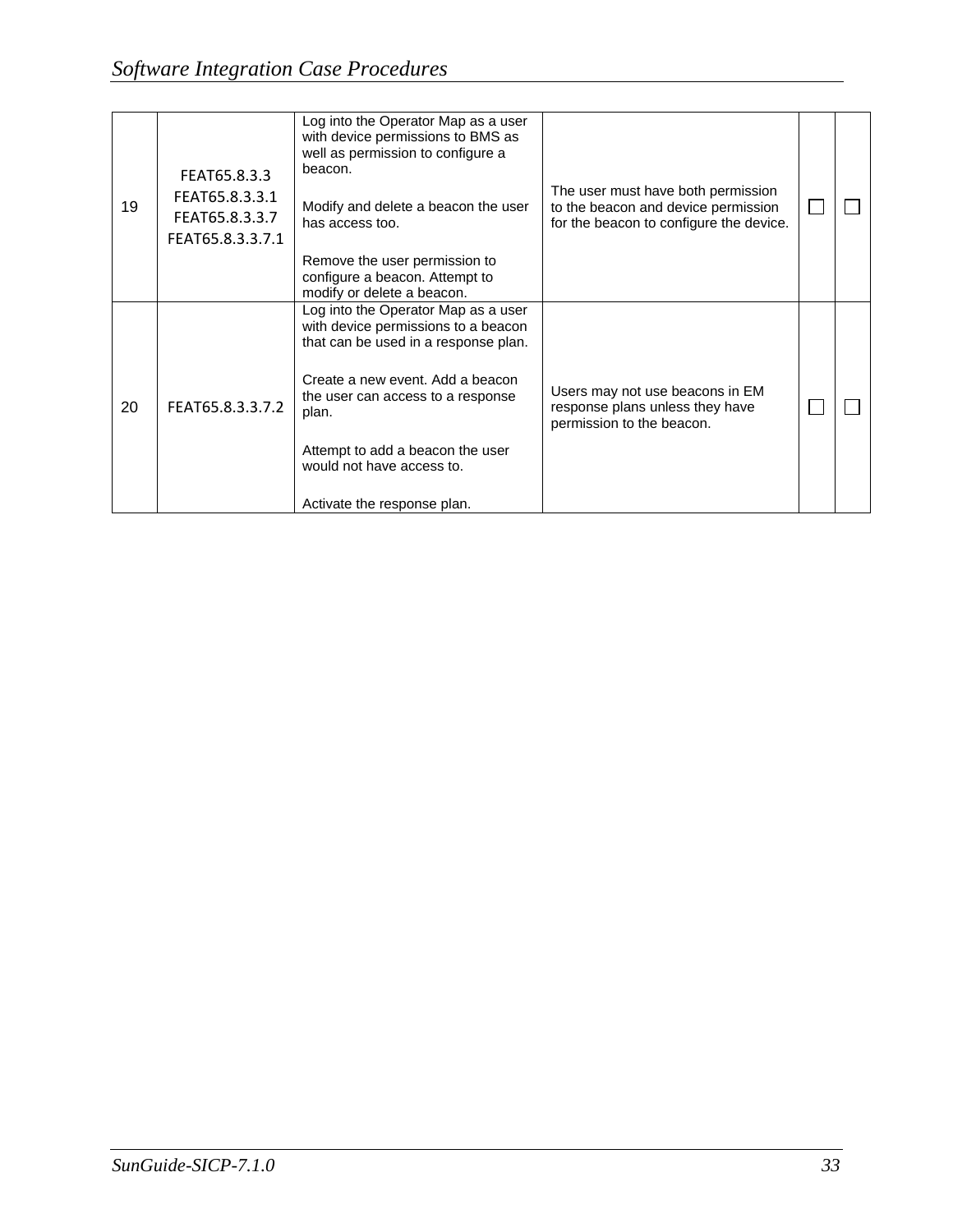|    | FEAT65.8.3.3                                         | Log into the Operator Map as a user<br>with device permissions to BMS as<br>well as permission to configure a<br>beacon. |                                                                                                                      |  |
|----|------------------------------------------------------|--------------------------------------------------------------------------------------------------------------------------|----------------------------------------------------------------------------------------------------------------------|--|
| 19 | FEAT65.8.3.3.1<br>FEAT65.8.3.3.7<br>FEAT65.8.3.3.7.1 | Modify and delete a beacon the user<br>has access too.                                                                   | The user must have both permission<br>to the beacon and device permission<br>for the beacon to configure the device. |  |
|    |                                                      | Remove the user permission to<br>configure a beacon. Attempt to<br>modify or delete a beacon.                            |                                                                                                                      |  |
|    |                                                      | Log into the Operator Map as a user<br>with device permissions to a beacon<br>that can be used in a response plan.       |                                                                                                                      |  |
| 20 | FEAT65.8.3.3.7.2                                     | Create a new event. Add a beacon<br>the user can access to a response<br>plan.                                           | Users may not use beacons in EM<br>response plans unless they have<br>permission to the beacon.                      |  |
|    |                                                      | Attempt to add a beacon the user<br>would not have access to.                                                            |                                                                                                                      |  |
|    |                                                      | Activate the response plan.                                                                                              |                                                                                                                      |  |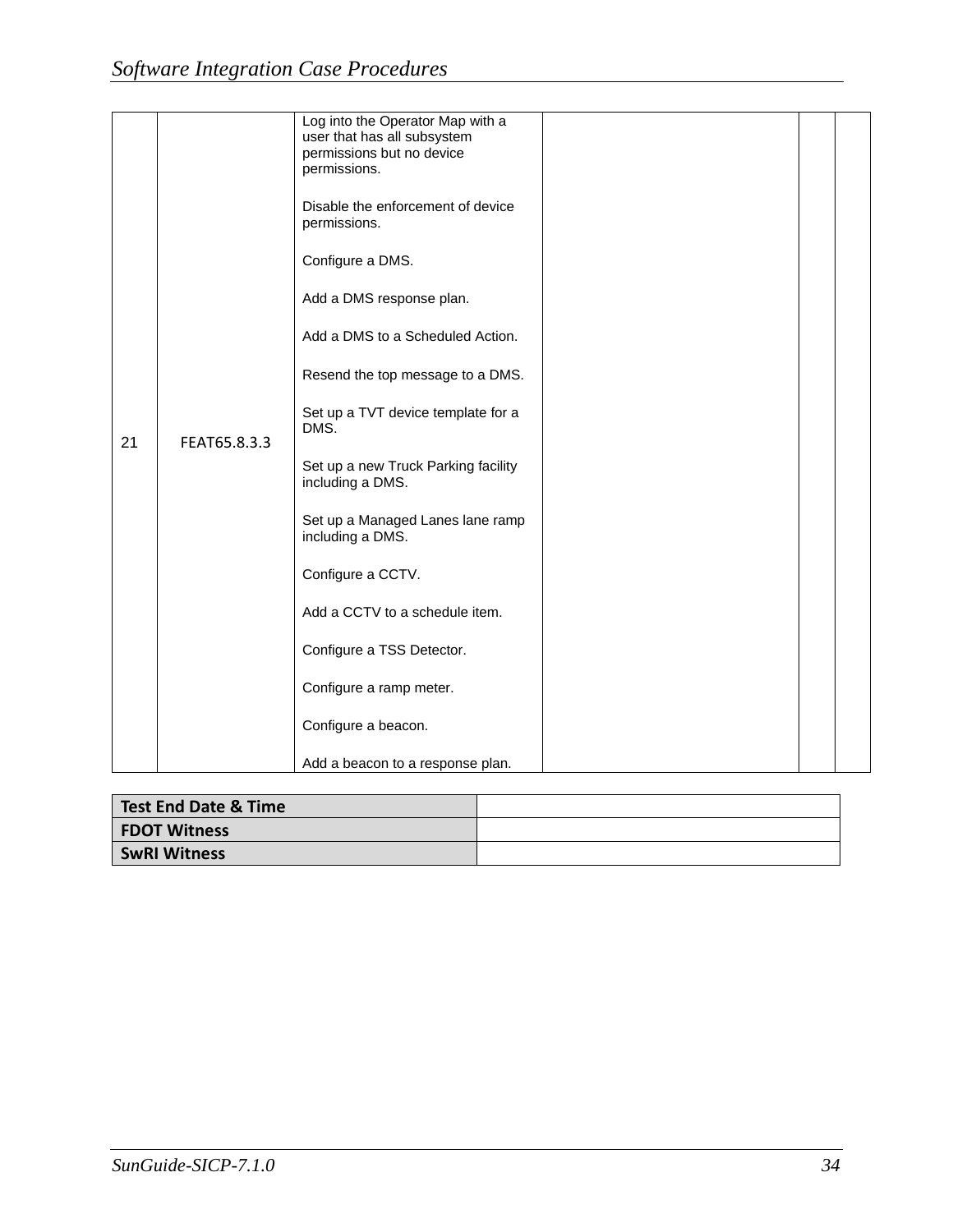|    |              | Log into the Operator Map with a<br>user that has all subsystem<br>permissions but no device<br>permissions.<br>Disable the enforcement of device<br>permissions.<br>Configure a DMS. |  |
|----|--------------|---------------------------------------------------------------------------------------------------------------------------------------------------------------------------------------|--|
|    |              | Add a DMS response plan.                                                                                                                                                              |  |
|    |              | Add a DMS to a Scheduled Action.                                                                                                                                                      |  |
|    | FEAT65.8.3.3 | Resend the top message to a DMS.                                                                                                                                                      |  |
| 21 |              | Set up a TVT device template for a<br>DMS.                                                                                                                                            |  |
|    |              | Set up a new Truck Parking facility<br>including a DMS.                                                                                                                               |  |
|    |              | Set up a Managed Lanes lane ramp<br>including a DMS.                                                                                                                                  |  |
|    |              | Configure a CCTV.                                                                                                                                                                     |  |
|    |              | Add a CCTV to a schedule item.                                                                                                                                                        |  |
|    |              | Configure a TSS Detector.                                                                                                                                                             |  |
|    |              | Configure a ramp meter.                                                                                                                                                               |  |
|    |              | Configure a beacon.                                                                                                                                                                   |  |
|    |              | Add a beacon to a response plan.                                                                                                                                                      |  |

| Test End Date & Time |  |
|----------------------|--|
| <b>FDOT Witness</b>  |  |
| <b>SwRI Witness</b>  |  |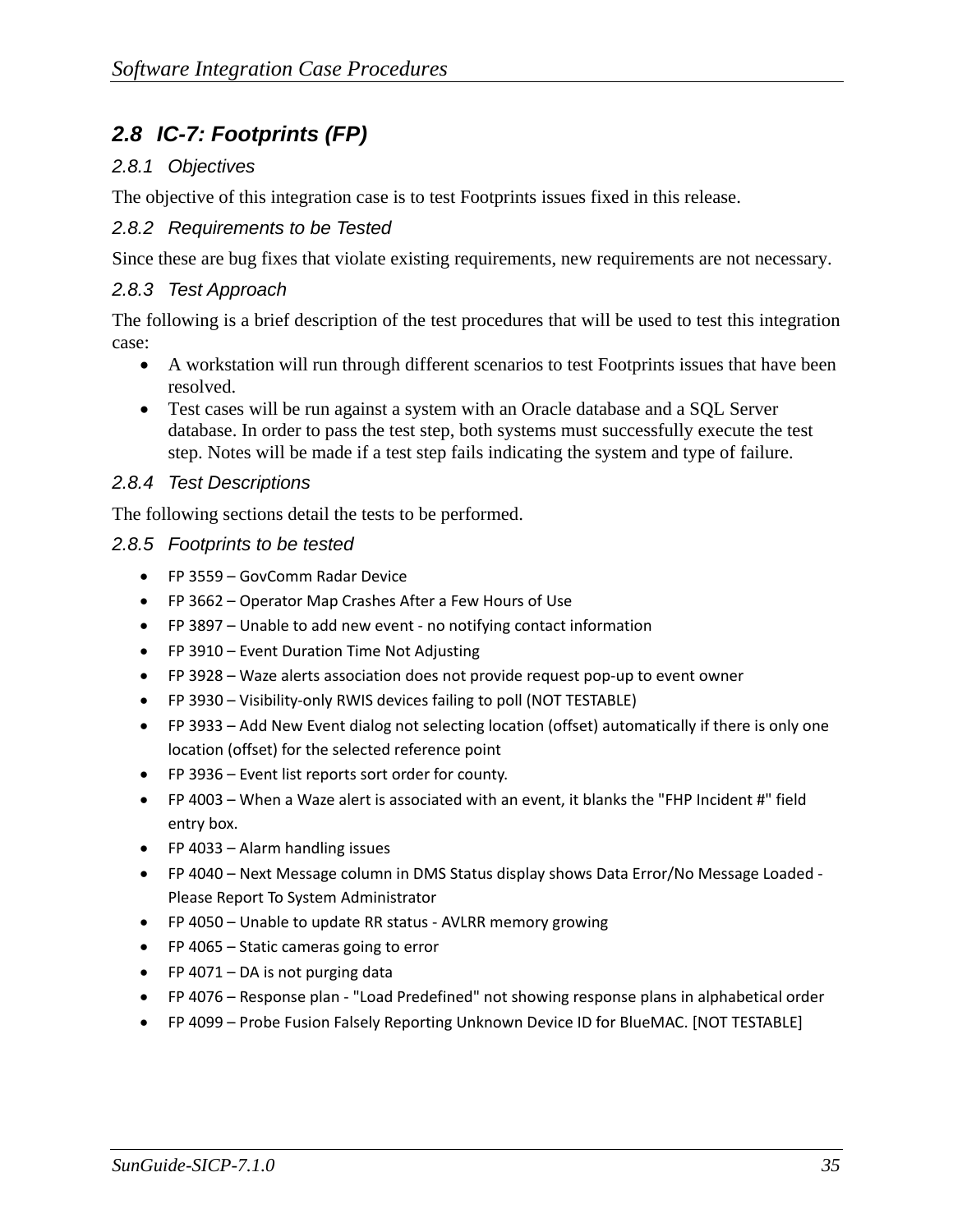### *2.8 IC-7: Footprints (FP)*

### *2.8.1 Objectives*

The objective of this integration case is to test Footprints issues fixed in this release.

### *2.8.2 Requirements to be Tested*

Since these are bug fixes that violate existing requirements, new requirements are not necessary.

### *2.8.3 Test Approach*

The following is a brief description of the test procedures that will be used to test this integration case:

- A workstation will run through different scenarios to test Footprints issues that have been resolved.
- Test cases will be run against a system with an Oracle database and a SQL Server database. In order to pass the test step, both systems must successfully execute the test step. Notes will be made if a test step fails indicating the system and type of failure.

### *2.8.4 Test Descriptions*

The following sections detail the tests to be performed.

#### *2.8.5 Footprints to be tested*

- FP 3559 GovComm Radar Device
- FP 3662 Operator Map Crashes After a Few Hours of Use
- FP 3897 Unable to add new event ‐ no notifying contact information
- FP 3910 Event Duration Time Not Adjusting
- FP 3928 Waze alerts association does not provide request pop‐up to event owner
- FP 3930 Visibility‐only RWIS devices failing to poll (NOT TESTABLE)
- FP 3933 Add New Event dialog not selecting location (offset) automatically if there is only one location (offset) for the selected reference point
- FP 3936 Event list reports sort order for county.
- FP 4003 When a Waze alert is associated with an event, it blanks the "FHP Incident #" field entry box.
- FP 4033 Alarm handling issues
- FP 4040 Next Message column in DMS Status display shows Data Error/No Message Loaded ‐ Please Report To System Administrator
- FP 4050 Unable to update RR status AVLRR memory growing
- FP 4065 Static cameras going to error
- $\bullet$  FP 4071 DA is not purging data
- FP 4076 Response plan ‐ "Load Predefined" not showing response plans in alphabetical order
- FP 4099 Probe Fusion Falsely Reporting Unknown Device ID for BlueMAC. [NOT TESTABLE]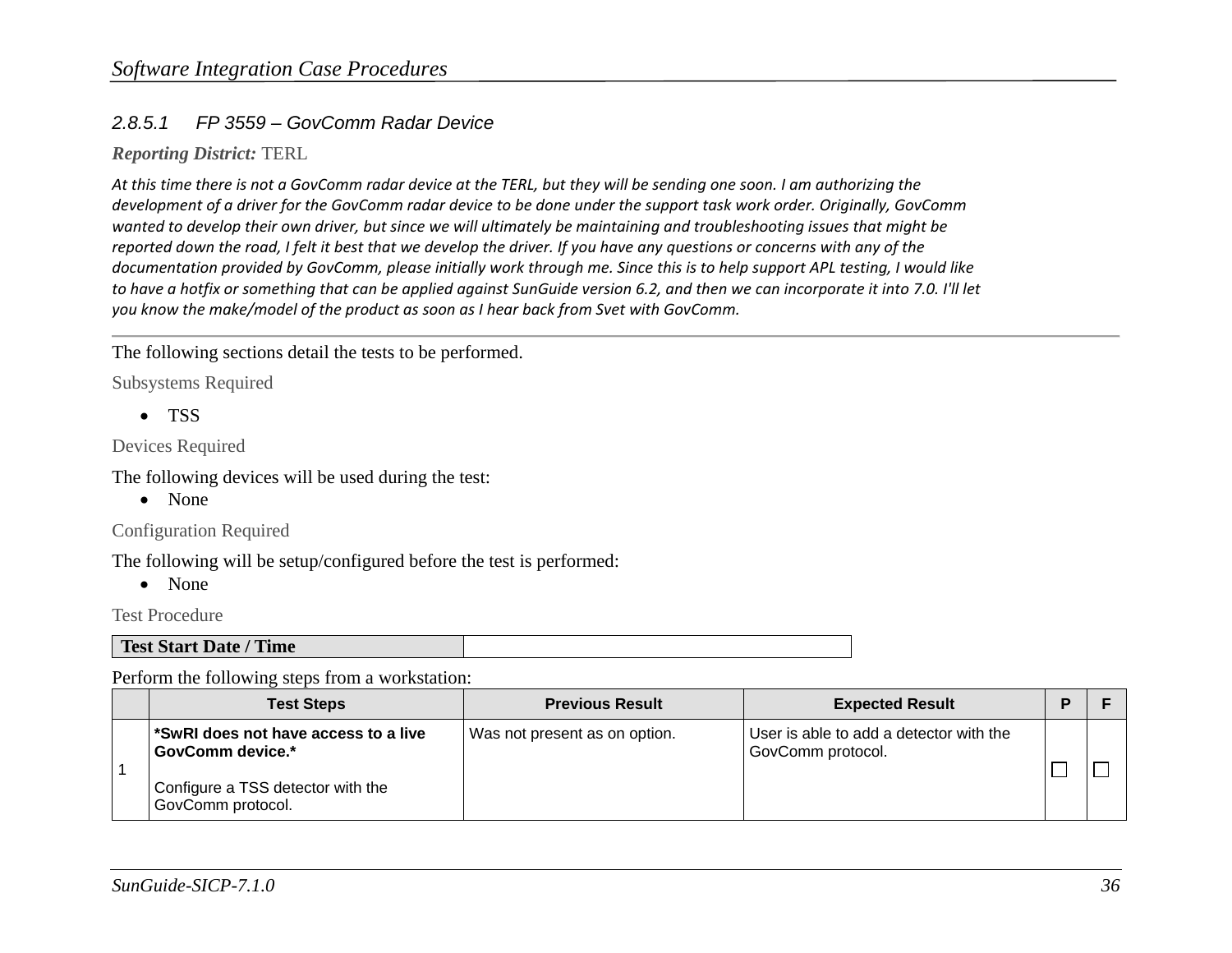### *2.8.5.1 FP 3559 – GovComm Radar Device*

*Reporting District:* TERL

At this time there is not a GovComm radar device at the TERL, but they will be sending one soon. I am authorizing the development of a driver for the GovComm radar device to be done under the support task work order. Originally, GovComm wanted to develop their own driver, but since we will ultimately be maintaining and troubleshooting issues that might be reported down the road, I felt it best that we develop the driver. If you have any questions or concerns with any of the documentation provided by GovComm, please initially work through me. Since this is to help support APL testing, I would like to have a hotfix or something that can be applied against SunGuide version 6.2, and then we can incorporate it into 7.0. I'll let *you know the make/model of the product as soon as I hear back from Svet with GovComm.*

The following sections detail the tests to be performed.

Subsystems Required

TSS

Devices Required

The following devices will be used during the test:

• None

Configuration Required

The following will be setup/configured before the test is performed:

• None

Test Procedure

**Test Start Date / Time** 

| <b>Test Steps</b>                                                                                                             | <b>Previous Result</b>        | <b>Expected Result</b>                                       |  |
|-------------------------------------------------------------------------------------------------------------------------------|-------------------------------|--------------------------------------------------------------|--|
| l *SwRI does not have access to a live l<br><b>GovComm device.*</b><br>Configure a TSS detector with the<br>GovComm protocol. | Was not present as on option. | User is able to add a detector with the<br>GovComm protocol. |  |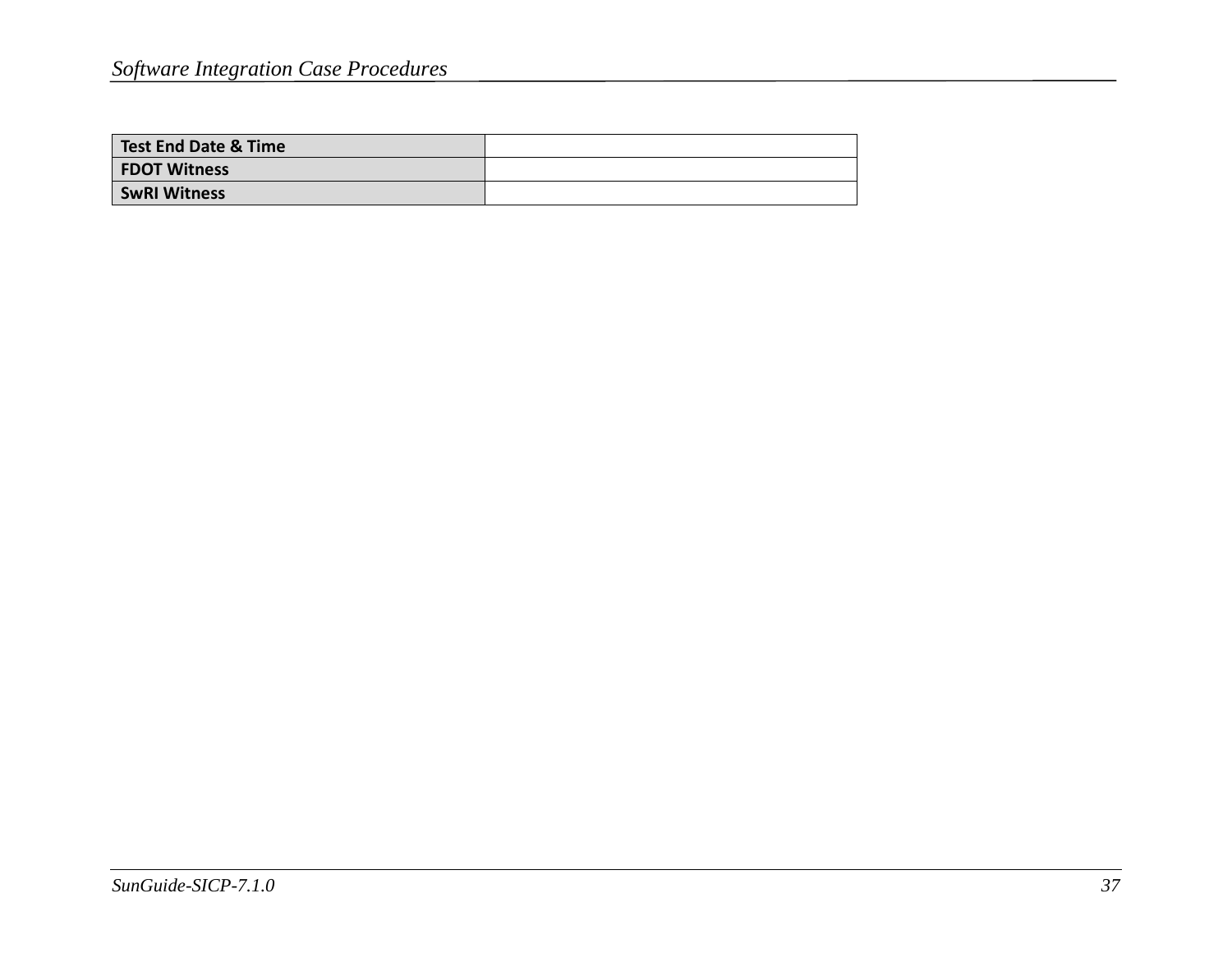| Test End Date & Time |  |
|----------------------|--|
| <b>FDOT Witness</b>  |  |
| <b>SwRI Witness</b>  |  |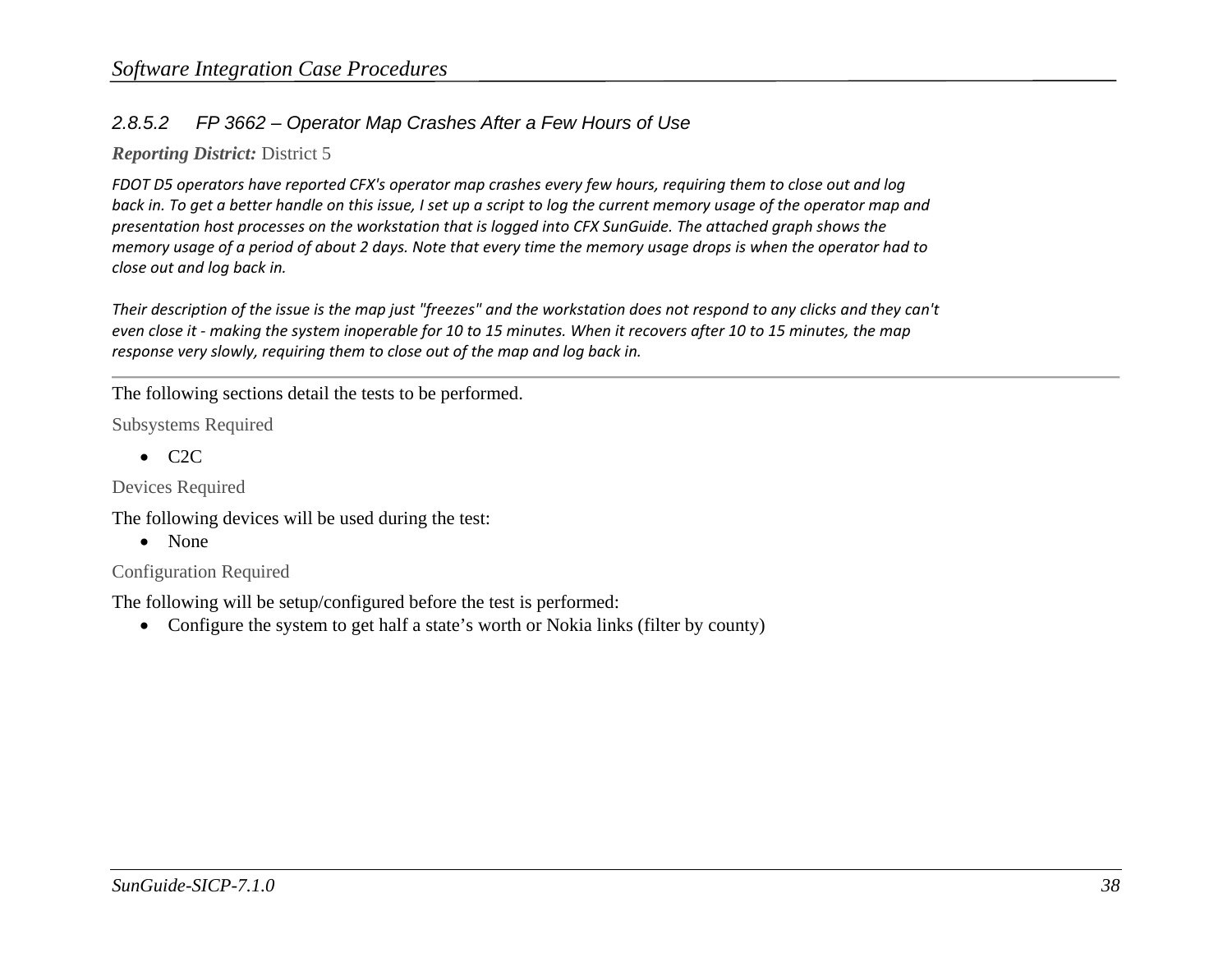### *2.8.5.2 FP 3662 – Operator Map Crashes After a Few Hours of Use*

### *Reporting District:* District 5

FDOT D5 operators have reported CFX's operator map crashes every few hours, requiring them to close out and log back in. To get a better handle on this issue, I set up a script to log the current memory usage of the operator map and presentation host processes on the workstation that is logged into CFX SunGuide. The attached graph shows the memory usage of a period of about 2 days. Note that every time the memory usage drops is when the operator had to *close out and log back in.*

Their description of the issue is the map just "freezes" and the workstation does not respond to any clicks and they can't even close it - making the system inoperable for 10 to 15 minutes. When it recovers after 10 to 15 minutes, the map *response very slowly, requiring them to close out of the map and log back in.*

The following sections detail the tests to be performed.

Subsystems Required

 $\bullet$  C2C

Devices Required

The following devices will be used during the test:

• None

Configuration Required

The following will be setup/configured before the test is performed:

• Configure the system to get half a state's worth or Nokia links (filter by county)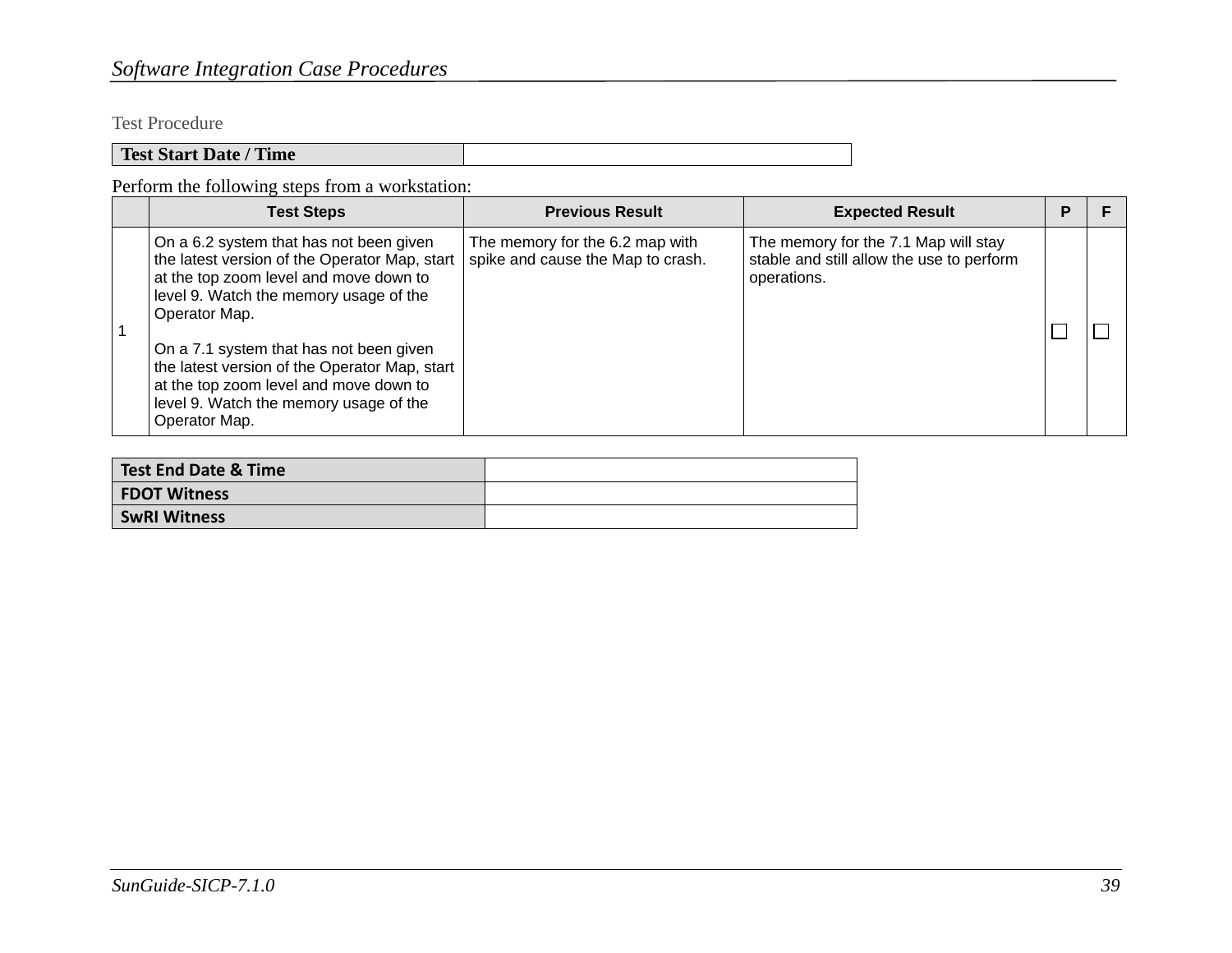Test Procedure

| <b>Time</b><br><b>Test Start Date /</b> |  |
|-----------------------------------------|--|

| <b>Test Steps</b>                                                                                                                                                                                                                                                                                                                                                                              | <b>Previous Result</b>                                               | <b>Expected Result</b>                                                                           | D |  |
|------------------------------------------------------------------------------------------------------------------------------------------------------------------------------------------------------------------------------------------------------------------------------------------------------------------------------------------------------------------------------------------------|----------------------------------------------------------------------|--------------------------------------------------------------------------------------------------|---|--|
| On a 6.2 system that has not been given<br>the latest version of the Operator Map, start<br>at the top zoom level and move down to<br>level 9. Watch the memory usage of the<br>Operator Map.<br>On a 7.1 system that has not been given<br>the latest version of the Operator Map, start<br>at the top zoom level and move down to<br>level 9. Watch the memory usage of the<br>Operator Map. | The memory for the 6.2 map with<br>spike and cause the Map to crash. | The memory for the 7.1 Map will stay<br>stable and still allow the use to perform<br>operations. |   |  |

| <b>Test End Date &amp; Time</b> |  |
|---------------------------------|--|
| <b>FDOT Witness</b>             |  |
| <b>SwRI Witness</b>             |  |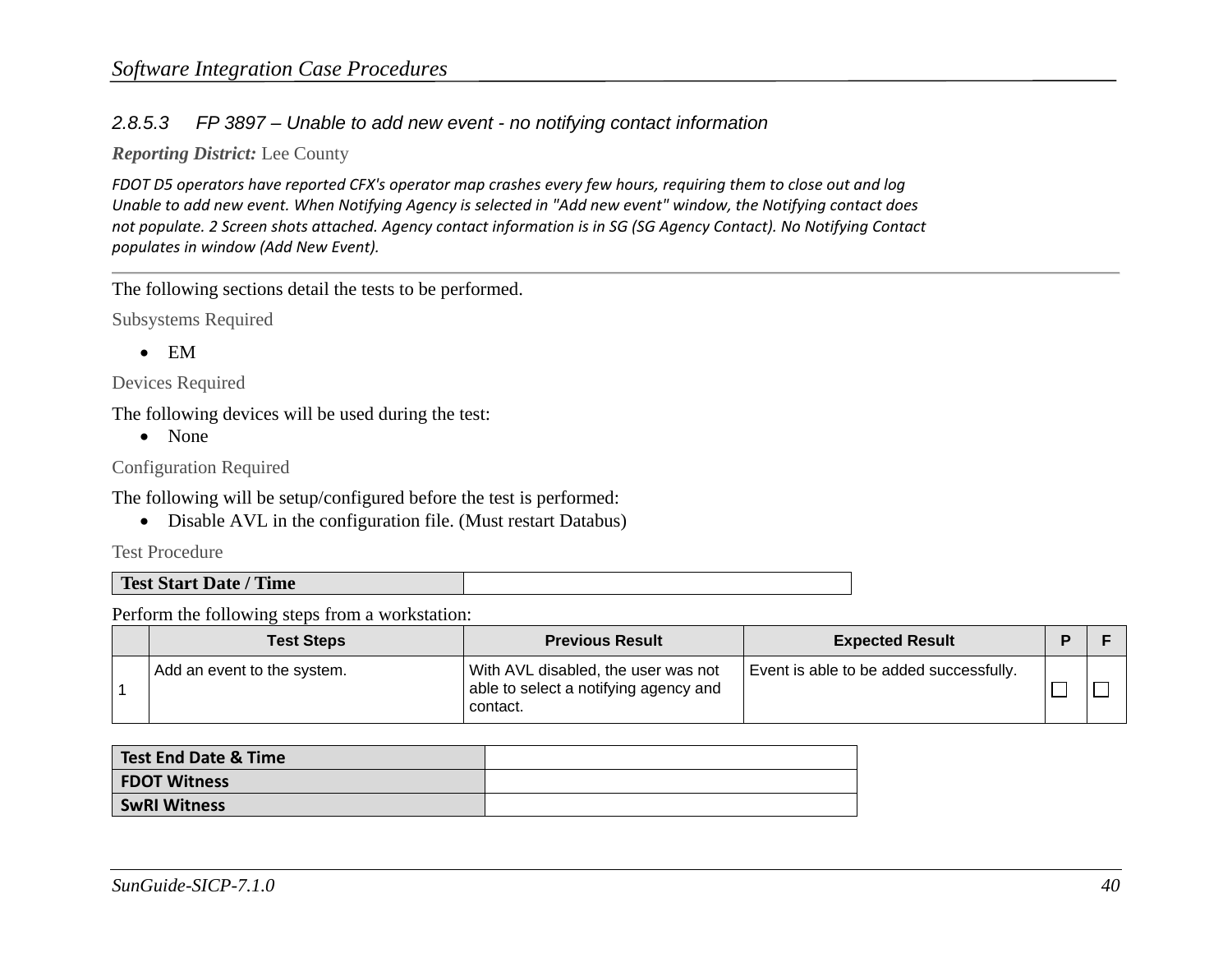### *2.8.5.3 FP 3897 – Unable to add new event - no notifying contact information*

#### *Reporting District:* Lee County

FDOT D5 operators have reported CFX's operator map crashes every few hours, requiring them to close out and log Unable to add new event. When Notifying Agency is selected in "Add new event" window, the Notifying contact does not populate. 2 Screen shots attached. Agency contact information is in SG (SG Agency Contact). No Notifying Contact *populates in window (Add New Event).*

The following sections detail the tests to be performed.

Subsystems Required

 $\bullet$  EM

Devices Required

The following devices will be used during the test:

• None

Configuration Required

The following will be setup/configured before the test is performed:

• Disable AVL in the configuration file. (Must restart Databus)

Test Procedure

| 'Time<br><b>Test Start Date</b> |  |
|---------------------------------|--|
|                                 |  |

|  | <b>Test Steps</b>           | <b>Previous Result</b>                                                                   | <b>Expected Result</b>                  |  |
|--|-----------------------------|------------------------------------------------------------------------------------------|-----------------------------------------|--|
|  | Add an event to the system. | With AVL disabled, the user was not<br>able to select a notifying agency and<br>contact. | Event is able to be added successfully. |  |

| <b>Test End Date &amp; Time</b> |  |
|---------------------------------|--|
| <b>FDOT Witness</b>             |  |
| <b>SwRI Witness</b>             |  |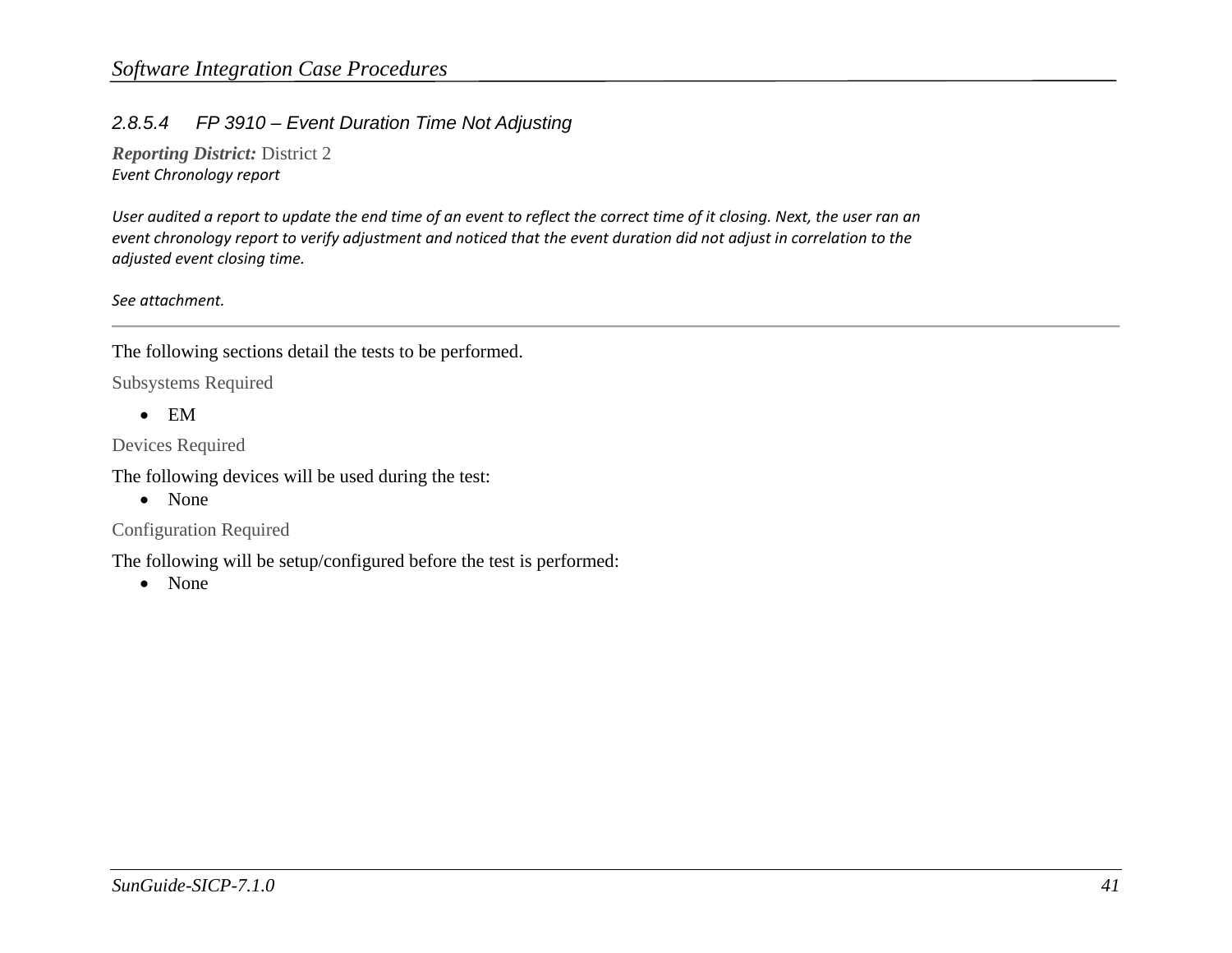### *2.8.5.4 FP 3910 – Event Duration Time Not Adjusting*

*Reporting District:* District 2 *Event Chronology report*

User audited a report to update the end time of an event to reflect the correct time of it closing. Next, the user ran an event chronology report to verify adjustment and noticed that the event duration did not adjust in correlation to the *adjusted event closing time.*

*See attachment.*

The following sections detail the tests to be performed.

Subsystems Required

 $\bullet$  EM

Devices Required

The following devices will be used during the test:

• None

Configuration Required

The following will be setup/configured before the test is performed:

• None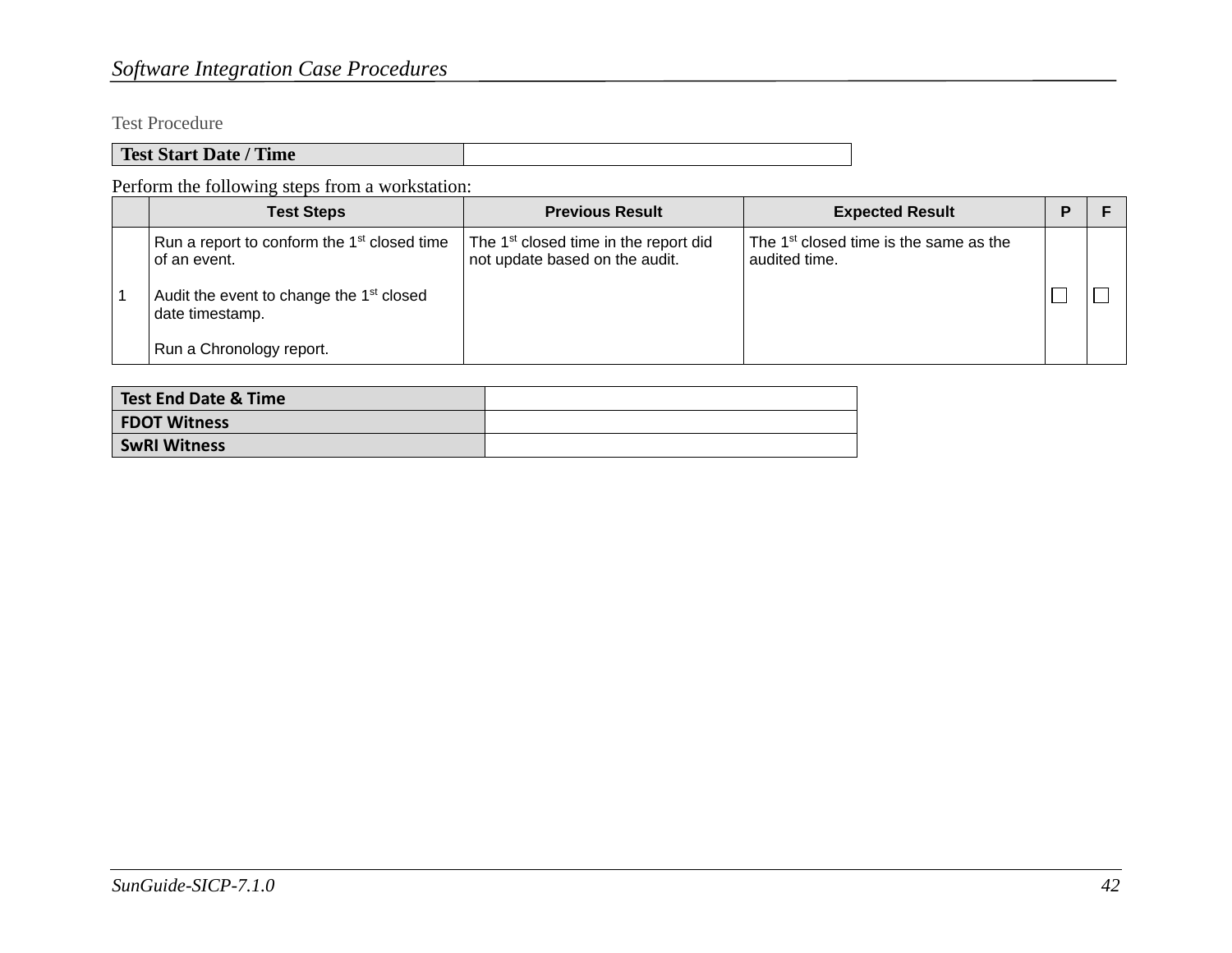# *Software Integration Case Procedures*

Test Procedure

| <b>Time</b><br><b>Test Start Date /</b> |  |
|-----------------------------------------|--|
|                                         |  |

| <b>Test Steps</b>                                                                                                                                                                | <b>Previous Result</b>                                                              | <b>Expected Result</b>                                              |  |
|----------------------------------------------------------------------------------------------------------------------------------------------------------------------------------|-------------------------------------------------------------------------------------|---------------------------------------------------------------------|--|
| Run a report to conform the 1 <sup>st</sup> closed time<br>l of an event.<br>Audit the event to change the 1 <sup>st</sup> closed<br>date timestamp.<br>Run a Chronology report. | The 1 <sup>st</sup> closed time in the report did<br>not update based on the audit. | The 1 <sup>st</sup> closed time is the same as the<br>audited time. |  |

| Test End Date & Time |  |
|----------------------|--|
| <b>FDOT Witness</b>  |  |
| <b>SwRI Witness</b>  |  |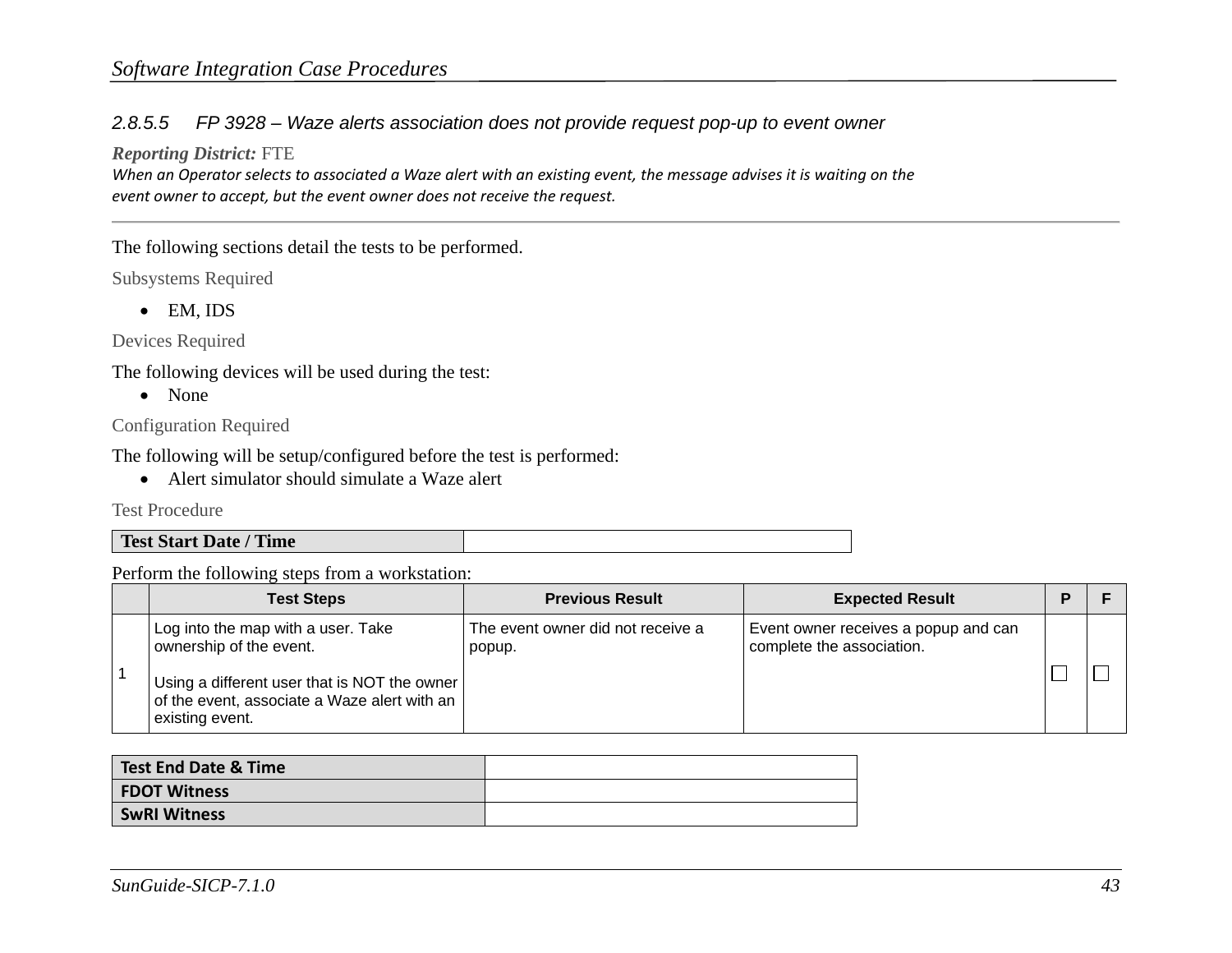### *2.8.5.5 FP 3928 – Waze alerts association does not provide request pop-up to event owner*

#### *Reporting District:* FTE

When an Operator selects to associated a Waze alert with an existing event, the message advises it is waiting on the *event owner to accept, but the event owner does not receive the request.*

The following sections detail the tests to be performed.

Subsystems Required

• EM, IDS

Devices Required

The following devices will be used during the test:

• None

Configuration Required

The following will be setup/configured before the test is performed:

• Alert simulator should simulate a Waze alert

Test Procedure

### **Test Start Date / Time**

| <b>Test Steps</b>                                                                                                                                                                | <b>Previous Result</b>                      | <b>Expected Result</b>                                            |  |
|----------------------------------------------------------------------------------------------------------------------------------------------------------------------------------|---------------------------------------------|-------------------------------------------------------------------|--|
| Log into the map with a user. Take<br>ownership of the event.<br>Using a different user that is NOT the owner<br>of the event, associate a Waze alert with an<br>existing event. | The event owner did not receive a<br>popup. | Event owner receives a popup and can<br>complete the association. |  |

| Test End Date & Time |  |
|----------------------|--|
| <b>FDOT Witness</b>  |  |
| <b>SwRI Witness</b>  |  |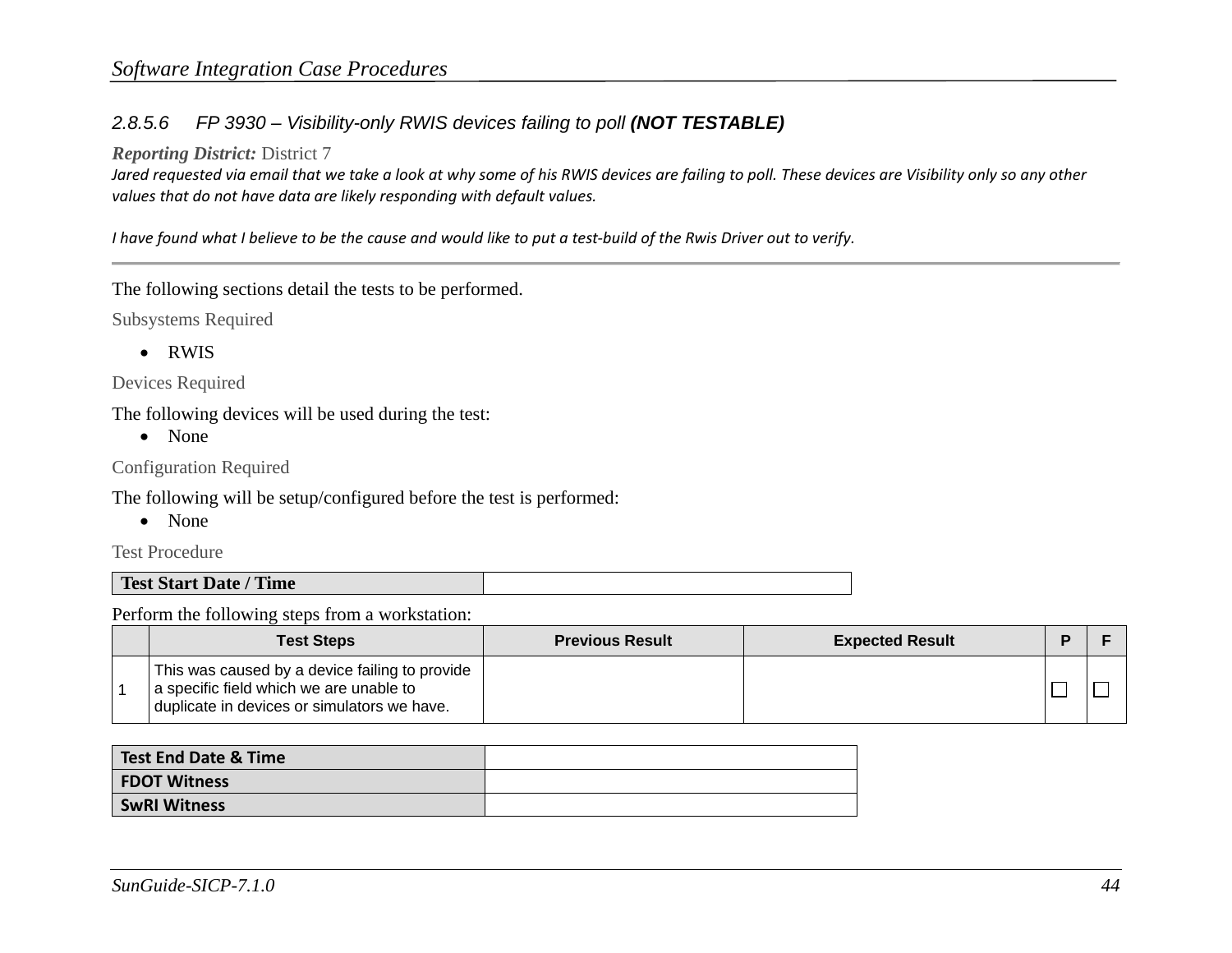### *2.8.5.6 FP 3930 – Visibility-only RWIS devices failing to poll (NOT TESTABLE)*

#### *Reporting District:* District 7

Jared requested via email that we take a look at why some of his RWIS devices are failing to poll. These devices are Visibility only so any other *values that do not have data are likely responding with default values.*

I have found what I believe to be the cause and would like to put a test-build of the Rwis Driver out to verify

The following sections detail the tests to be performed.

Subsystems Required

RWIS

Devices Required

The following devices will be used during the test:

• None

Configuration Required

The following will be setup/configured before the test is performed:

• None

Test Procedure

|  | <b>Test Start Date</b><br>'Time |  |
|--|---------------------------------|--|
|--|---------------------------------|--|

| <b>Test Steps</b>                                                                                                                          | <b>Previous Result</b> | <b>Expected Result</b> |  |
|--------------------------------------------------------------------------------------------------------------------------------------------|------------------------|------------------------|--|
| This was caused by a device failing to provide  <br>a specific field which we are unable to<br>duplicate in devices or simulators we have. |                        |                        |  |

| <b>Test End Date &amp; Time</b> |  |
|---------------------------------|--|
| <b>FDOT Witness</b>             |  |
| <b>SwRI Witness</b>             |  |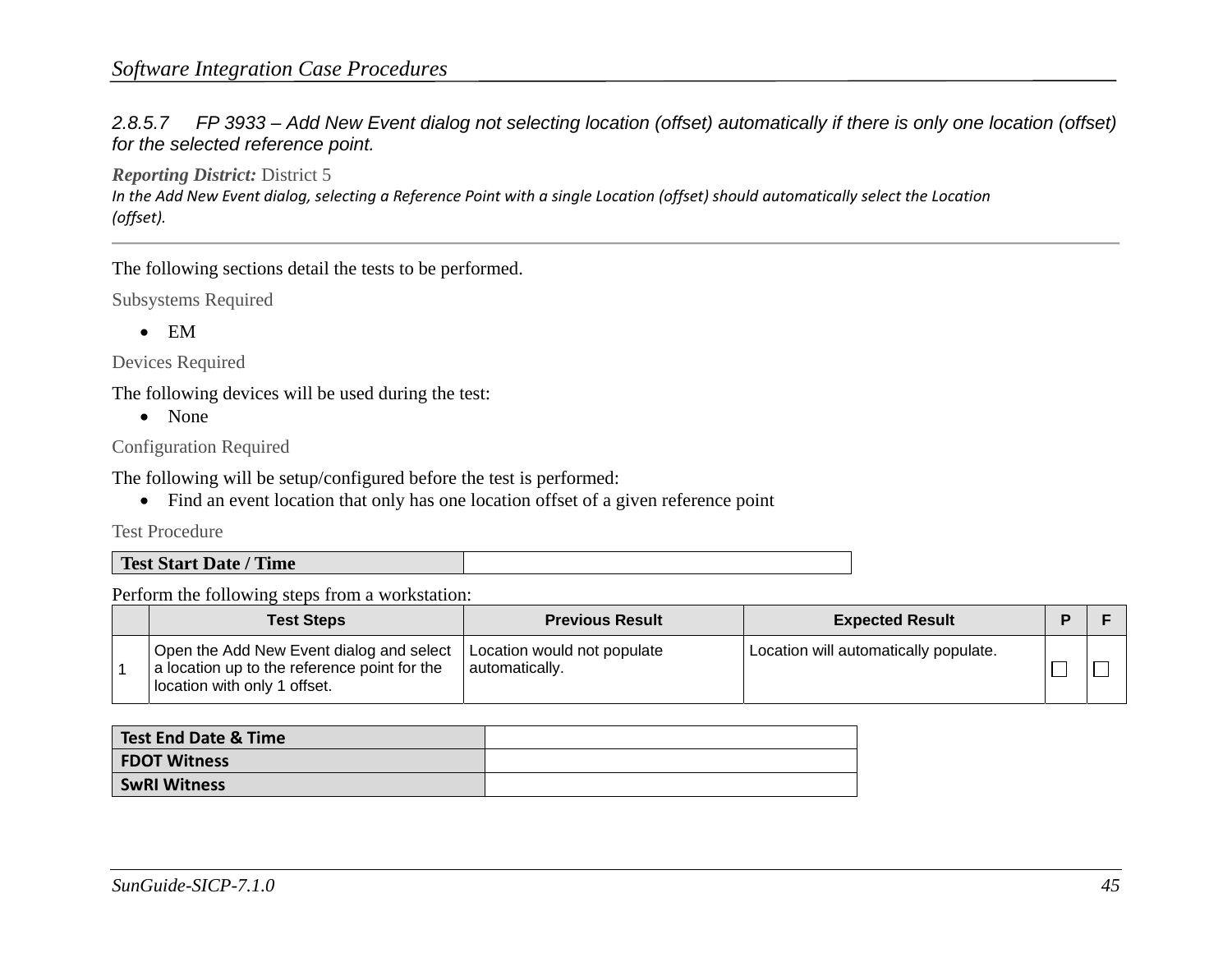#### *2.8.5.7 FP 3933 – Add New Event dialog not selecting location (offset) automatically if there is only one location (offset) for the selected reference point.*

*Reporting District:* District 5

In the Add New Event dialog, selecting a Reference Point with a single Location (offset) should automatically select the Location *(offset).*

The following sections detail the tests to be performed.

Subsystems Required

 $\bullet$  EM

Devices Required

The following devices will be used during the test:

• None

Configuration Required

The following will be setup/configured before the test is performed:

• Find an event location that only has one location offset of a given reference point

Test Procedure

| <b>Test Start Date / Time</b> |
|-------------------------------|
|-------------------------------|

|  | <b>Test Steps</b>                                                                                                        | <b>Previous Result</b>                        | <b>Expected Result</b>                | ⋼ |  |
|--|--------------------------------------------------------------------------------------------------------------------------|-----------------------------------------------|---------------------------------------|---|--|
|  | Open the Add New Event dialog and select<br>a location up to the reference point for the<br>location with only 1 offset. | Location would not populate<br>automatically. | Location will automatically populate. |   |  |

| Test End Date & Time |  |
|----------------------|--|
| <b>FDOT Witness</b>  |  |
| <b>SwRI Witness</b>  |  |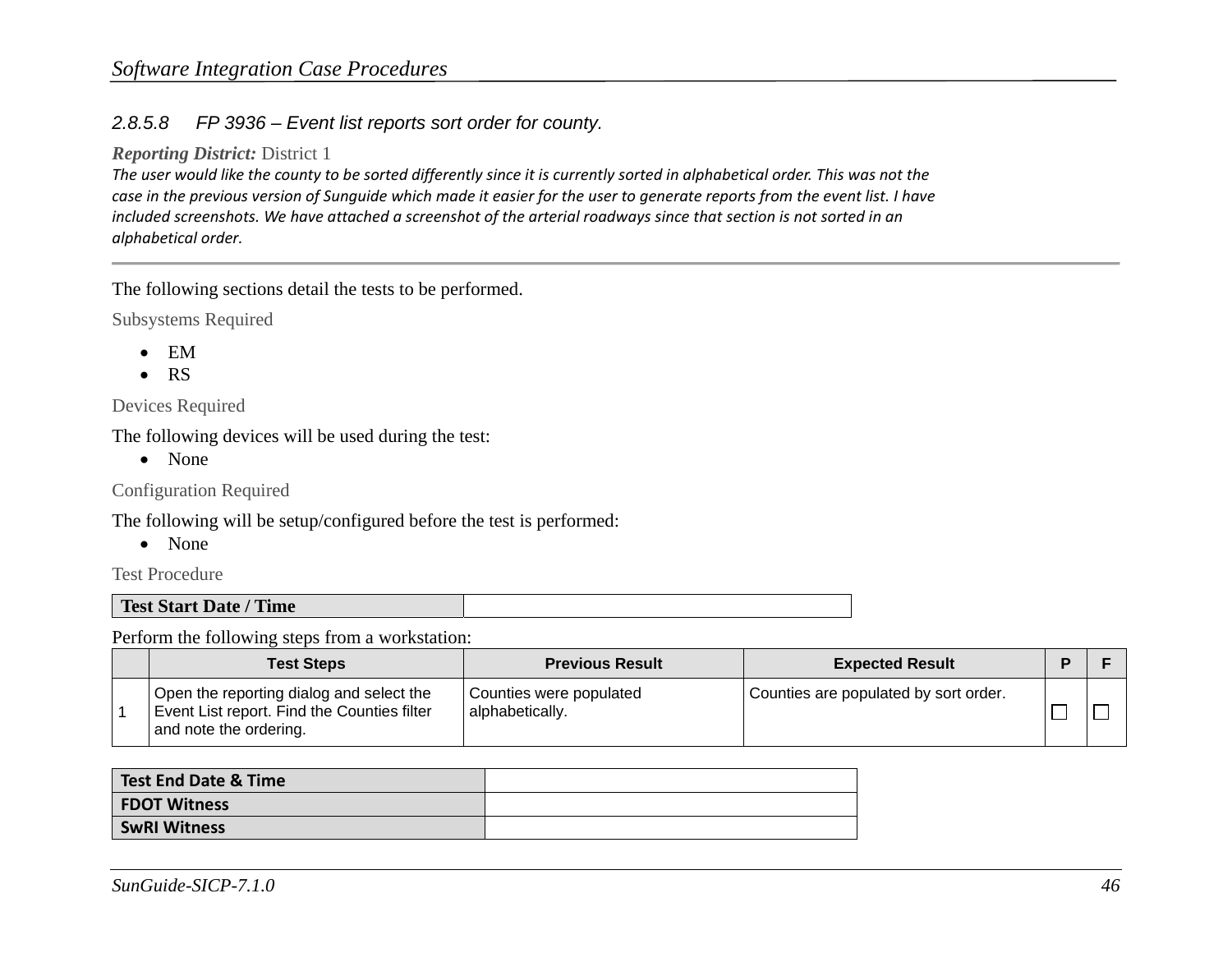### *2.8.5.8 FP 3936 – Event list reports sort order for county.*

#### *Reporting District:* District 1

The user would like the county to be sorted differently since it is currently sorted in alphabetical order. This was not the case in the previous version of Sunguide which made it easier for the user to generate reports from the event list. I have included screenshots. We have attached a screenshot of the arterial roadways since that section is not sorted in an *alphabetical order.*

The following sections detail the tests to be performed.

Subsystems Required

- $\bullet$  EM
- $\bullet$ RS

Devices Required

The following devices will be used during the test:

• None

Configuration Required

The following will be setup/configured before the test is performed:

• None

Test Procedure

| Time<br><b>Test Start Date</b> |  |
|--------------------------------|--|

|  | <b>Test Steps</b>                                                                                                 | <b>Previous Result</b>                     | <b>Expected Result</b>                |  |
|--|-------------------------------------------------------------------------------------------------------------------|--------------------------------------------|---------------------------------------|--|
|  | Open the reporting dialog and select the<br>Event List report. Find the Counties filter<br>and note the ordering. | Counties were populated<br>alphabetically. | Counties are populated by sort order. |  |

| Test End Date & Time |  |
|----------------------|--|
| <b>FDOT Witness</b>  |  |
| <b>SwRI Witness</b>  |  |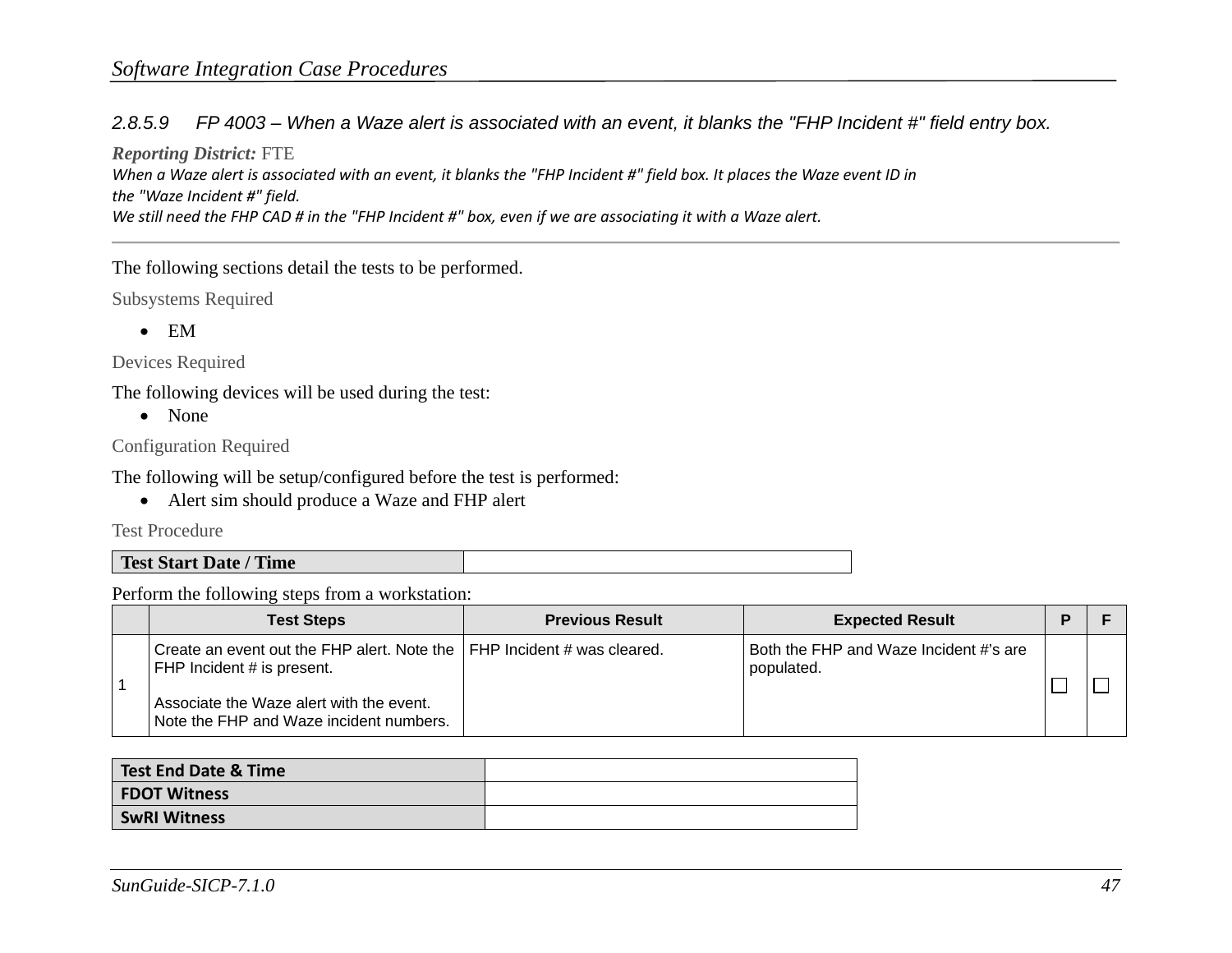### *Software Integration Case Procedures*

### *2.8.5.9 FP 4003 – When a Waze alert is associated with an event, it blanks the "FHP Incident #" field entry box.*

*Reporting District:* FTE When a Waze alert is associated with an event, it blanks the "FHP Incident #" field box. It places the Waze event ID in *the "Waze Incident #" field.* We still need the FHP CAD # in the "FHP Incident #" box, even if we are associating it with a Waze alert.

The following sections detail the tests to be performed.

Subsystems Required

 $\bullet$  EM

Devices Required

The following devices will be used during the test:

• None

Configuration Required

The following will be setup/configured before the test is performed:

• Alert sim should produce a Waze and FHP alert

Test Procedure

| 'Time<br><b>Test Start Date</b> |  |
|---------------------------------|--|
|---------------------------------|--|

| <b>Test Steps</b>                                                                                                                                                                                    | <b>Previous Result</b> | <b>Expected Result</b>                               |  |
|------------------------------------------------------------------------------------------------------------------------------------------------------------------------------------------------------|------------------------|------------------------------------------------------|--|
| Create an event out the FHP alert. Note the $\vert$ FHP Incident # was cleared.<br>FHP Incident # is present.<br>Associate the Waze alert with the event.<br>Note the FHP and Waze incident numbers. |                        | Both the FHP and Waze Incident #'s are<br>populated. |  |

| Test End Date & Time |  |
|----------------------|--|
| <b>FDOT Witness</b>  |  |
| <b>SwRI Witness</b>  |  |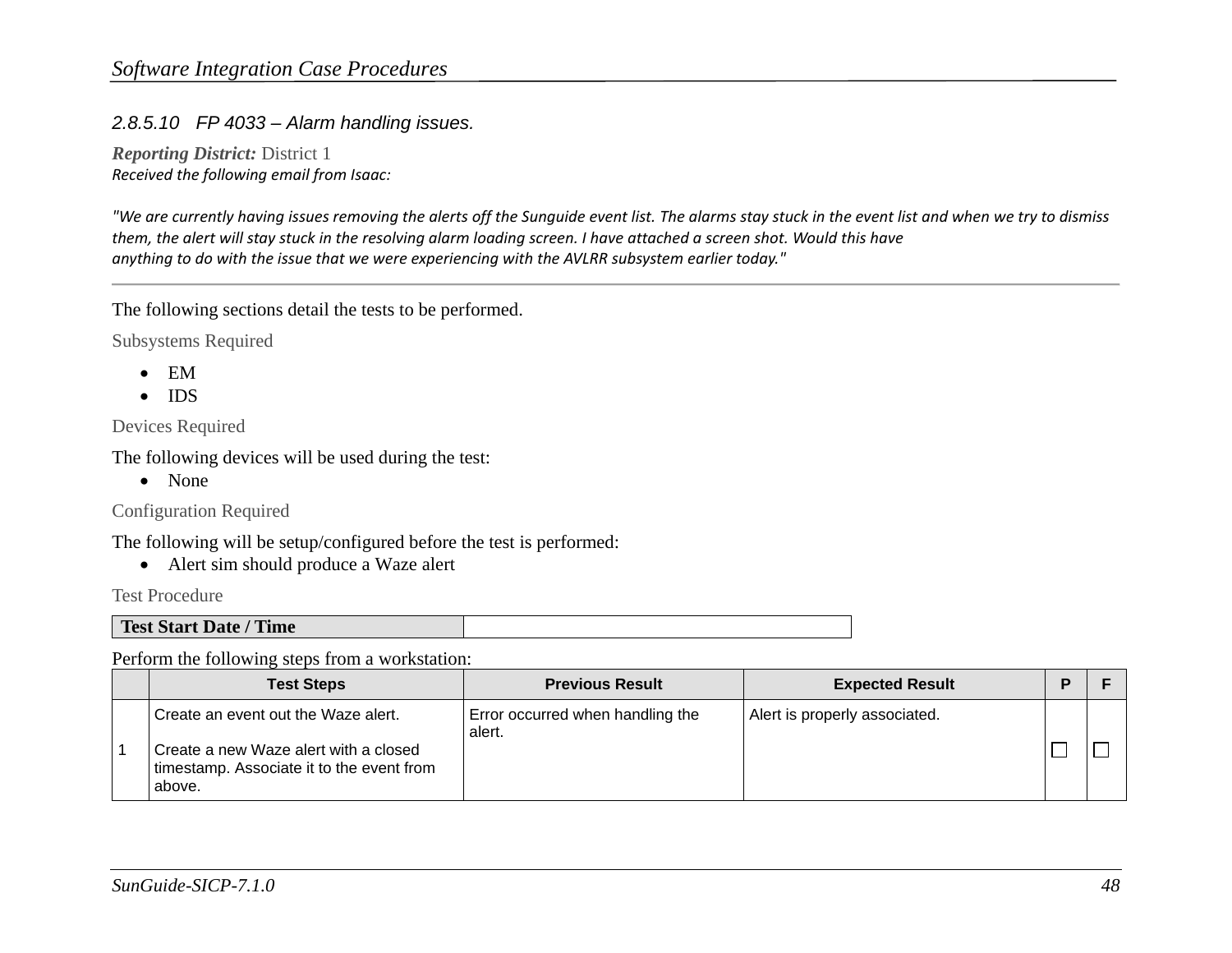### *2.8.5.10 FP 4033 – Alarm handling issues.*

*Reporting District:* District 1 *Received the following email from Isaac:*

"We are currently having issues removing the alerts off the Sunguide event list. The alarms stay stuck in the event list and when we try to dismiss them, the alert will stay stuck in the resolving alarm loading screen. I have attached a screen shot. Would this have *anything to do with the issue that we were experiencing with the AVLRR subsystem earlier today."*

The following sections detail the tests to be performed.

Subsystems Required

- $\bullet$  EM
- $\bullet$ IDS

Devices Required

The following devices will be used during the test:

• None

Configuration Required

The following will be setup/configured before the test is performed:

• Alert sim should produce a Waze alert

Test Procedure

| <b>Test Start Date / Time</b> |  |
|-------------------------------|--|
|                               |  |

| <b>Test Steps</b>                                                                                                                   | <b>Previous Result</b>                     | <b>Expected Result</b>        |  |
|-------------------------------------------------------------------------------------------------------------------------------------|--------------------------------------------|-------------------------------|--|
| Create an event out the Waze alert.<br>Create a new Waze alert with a closed<br>timestamp. Associate it to the event from<br>above. | Error occurred when handling the<br>alert. | Alert is properly associated. |  |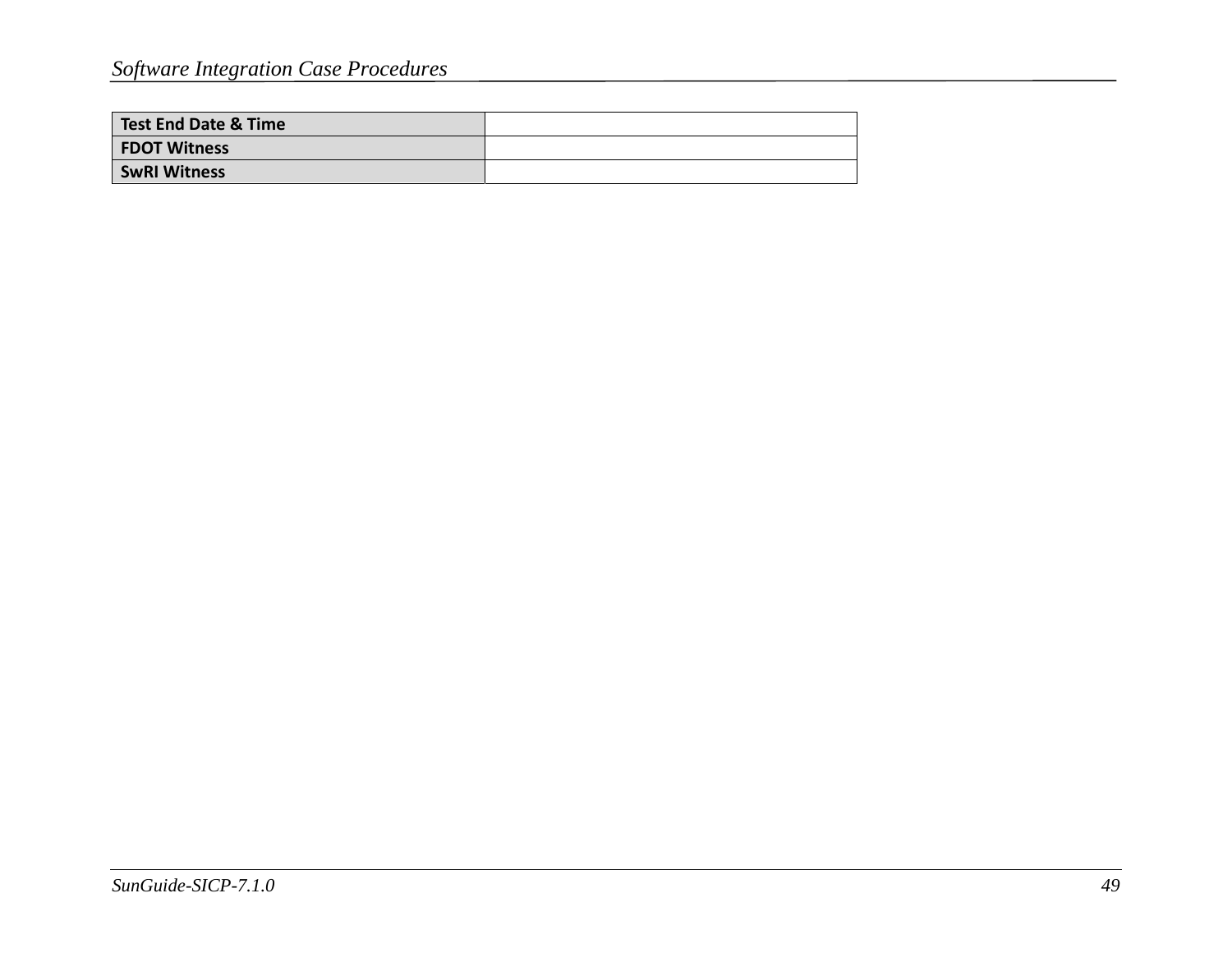| Test End Date & Time |  |
|----------------------|--|
| <b>FDOT Witness</b>  |  |
| <b>SwRI Witness</b>  |  |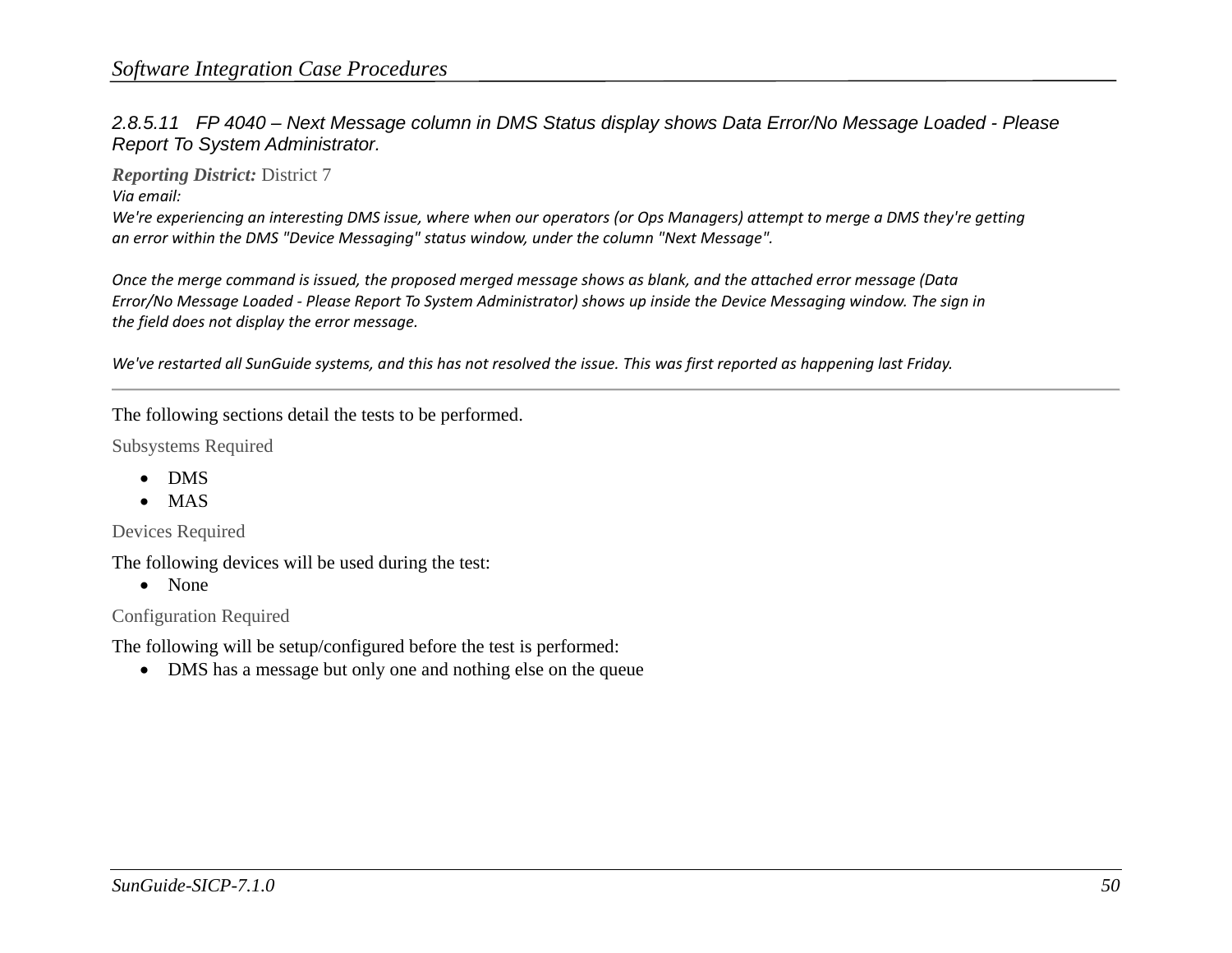*2.8.5.11 FP 4040 – Next Message column in DMS Status display shows Data Error/No Message Loaded - Please Report To System Administrator.* 

*Reporting District:* District 7 *Via email:*

We're experiencing an interesting DMS issue, where when our operators (or Ops Managers) attempt to merge a DMS they're getting *an error within the DMS "Device Messaging" status window, under the column "Next Message".*

Once the merge command is issued, the proposed merged message shows as blank, and the attached error message (Data Error/No Message Loaded - Please Report To System Administrator) shows up inside the Device Messaging window. The sign in *the field does not display the error message.*

We've restarted all SunGuide systems, and this has not resolved the issue. This was first reported as happening last Friday.

The following sections detail the tests to be performed.

Subsystems Required

- $\bullet$ DMS
- $\bullet$ MAS

Devices Required

The following devices will be used during the test:

• None

Configuration Required

The following will be setup/configured before the test is performed:

DMS has a message but only one and nothing else on the queue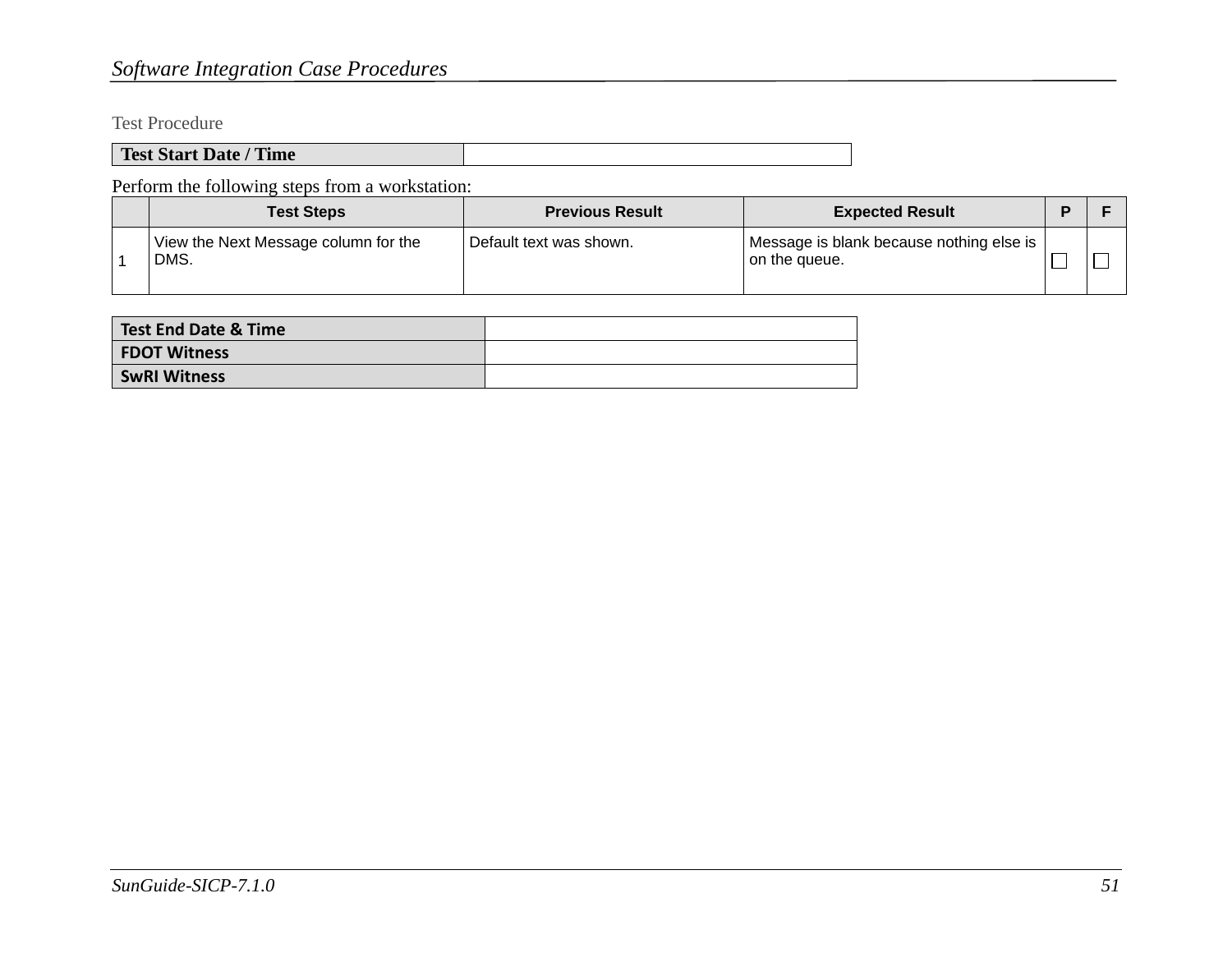# *Software Integration Case Procedures*

Test Procedure

| <b>Time</b><br><b>Test Start Date /</b> |  |
|-----------------------------------------|--|

| <b>Test Steps</b>                            | <b>Previous Result</b>  | <b>Expected Result</b>                                      |  |
|----------------------------------------------|-------------------------|-------------------------------------------------------------|--|
| View the Next Message column for the<br>DMS. | Default text was shown. | Message is blank because nothing else is  <br>on the queue. |  |

| Test End Date & Time |  |
|----------------------|--|
| <b>FDOT Witness</b>  |  |
| <b>SwRI Witness</b>  |  |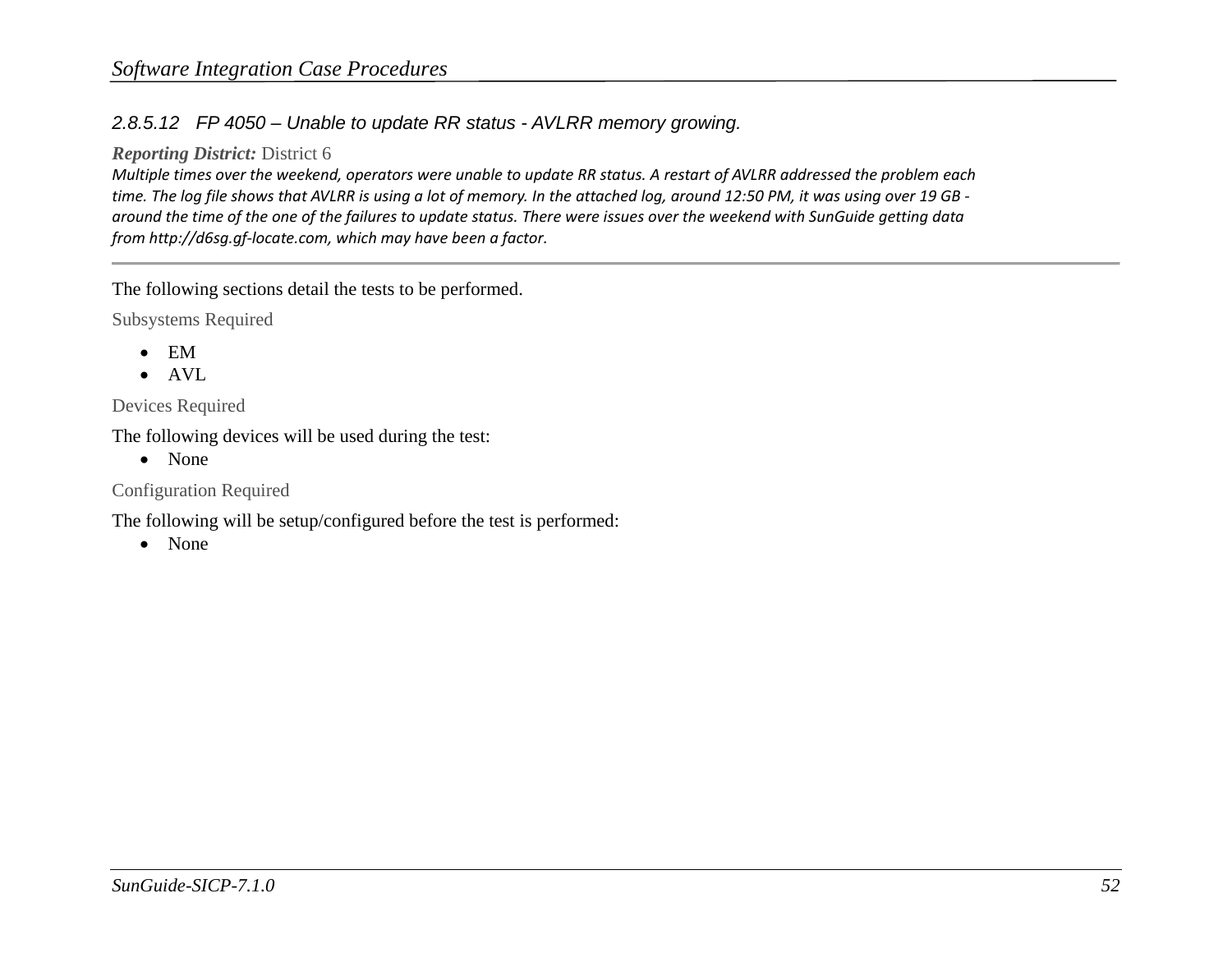### *2.8.5.12 FP 4050 – Unable to update RR status - AVLRR memory growing.*

#### *Reporting District:* District 6

Multiple times over the weekend, operators were unable to update RR status. A restart of AVLRR addressed the problem each time. The log file shows that AVLRR is using a lot of memory. In the attached log, around 12:50 PM, it was using over 19 GB around the time of the one of the failures to update status. There were issues over the weekend with SunGuide getting data *from http://d6sg.gf‐locate.com, which may have been <sup>a</sup> factor.*

The following sections detail the tests to be performed.

Subsystems Required

- $\bullet$  EM
- AVL

Devices Required

The following devices will be used during the test:

• None

Configuration Required

The following will be setup/configured before the test is performed:

• None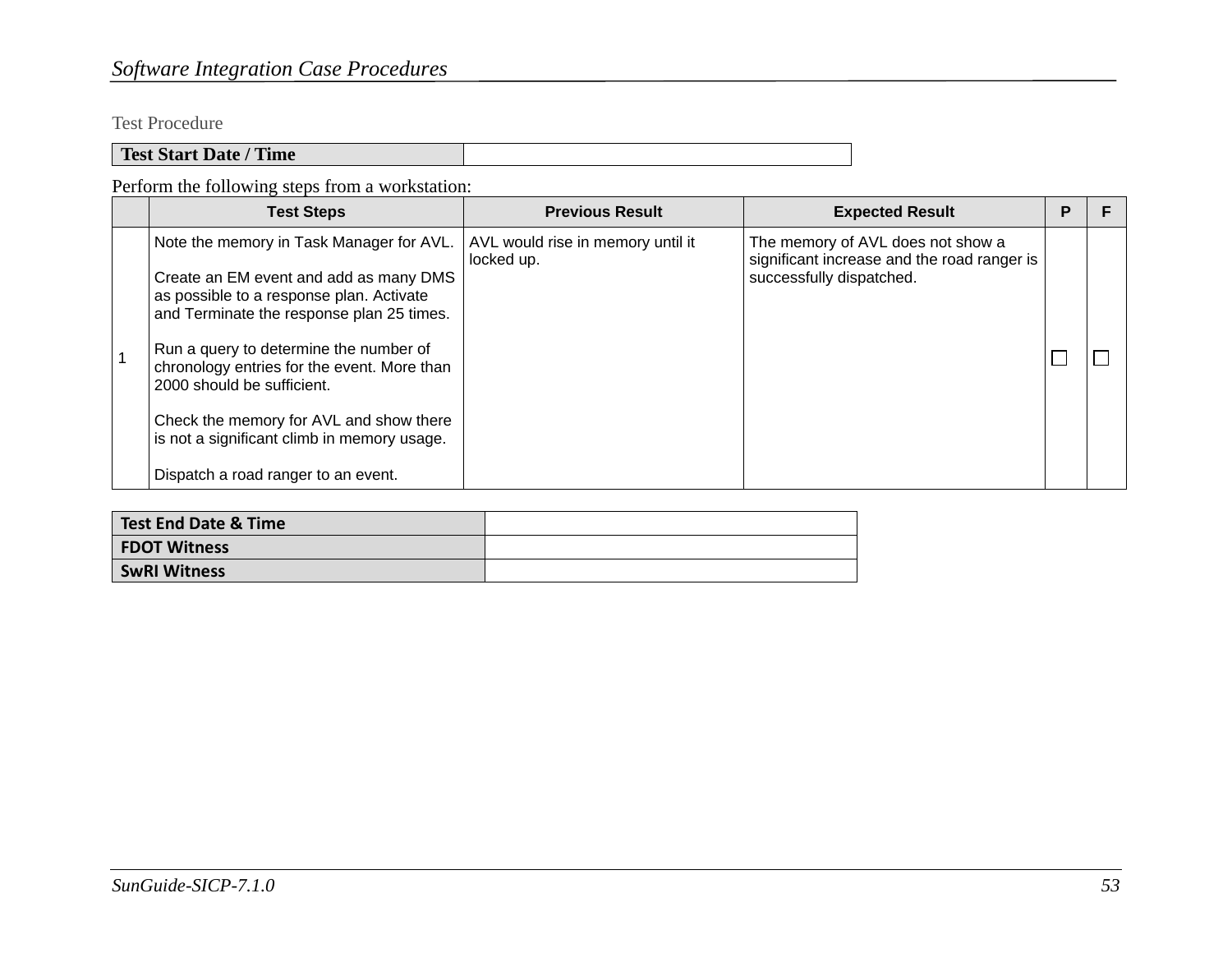# *Software Integration Case Procedures*

Test Procedure

| Time<br><b>Test Start Date /</b> |  |
|----------------------------------|--|

| <b>Test Steps</b>                                                                                                                                                                                                                                                                                                                                                                                                                   | <b>Previous Result</b>                          | <b>Expected Result</b>                                                                                       | P |  |
|-------------------------------------------------------------------------------------------------------------------------------------------------------------------------------------------------------------------------------------------------------------------------------------------------------------------------------------------------------------------------------------------------------------------------------------|-------------------------------------------------|--------------------------------------------------------------------------------------------------------------|---|--|
| Note the memory in Task Manager for AVL.<br>Create an EM event and add as many DMS<br>as possible to a response plan. Activate<br>and Terminate the response plan 25 times.<br>Run a query to determine the number of<br>chronology entries for the event. More than<br>2000 should be sufficient.<br>Check the memory for AVL and show there<br>is not a significant climb in memory usage.<br>Dispatch a road ranger to an event. | AVL would rise in memory until it<br>locked up. | The memory of AVL does not show a<br>significant increase and the road ranger is<br>successfully dispatched. |   |  |

| Test End Date & Time |  |
|----------------------|--|
| <b>FDOT Witness</b>  |  |
| <b>SwRI Witness</b>  |  |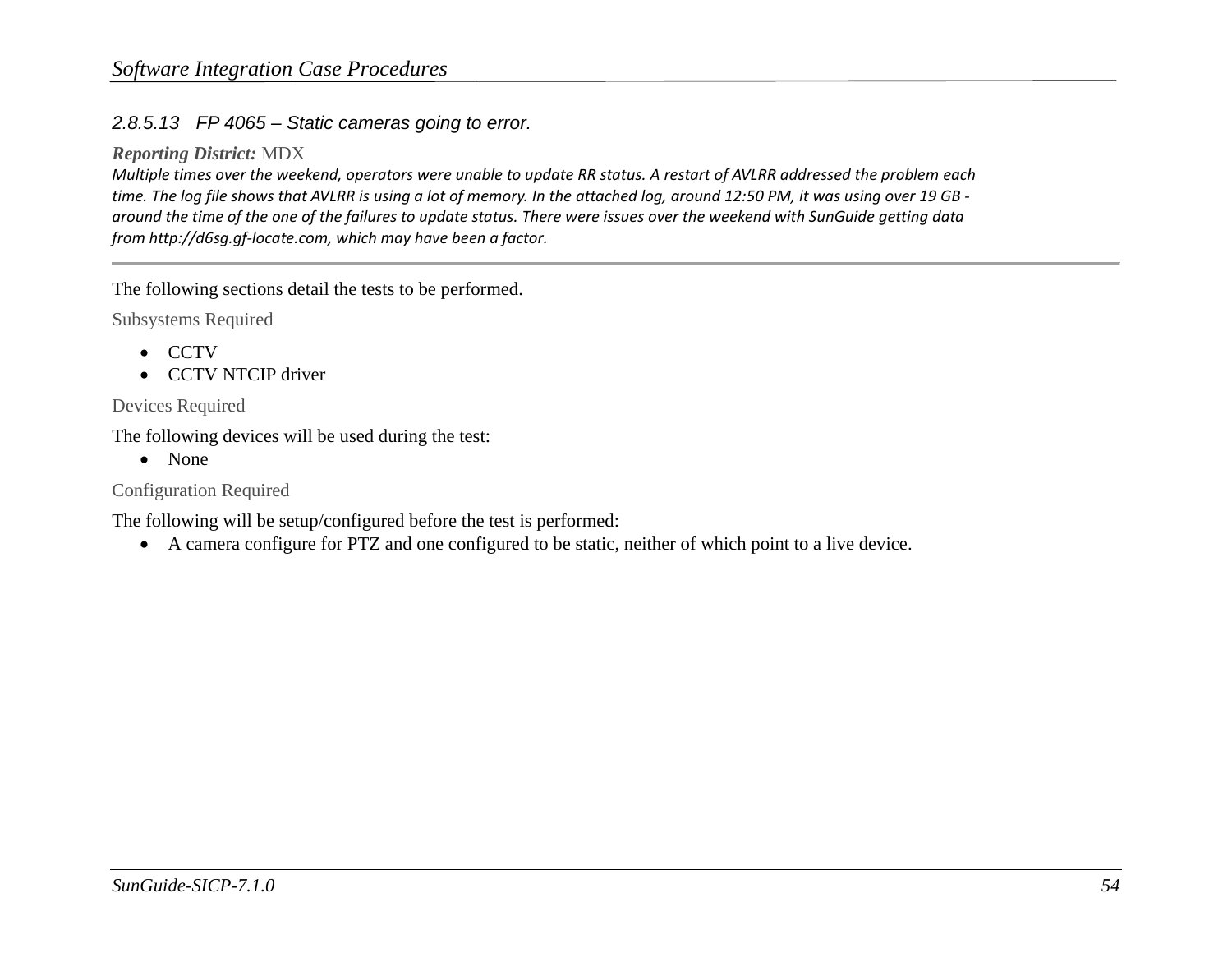### *2.8.5.13 FP 4065 – Static cameras going to error.*

#### *Reporting District:* MDX

Multiple times over the weekend, operators were unable to update RR status. A restart of AVLRR addressed the problem each time. The log file shows that AVLRR is using a lot of memory. In the attached log, around 12:50 PM, it was using over 19 GB around the time of the one of the failures to update status. There were issues over the weekend with SunGuide getting data *from http://d6sg.gf‐locate.com, which may have been <sup>a</sup> factor.*

The following sections detail the tests to be performed.

Subsystems Required

- $\bullet$  CCTV
- CCTV NTCIP driver

Devices Required

The following devices will be used during the test:

• None

Configuration Required

The following will be setup/configured before the test is performed:

A camera configure for PTZ and one configured to be static, neither of which point to a live device.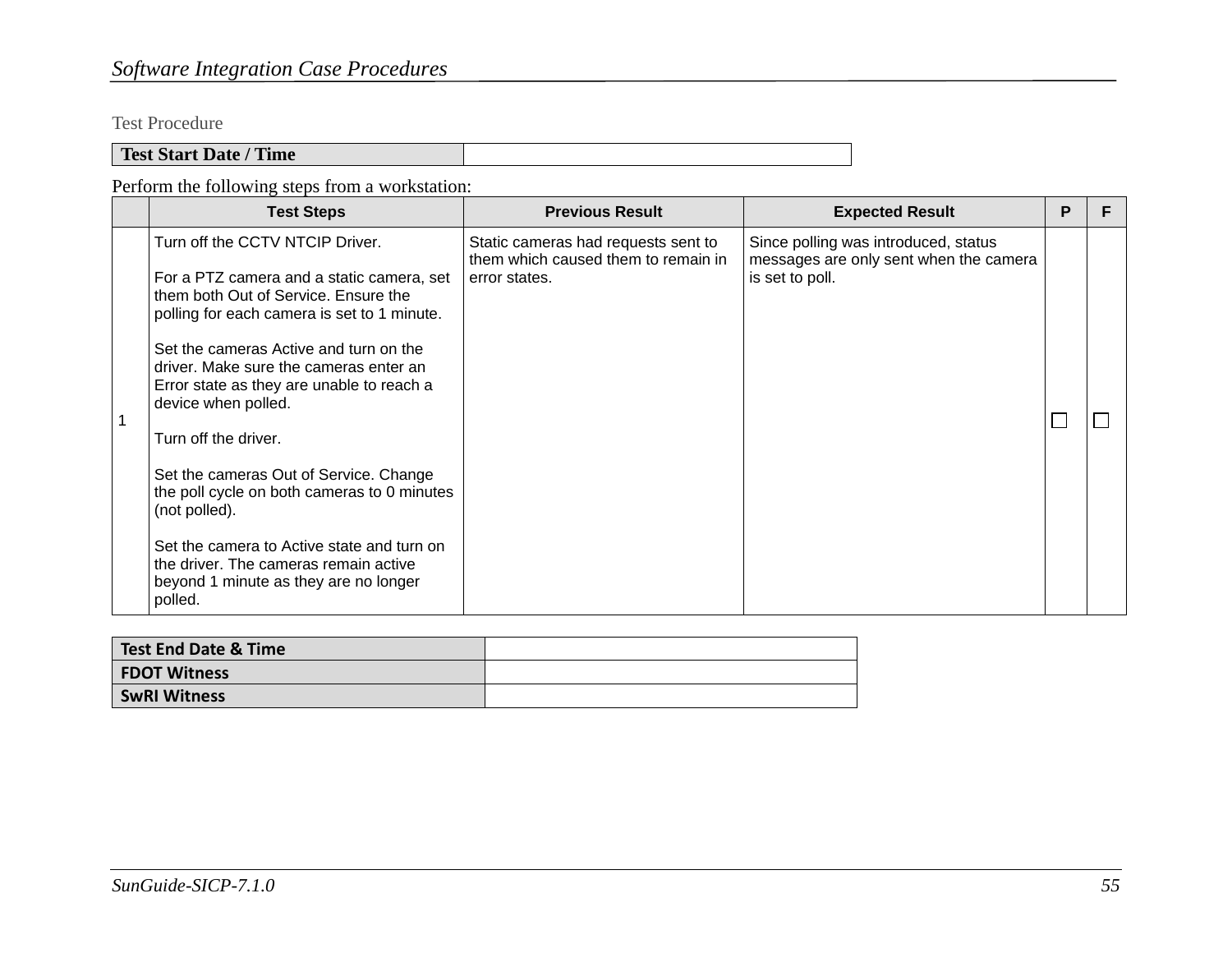# *Software Integration Case Procedures*

Test Procedure

| <b>Time</b><br><b>Test Start Date /</b> |  |
|-----------------------------------------|--|

| <b>Test Steps</b>                                                                                                                                                                                                                                                                                                                                                                                                                                                                                                                                                                                        | <b>Previous Result</b>                                                                      | <b>Expected Result</b>                                                                            | P | F |
|----------------------------------------------------------------------------------------------------------------------------------------------------------------------------------------------------------------------------------------------------------------------------------------------------------------------------------------------------------------------------------------------------------------------------------------------------------------------------------------------------------------------------------------------------------------------------------------------------------|---------------------------------------------------------------------------------------------|---------------------------------------------------------------------------------------------------|---|---|
| Turn off the CCTV NTCIP Driver.<br>For a PTZ camera and a static camera, set<br>them both Out of Service. Ensure the<br>polling for each camera is set to 1 minute.<br>Set the cameras Active and turn on the<br>driver. Make sure the cameras enter an<br>Error state as they are unable to reach a<br>device when polled.<br>Turn off the driver.<br>Set the cameras Out of Service. Change<br>the poll cycle on both cameras to 0 minutes<br>(not polled).<br>Set the camera to Active state and turn on<br>the driver. The cameras remain active<br>beyond 1 minute as they are no longer<br>polled. | Static cameras had requests sent to<br>them which caused them to remain in<br>error states. | Since polling was introduced, status<br>messages are only sent when the camera<br>is set to poll. |   |   |

| Test End Date & Time |  |
|----------------------|--|
| <b>FDOT Witness</b>  |  |
| <b>SwRI Witness</b>  |  |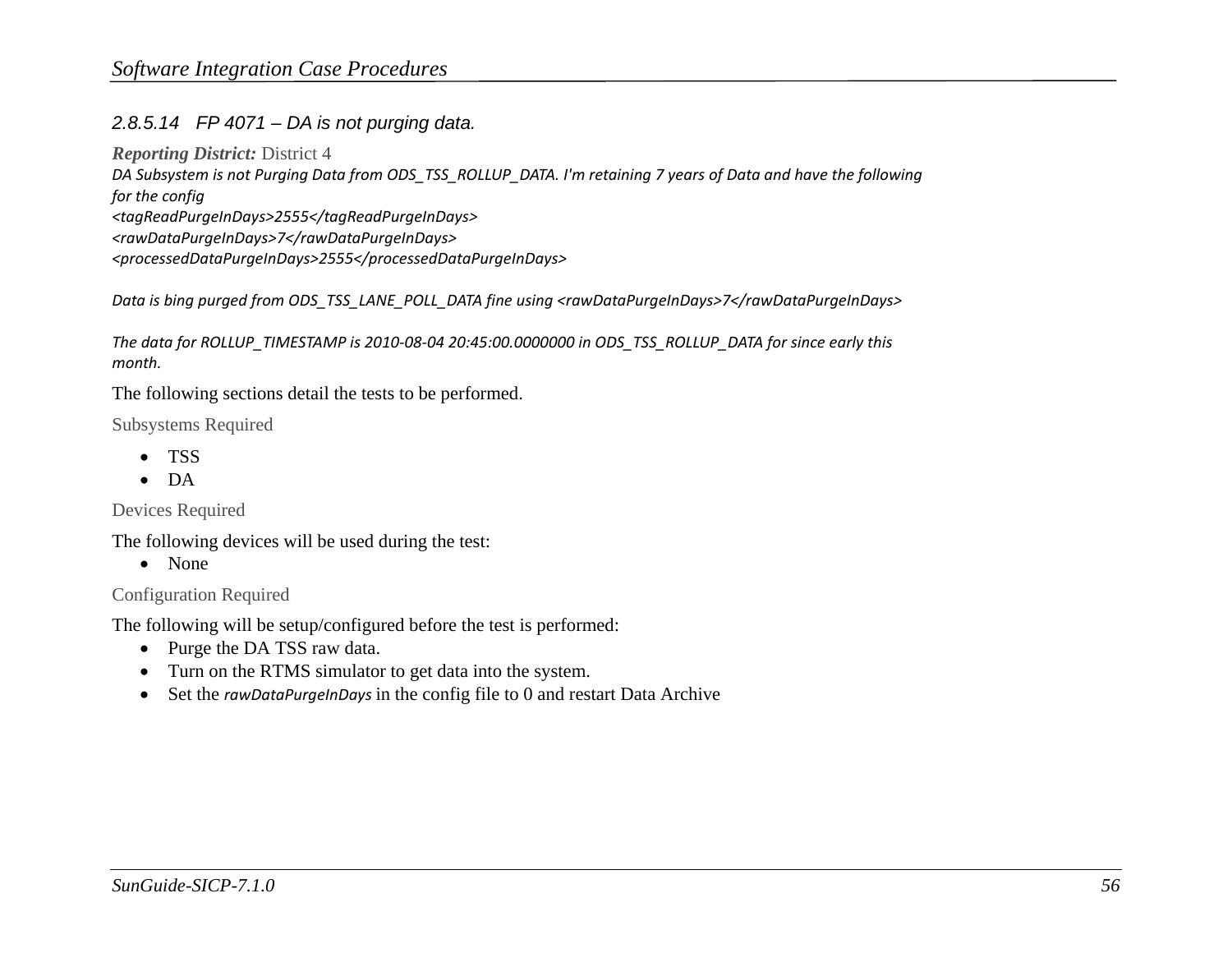### *2.8.5.14 FP 4071 – DA is not purging data.*

*Reporting District:* District 4 DA Subsystem is not Purging Data from ODS\_TSS\_ROLLUP\_DATA. I'm retaining 7 years of Data and have the following *for the config <tagReadPurgeInDays>2555</tagReadPurgeInDays> <rawDataPurgeInDays>7</rawDataPurgeInDays> <processedDataPurgeInDays>2555</processedDataPurgeInDays>*

*Data is bing purged from ODS\_TSS\_LANE\_POLL\_DATA fine using <rawDataPurgeInDays>7</rawDataPurgeInDays>*

*The data for ROLLUP\_TIMESTAMP is 2010‐08‐04 20:45:00.0000000 in ODS\_TSS\_ROLLUP\_DATA for since early this month.*

The following sections detail the tests to be performed.

Subsystems Required

- TSS
- $\bullet$ DA

Devices Required

The following devices will be used during the test:

• None

Configuration Required

The following will be setup/configured before the test is performed:

- Purge the DA TSS raw data.
- Turn on the RTMS simulator to get data into the system.
- $\bullet$ Set the *rawDataPurgeInDays* in the config file to 0 and restart Data Archive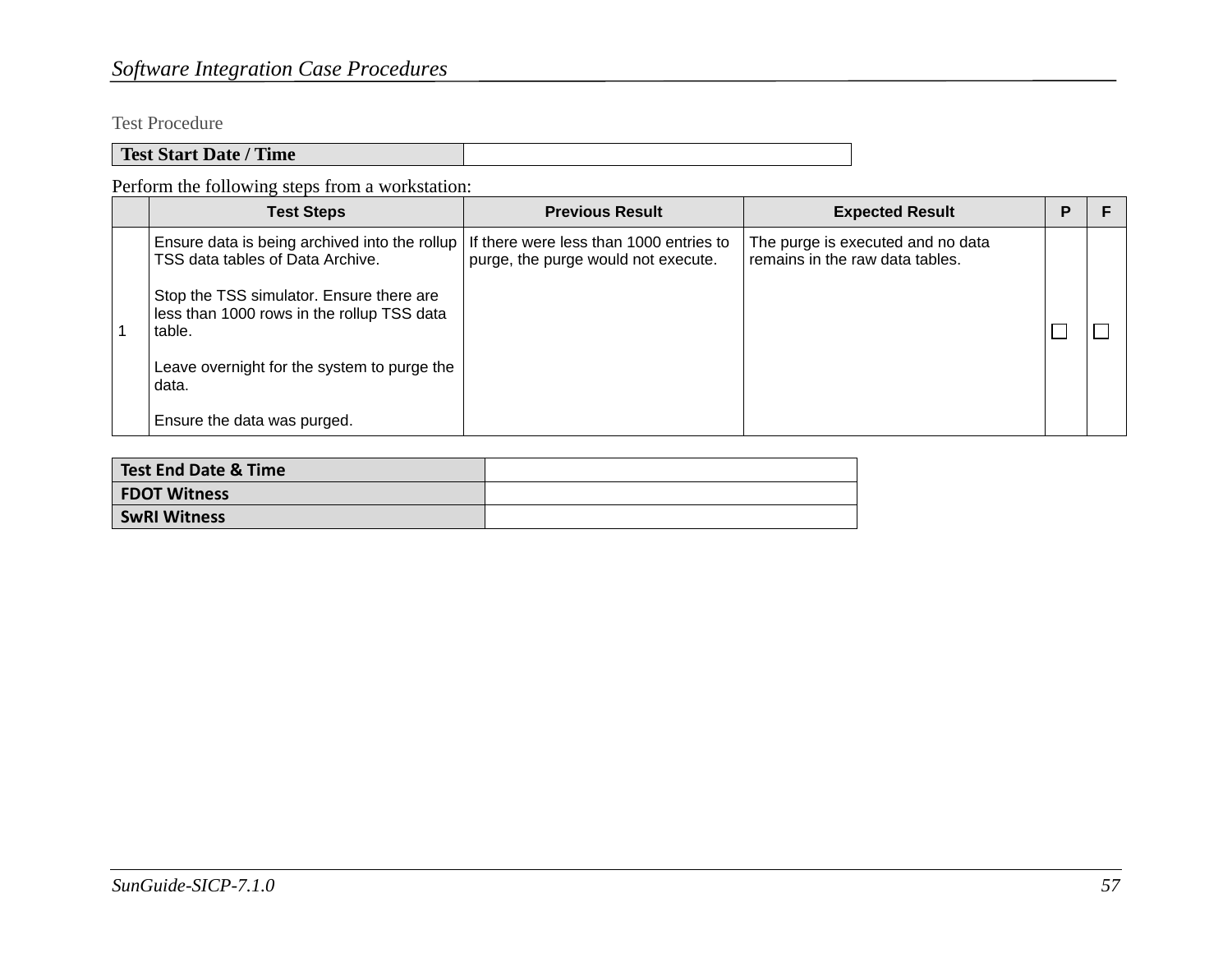# *Software Integration Case Procedures*

Test Procedure

| <b>Test Start Date / Time</b> |  |
|-------------------------------|--|

| <b>Test Steps</b>                                                                                                           | <b>Previous Result</b>              | <b>Expected Result</b>                                               | P |  |
|-----------------------------------------------------------------------------------------------------------------------------|-------------------------------------|----------------------------------------------------------------------|---|--|
| Ensure data is being archived into the rollup   If there were less than 1000 entries to<br>TSS data tables of Data Archive. | purge, the purge would not execute. | The purge is executed and no data<br>remains in the raw data tables. |   |  |
| Stop the TSS simulator. Ensure there are<br>less than 1000 rows in the rollup TSS data<br>table.                            |                                     |                                                                      |   |  |
| Leave overnight for the system to purge the<br>data.                                                                        |                                     |                                                                      |   |  |
| Ensure the data was purged.                                                                                                 |                                     |                                                                      |   |  |

| Test End Date & Time |  |
|----------------------|--|
| <b>FDOT Witness</b>  |  |
| <b>SwRI Witness</b>  |  |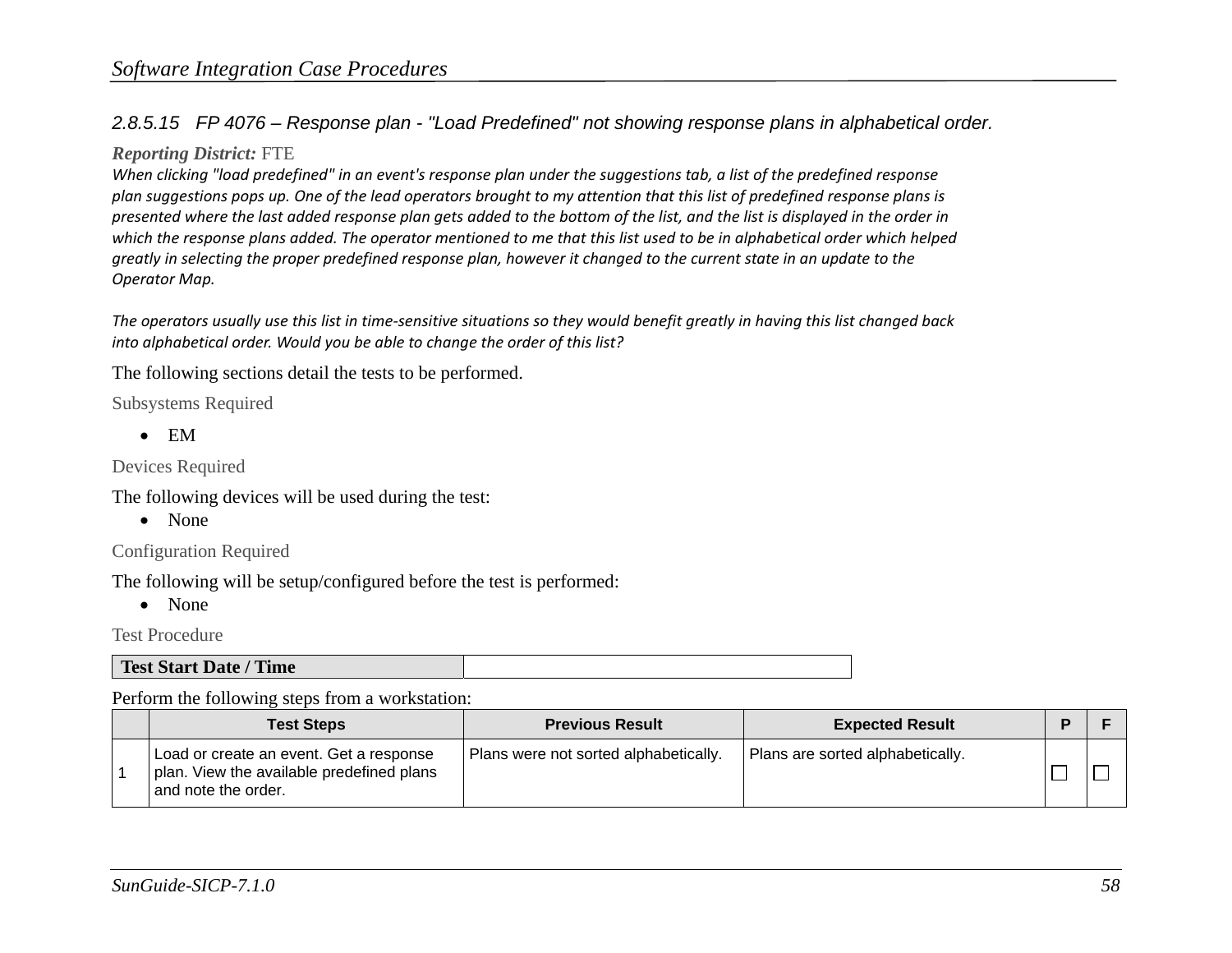### *2.8.5.15 FP 4076 – Response plan - "Load Predefined" not showing response plans in alphabetical order.*

### *Reporting District:* FTE

When clicking "load predefined" in an event's response plan under the suggestions tab, a list of the predefined response plan suggestions pops up. One of the lead operators brought to my attention that this list of predefined response plans is presented where the last added response plan gets added to the bottom of the list, and the list is displayed in the order in which the response plans added. The operator mentioned to me that this list used to be in alphabetical order which helped greatly in selecting the proper predefined response plan, however it changed to the current state in an update to the *Operator Map.*

The operators usually use this list in time-sensitive situations so they would benefit greatly in having this list changed back *into alphabetical order. Would you be able to change the order of this list?*

The following sections detail the tests to be performed.

Subsystems Required

 $\bullet$  EM

Devices Required

The following devices will be used during the test:

• None

Configuration Required

The following will be setup/configured before the test is performed:

• None

Test Procedure

**Test Start Date / Time** 

| <b>Test Steps</b>                                                                                               | <b>Previous Result</b>                | <b>Expected Result</b>           |  |
|-----------------------------------------------------------------------------------------------------------------|---------------------------------------|----------------------------------|--|
| Load or create an event. Get a response<br>I plan. View the available predefined plans<br>l and note the order. | Plans were not sorted alphabetically. | Plans are sorted alphabetically. |  |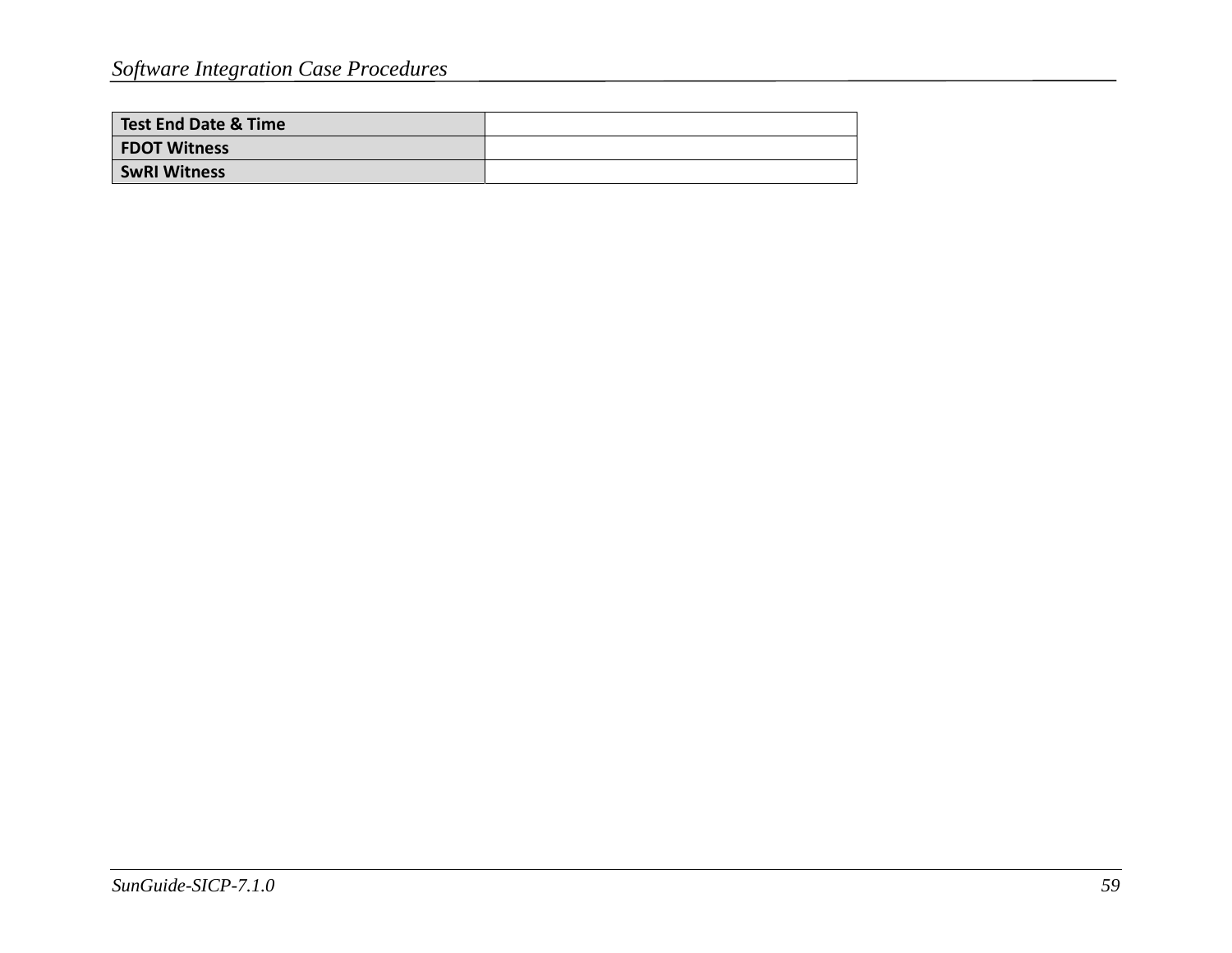| Test End Date & Time |  |
|----------------------|--|
| <b>FDOT Witness</b>  |  |
| <b>SwRI Witness</b>  |  |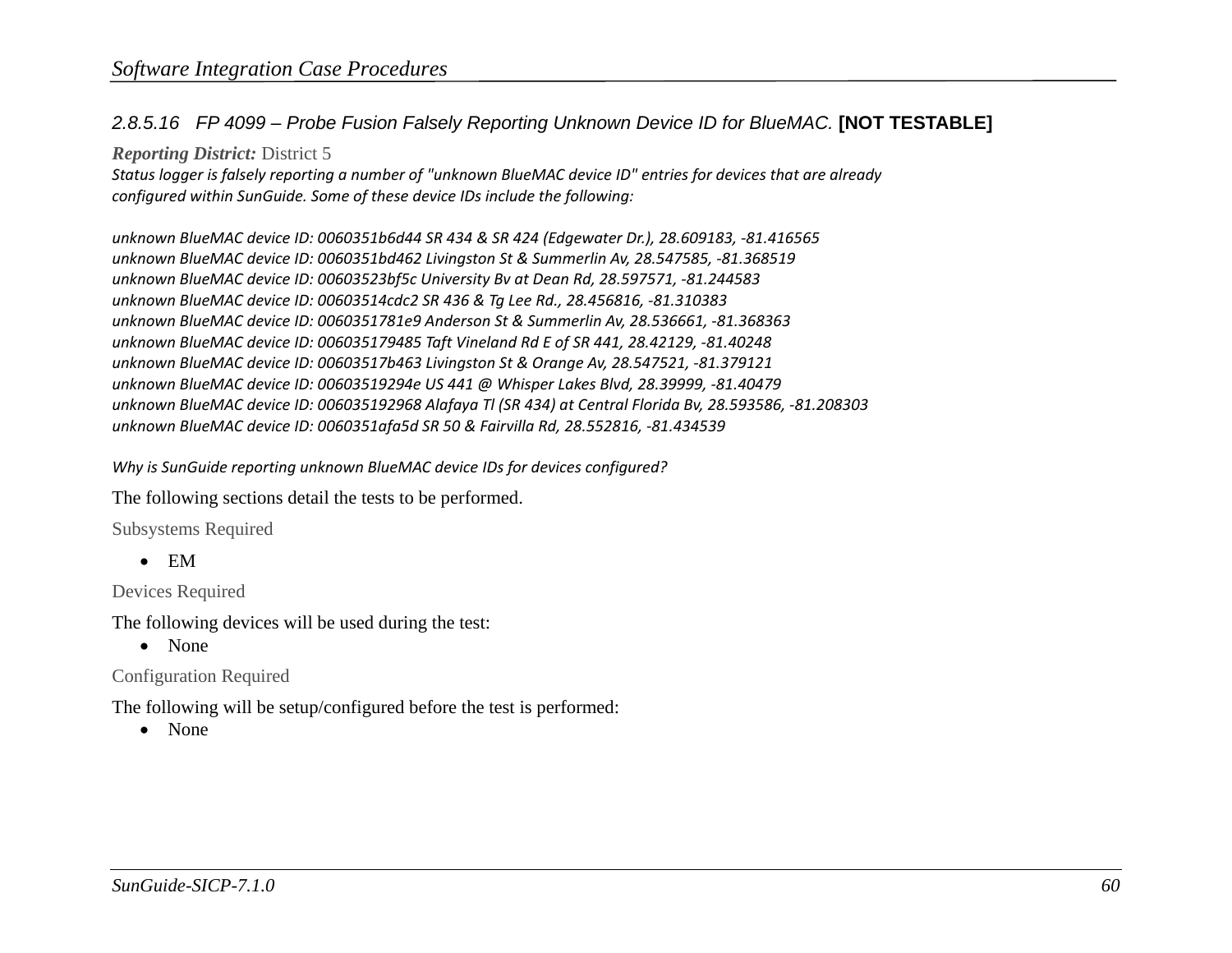### *2.8.5.16 FP 4099 – Probe Fusion Falsely Reporting Unknown Device ID for BlueMAC.* **[NOT TESTABLE]**

#### *Reporting District:* District 5

Status logger is falsely reporting a number of "unknown BlueMAC device ID" entries for devices that are already *configured within SunGuide. Some of these device IDs include the following:*

*unknown BlueMAC device ID: 0060351b6d44 SR 434 & SR 424 (Edgewater Dr.), 28.609183, ‐81.416565 unknown BlueMAC device ID: 0060351bd462 Livingston St & Summerlin Av, 28.547585, ‐81.368519 unknown BlueMAC device ID: 00603523bf5c University Bv at Dean Rd, 28.597571, ‐81.244583 unknown BlueMAC device ID: 00603514cdc2 SR 436 & Tg Lee Rd., 28.456816, ‐81.310383 unknown BlueMAC device ID: 0060351781e9 Anderson St & Summerlin Av, 28.536661, ‐81.368363 unknown BlueMAC device ID: 006035179485 Taft Vineland Rd E of SR 441, 28.42129, ‐81.40248 unknown BlueMAC device ID: 00603517b463 Livingston St & Orange Av, 28.547521, ‐81.379121 unknown BlueMAC device ID: 00603519294e US 441 @ Whisper Lakes Blvd, 28.39999, ‐81.40479 unknown BlueMAC device ID: 006035192968 Alafaya Tl (SR 434) at Central Florida Bv, 28.593586, ‐81.208303 unknown BlueMAC device ID: 0060351afa5d SR 50 & Fairvilla Rd, 28.552816, ‐81.434539*

*Why is SunGuide reporting unknown BlueMAC device IDs for devices configured?*

The following sections detail the tests to be performed.

Subsystems Required

 $\bullet$  EM

Devices Required

The following devices will be used during the test:

• None

Configuration Required

The following will be setup/configured before the test is performed:

• None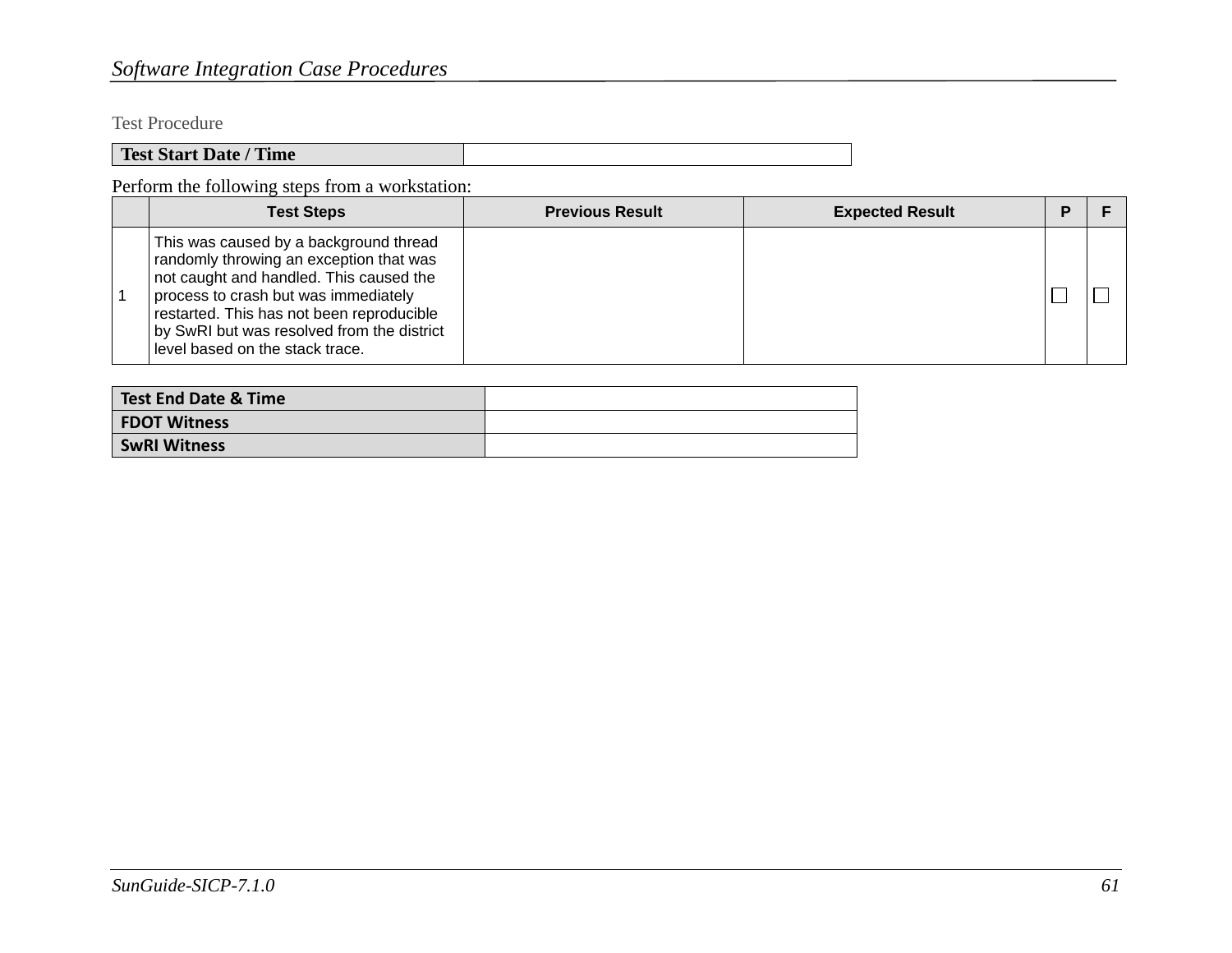# *Software Integration Case Procedures*

Test Procedure

| <b>Time</b><br><b>Test Start Date /</b> |  |
|-----------------------------------------|--|
|                                         |  |

| <b>Test Steps</b>                                                                                                                                                                                                                                                                                  | <b>Previous Result</b> | <b>Expected Result</b> |  |
|----------------------------------------------------------------------------------------------------------------------------------------------------------------------------------------------------------------------------------------------------------------------------------------------------|------------------------|------------------------|--|
| This was caused by a background thread<br>randomly throwing an exception that was<br>not caught and handled. This caused the<br>process to crash but was immediately<br>restarted. This has not been reproducible<br>by SwRI but was resolved from the district<br>level based on the stack trace. |                        |                        |  |

| Test End Date & Time |  |
|----------------------|--|
| <b>FDOT Witness</b>  |  |
| <b>SwRI Witness</b>  |  |